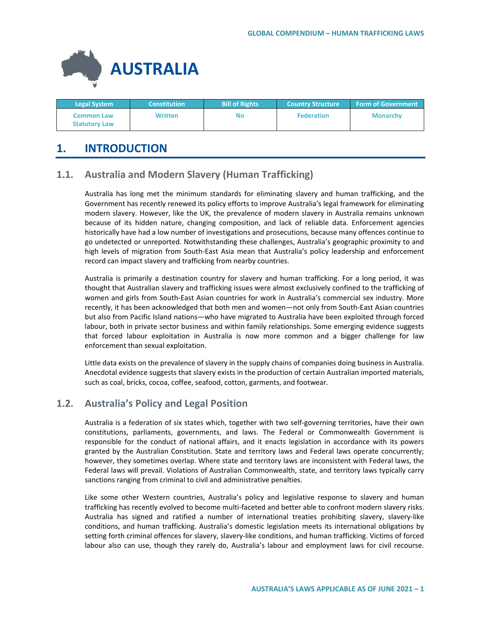

| <b>Legal System</b>                       | <b>Constitution</b> | <b>Bill of Rights</b> | <b>Country Structure</b> | <b>Form of Government</b> |
|-------------------------------------------|---------------------|-----------------------|--------------------------|---------------------------|
| <b>Common Law</b><br><b>Statutory Law</b> | <b>Written</b>      | No                    | <b>Federation</b>        | <b>Monarchy</b>           |

# **1. INTRODUCTION**

# **1.1. Australia and Modern Slavery (Human Trafficking)**

Australia has long met the minimum standards for eliminating slavery and human trafficking, and the Government has recently renewed its policy efforts to improve Australia's legal framework for eliminating modern slavery. However, like the UK, the prevalence of modern slavery in Australia remains unknown because of its hidden nature, changing composition, and lack of reliable data. Enforcement agencies historically have had a low number of investigations and prosecutions, because many offences continue to go undetected or unreported. Notwithstanding these challenges, Australia's geographic proximity to and high levels of migration from South-East Asia mean that Australia's policy leadership and enforcement record can impact slavery and trafficking from nearby countries.

Australia is primarily a destination country for slavery and human trafficking. For a long period, it was thought that Australian slavery and trafficking issues were almost exclusively confined to the trafficking of women and girls from South-East Asian countries for work in Australia's commercial sex industry. More recently, it has been acknowledged that both men and women—not only from South-East Asian countries but also from Pacific Island nations—who have migrated to Australia have been exploited through forced labour, both in private sector business and within family relationships. Some emerging evidence suggests that forced labour exploitation in Australia is now more common and a bigger challenge for law enforcement than sexual exploitation.

Little data exists on the prevalence of slavery in the supply chains of companies doing business in Australia. Anecdotal evidence suggests that slavery exists in the production of certain Australian imported materials, such as coal, bricks, cocoa, coffee, seafood, cotton, garments, and footwear.

# **1.2. Australia's Policy and Legal Position**

Australia is a federation of six states which, together with two self-governing territories, have their own constitutions, parliaments, governments, and laws. The Federal or Commonwealth Government is responsible for the conduct of national affairs, and it enacts legislation in accordance with its powers granted by the Australian Constitution. State and territory laws and Federal laws operate concurrently; however, they sometimes overlap. Where state and territory laws are inconsistent with Federal laws, the Federal laws will prevail. Violations of Australian Commonwealth, state, and territory laws typically carry sanctions ranging from criminal to civil and administrative penalties.

Like some other Western countries, Australia's policy and legislative response to slavery and human trafficking has recently evolved to become multi-faceted and better able to confront modern slavery risks. Australia has signed and ratified a number of international treaties prohibiting slavery, slavery-like conditions, and human trafficking. Australia's domestic legislation meets its international obligations by setting forth criminal offences for slavery, slavery-like conditions, and human trafficking. Victims of forced labour also can use, though they rarely do, Australia's labour and employment laws for civil recourse.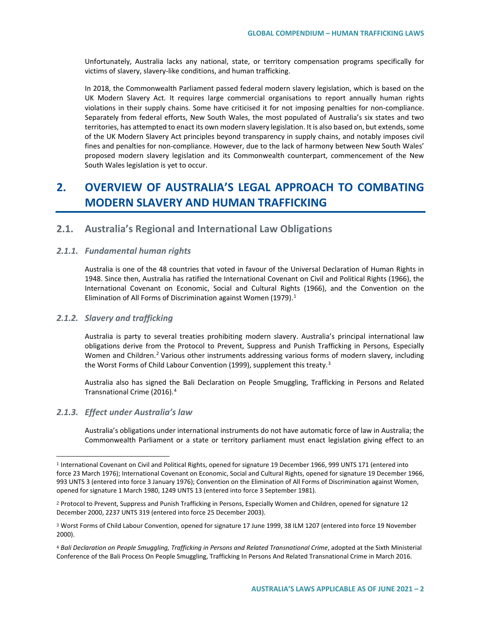Unfortunately, Australia lacks any national, state, or territory compensation programs specifically for victims of slavery, slavery-like conditions, and human trafficking.

In 2018, the Commonwealth Parliament passed federal modern slavery legislation, which is based on the UK Modern Slavery Act*.* It requires large commercial organisations to report annually human rights violations in their supply chains. Some have criticised it for not imposing penalties for non-compliance. Separately from federal efforts, New South Wales, the most populated of Australia's six states and two territories, has attempted to enact its own modern slavery legislation. It is also based on, but extends, some of the UK Modern Slavery Act principles beyond transparency in supply chains, and notably imposes civil fines and penalties for non-compliance. However, due to the lack of harmony between New South Wales' proposed modern slavery legislation and its Commonwealth counterpart, commencement of the New South Wales legislation is yet to occur.

# **2. OVERVIEW OF AUSTRALIA'S LEGAL APPROACH TO COMBATING MODERN SLAVERY AND HUMAN TRAFFICKING**

## **2.1. Australia's Regional and International Law Obligations**

## *2.1.1. Fundamental human rights*

Australia is one of the 48 countries that voted in favour of the Universal Declaration of Human Rights in 1948. Since then, Australia has ratified the International Covenant on Civil and Political Rights (1966), the International Covenant on Economic, Social and Cultural Rights (1966), and the Convention on the Elimination of All Forms of Discrimination against Women ([1](#page-1-0)979). $<sup>1</sup>$ </sup>

## *2.1.2. Slavery and trafficking*

Australia is party to several treaties prohibiting modern slavery. Australia's principal international law obligations derive from the Protocol to Prevent, Suppress and Punish Trafficking in Persons, Especially Women and Children.<sup>[2](#page-1-1)</sup> Various other instruments addressing various forms of modern slavery, including the Worst Forms of Child Labour Convention (1999), supplement this treaty.<sup>[3](#page-1-2)</sup>

Australia also has signed the Bali Declaration on People Smuggling, Trafficking in Persons and Related Transnational Crime (2016).[4](#page-1-3)

#### *2.1.3. Effect under Australia's law*

 $\overline{a}$ 

Australia's obligations under international instruments do not have automatic force of law in Australia; the Commonwealth Parliament or a state or territory parliament must enact legislation giving effect to an

<span id="page-1-0"></span><sup>1</sup> International Covenant on Civil and Political Rights, opened for signature 19 December 1966, 999 UNTS 171 (entered into force 23 March 1976); International Covenant on Economic, Social and Cultural Rights, opened for signature 19 December 1966, 993 UNTS 3 (entered into force 3 January 1976); Convention on the Elimination of All Forms of Discrimination against Women, opened for signature 1 March 1980, 1249 UNTS 13 (entered into force 3 September 1981).

<span id="page-1-1"></span><sup>2</sup> Protocol to Prevent, Suppress and Punish Trafficking in Persons, Especially Women and Children, opened for signature 12 December 2000, 2237 UNTS 319 (entered into force 25 December 2003).

<span id="page-1-2"></span><sup>3</sup> Worst Forms of Child Labour Convention, opened for signature 17 June 1999, 38 ILM 1207 (entered into force 19 November 2000).

<span id="page-1-3"></span><sup>4</sup> *Bali Declaration on People Smuggling, Trafficking in Persons and Related Transnational Crime*, adopted at the Sixth Ministerial Conference of the Bali Process On People Smuggling, Trafficking In Persons And Related Transnational Crime in March 2016.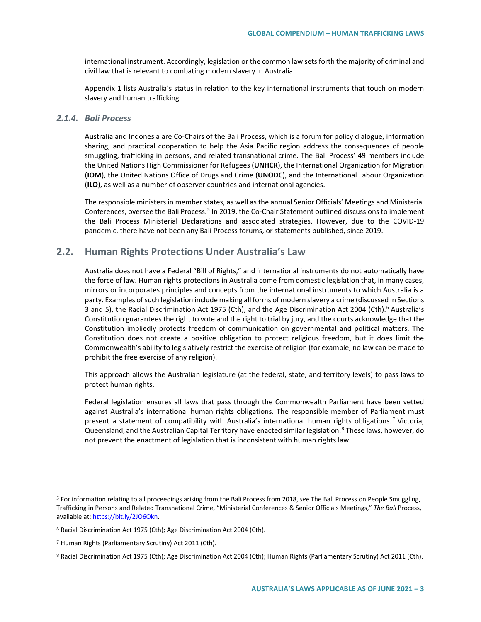international instrument. Accordingly, legislation or the common law sets forth the majority of criminal and civil law that is relevant to combating modern slavery in Australia.

Appendix 1 lists Australia's status in relation to the key international instruments that touch on modern slavery and human trafficking.

#### *2.1.4. Bali Process*

Australia and Indonesia are Co-Chairs of the Bali Process, which is a forum for policy dialogue, information sharing, and practical cooperation to help the Asia Pacific region address the consequences of people smuggling, trafficking in persons, and related transnational crime. The Bali Process' 49 members include the United Nations High Commissioner for Refugees (**UNHCR**), the International Organization for Migration (**IOM**), the United Nations Office of Drugs and Crime (**UNODC**), and the International Labour Organization (**ILO**), as well as a number of observer countries and international agencies.

The responsible ministers in member states, as well as the annual Senior Officials' Meetings and Ministerial Conferences, oversee the Bali Process.<sup>[5](#page-2-0)</sup> In 2019, the Co-Chair Statement outlined discussions to implement the Bali Process Ministerial Declarations and associated strategies. However, due to the COVID-19 pandemic, there have not been any Bali Process forums, or statements published, since 2019.

# **2.2. Human Rights Protections Under Australia's Law**

Australia does not have a Federal "Bill of Rights," and international instruments do not automatically have the force of law. Human rights protections in Australia come from domestic legislation that, in many cases, mirrors or incorporates principles and concepts from the international instruments to which Australia is a party. Examples of such legislation include making all forms of modern slavery a crime (discussed in Sections 3 and 5), the Racial Discrimination Act 1975 (Cth), and the Age Discrimination Act 2004 (Cth).<sup>[6](#page-2-1)</sup> Australia's Constitution guarantees the right to vote and the right to trial by jury, and the courts acknowledge that the Constitution impliedly protects freedom of communication on governmental and political matters. The Constitution does not create a positive obligation to protect religious freedom, but it does limit the Commonwealth's ability to legislatively restrict the exercise of religion (for example, no law can be made to prohibit the free exercise of any religion).

This approach allows the Australian legislature (at the federal, state, and territory levels) to pass laws to protect human rights.

Federal legislation ensures all laws that pass through the Commonwealth Parliament have been vetted against Australia's international human rights obligations. The responsible member of Parliament must present a statement of compatibility with Australia's international human rights obligations.<sup>[7](#page-2-2)</sup> Victoria, Queensland, and the Australian Capital Territory have enacted similar legislation.<sup>[8](#page-2-3)</sup> These laws, however, do not prevent the enactment of legislation that is inconsistent with human rights law.

<span id="page-2-0"></span><sup>5</sup> For information relating to all proceedings arising from the Bali Process from 2018, *see* The Bali Process on People Smuggling, Trafficking in Persons and Related Transnational Crime, "Ministerial Conferences & Senior Officials Meetings," *The Bali* Process, available at: [https://bit.ly/2JO6Okn.](https://bit.ly/2JO6Okn)

<span id="page-2-1"></span><sup>6</sup> Racial Discrimination Act 1975 (Cth); Age Discrimination Act 2004 (Cth).

<span id="page-2-2"></span><sup>7</sup> Human Rights (Parliamentary Scrutiny) Act 2011 (Cth).

<span id="page-2-3"></span><sup>8</sup> Racial Discrimination Act 1975 (Cth); Age Discrimination Act 2004 (Cth); Human Rights (Parliamentary Scrutiny) Act 2011 (Cth).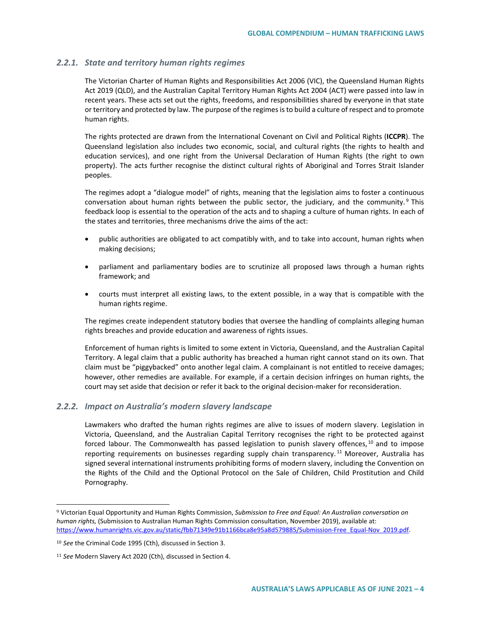## *2.2.1. State and territory human rights regimes*

The Victorian Charter of Human Rights and Responsibilities Act 2006 (VIC), the Queensland Human Rights Act 2019 (QLD), and the Australian Capital Territory Human Rights Act 2004 (ACT) were passed into law in recent years. These acts set out the rights, freedoms, and responsibilities shared by everyone in that state or territory and protected by law. The purpose of the regimes is to build a culture of respect and to promote human rights.

The rights protected are drawn from the International Covenant on Civil and Political Rights (**ICCPR**). The Queensland legislation also includes two economic, social, and cultural rights (the rights to health and education services), and one right from the Universal Declaration of Human Rights (the right to own property). The acts further recognise the distinct cultural rights of Aboriginal and Torres Strait Islander peoples.

The regimes adopt a "dialogue model" of rights, meaning that the legislation aims to foster a continuous conversation about human rights between the public sector, the judiciary, and the community.<sup>[9](#page-3-0)</sup> This feedback loop is essential to the operation of the acts and to shaping a culture of human rights. In each of the states and territories, three mechanisms drive the aims of the act:

- public authorities are obligated to act compatibly with, and to take into account, human rights when making decisions;
- parliament and parliamentary bodies are to scrutinize all proposed laws through a human rights framework; and
- courts must interpret all existing laws, to the extent possible, in a way that is compatible with the human rights regime.

The regimes create independent statutory bodies that oversee the handling of complaints alleging human rights breaches and provide education and awareness of rights issues.

Enforcement of human rights is limited to some extent in Victoria, Queensland, and the Australian Capital Territory. A legal claim that a public authority has breached a human right cannot stand on its own. That claim must be "piggybacked" onto another legal claim. A complainant is not entitled to receive damages; however, other remedies are available. For example, if a certain decision infringes on human rights, the court may set aside that decision or refer it back to the original decision-maker for reconsideration.

## *2.2.2. Impact on Australia's modern slavery landscape*

Lawmakers who drafted the human rights regimes are alive to issues of modern slavery. Legislation in Victoria, Queensland, and the Australian Capital Territory recognises the right to be protected against forced labour. The Commonwealth has passed legislation to punish slavery offences, <sup>[10](#page-3-1)</sup> and to impose reporting requirements on businesses regarding supply chain transparency.<sup>[11](#page-3-2)</sup> Moreover, Australia has signed several international instruments prohibiting forms of modern slavery, including the Convention on the Rights of the Child and the Optional Protocol on the Sale of Children, Child Prostitution and Child Pornography.

<span id="page-3-0"></span><sup>9</sup> Victorian Equal Opportunity and Human Rights Commission, *Submission to Free and Equal: An Australian conversation on human rights,* (Submission to Australian Human Rights Commission consultation, November 2019), available at: [https://www.humanrights.vic.gov.au/static/fbb71349e91b1166bca8e95a8d579885/Submission-Free\\_Equal-Nov\\_2019.pdf.](https://www.humanrights.vic.gov.au/static/fbb71349e91b1166bca8e95a8d579885/Submission-Free_Equal-Nov_2019.pdf) 

<span id="page-3-1"></span><sup>10</sup> *See* the Criminal Code 1995 (Cth), discussed in Section 3.

<span id="page-3-2"></span><sup>11</sup> *See* Modern Slavery Act 2020 (Cth), discussed in Section 4.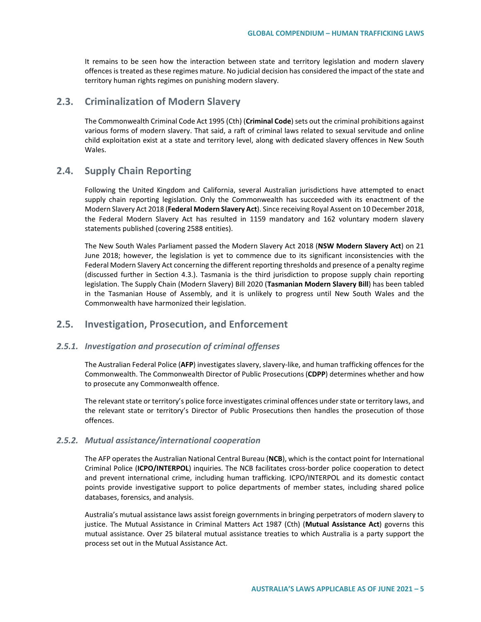It remains to be seen how the interaction between state and territory legislation and modern slavery offences is treated as these regimes mature. No judicial decision has considered the impact of the state and territory human rights regimes on punishing modern slavery.

## **2.3. Criminalization of Modern Slavery**

The Commonwealth Criminal Code Act 1995 (Cth) (**Criminal Code**) sets out the criminal prohibitions against various forms of modern slavery. That said, a raft of criminal laws related to sexual servitude and online child exploitation exist at a state and territory level, along with dedicated slavery offences in New South Wales.

# **2.4. Supply Chain Reporting**

Following the United Kingdom and California, several Australian jurisdictions have attempted to enact supply chain reporting legislation. Only the Commonwealth has succeeded with its enactment of the Modern Slavery Act 2018 (**Federal Modern Slavery Act**). Since receiving Royal Assent on 10 December 2018, the Federal Modern Slavery Act has resulted in 1159 mandatory and 162 voluntary modern slavery statements published (covering 2588 entities).

The New South Wales Parliament passed the Modern Slavery Act 2018 (**NSW Modern Slavery Act**) on 21 June 2018; however, the legislation is yet to commence due to its significant inconsistencies with the Federal Modern Slavery Act concerning the different reporting thresholds and presence of a penalty regime (discussed further in Section 4.3.). Tasmania is the third jurisdiction to propose supply chain reporting legislation. The Supply Chain (Modern Slavery) Bill 2020 (**Tasmanian Modern Slavery Bill**) has been tabled in the Tasmanian House of Assembly, and it is unlikely to progress until New South Wales and the Commonwealth have harmonized their legislation.

## **2.5. Investigation, Prosecution, and Enforcement**

#### *2.5.1. Investigation and prosecution of criminal offenses*

The Australian Federal Police (**AFP**) investigates slavery, slavery-like, and human trafficking offences for the Commonwealth. The Commonwealth Director of Public Prosecutions (**CDPP**) determines whether and how to prosecute any Commonwealth offence.

The relevant state or territory's police force investigates criminal offences under state or territory laws, and the relevant state or territory's Director of Public Prosecutions then handles the prosecution of those offences.

## *2.5.2. Mutual assistance/international cooperation*

The AFP operates the Australian National Central Bureau (**NCB**), which is the contact point for International Criminal Police (**ICPO/INTERPOL**) inquiries. The NCB facilitates cross-border police cooperation to detect and prevent international crime, including human trafficking. ICPO/INTERPOL and its domestic contact points provide investigative support to police departments of member states, including shared police databases, forensics, and analysis.

Australia's mutual assistance laws assist foreign governments in bringing perpetrators of modern slavery to justice. The Mutual Assistance in Criminal Matters Act 1987 (Cth) (**Mutual Assistance Act**) governs this mutual assistance. Over 25 bilateral mutual assistance treaties to which Australia is a party support the process set out in the Mutual Assistance Act.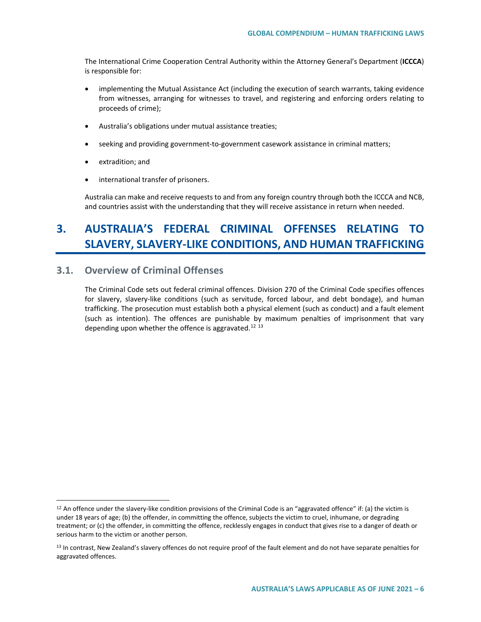The International Crime Cooperation Central Authority within the Attorney General's Department (**ICCCA**) is responsible for:

- implementing the Mutual Assistance Act (including the execution of search warrants, taking evidence from witnesses, arranging for witnesses to travel, and registering and enforcing orders relating to proceeds of crime);
- Australia's obligations under mutual assistance treaties;
- seeking and providing government-to-government casework assistance in criminal matters;
- extradition; and

 $\overline{a}$ 

• international transfer of prisoners.

Australia can make and receive requests to and from any foreign country through both the ICCCA and NCB, and countries assist with the understanding that they will receive assistance in return when needed.

# **3. AUSTRALIA'S FEDERAL CRIMINAL OFFENSES RELATING TO SLAVERY, SLAVERY-LIKE CONDITIONS, AND HUMAN TRAFFICKING**

# **3.1. Overview of Criminal Offenses**

The Criminal Code sets out federal criminal offences. Division 270 of the Criminal Code specifies offences for slavery, slavery-like conditions (such as servitude, forced labour, and debt bondage), and human trafficking. The prosecution must establish both a physical element (such as conduct) and a fault element (such as intention). The offences are punishable by maximum penalties of imprisonment that vary depending upon whether the offence is aggravated.<sup>[12](#page-5-0) [13](#page-5-1)</sup>

<span id="page-5-0"></span><sup>12</sup> An offence under the slavery-like condition provisions of the Criminal Code is an "aggravated offence" if: (a) the victim is under 18 years of age; (b) the offender, in committing the offence, subjects the victim to cruel, inhumane, or degrading treatment; or (c) the offender, in committing the offence, recklessly engages in conduct that gives rise to a danger of death or serious harm to the victim or another person.

<span id="page-5-1"></span><sup>&</sup>lt;sup>13</sup> In contrast, New Zealand's slavery offences do not require proof of the fault element and do not have separate penalties for aggravated offences.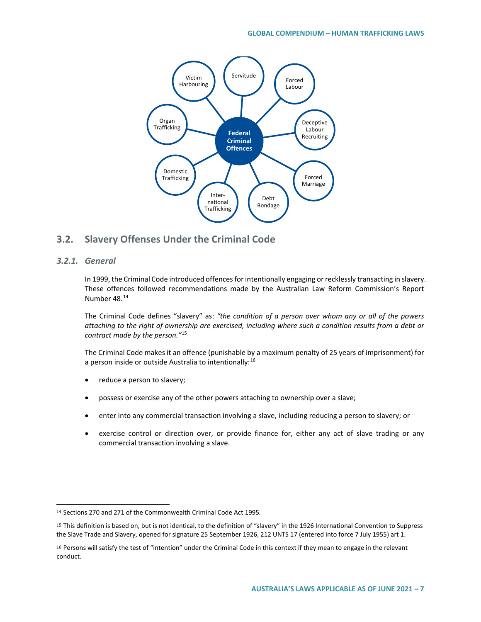

# **3.2. Slavery Offenses Under the Criminal Code**

## *3.2.1. General*

 $\overline{a}$ 

In 1999, the Criminal Code introduced offences for intentionally engaging or recklessly transacting in slavery. These offences followed recommendations made by the Australian Law Reform Commission's Report Number 48.[14](#page-6-0)

The Criminal Code defines "slavery" as: *"the condition of a person over whom any or all of the powers attaching to the right of ownership are exercised, including where such a condition results from a debt or contract made by the person."*[15](#page-6-1)

The Criminal Code makes it an offence (punishable by a maximum penalty of 25 years of imprisonment) for a person inside or outside Australia to intentionally:<sup>[16](#page-6-2)</sup>

- reduce a person to slavery;
- possess or exercise any of the other powers attaching to ownership over a slave;
- enter into any commercial transaction involving a slave, including reducing a person to slavery; or
- exercise control or direction over, or provide finance for, either any act of slave trading or any commercial transaction involving a slave.

<span id="page-6-0"></span><sup>14</sup> Sections 270 and 271 of the Commonwealth Criminal Code Act 1995*.*

<span id="page-6-1"></span><sup>15</sup> This definition is based on, but is not identical, to the definition of "slavery" in the 1926 International Convention to Suppress the Slave Trade and Slavery, opened for signature 25 September 1926, 212 UNTS 17 (entered into force 7 July 1955) art 1.

<span id="page-6-2"></span><sup>16</sup> Persons will satisfy the test of "intention" under the Criminal Code in this context if they mean to engage in the relevant conduct.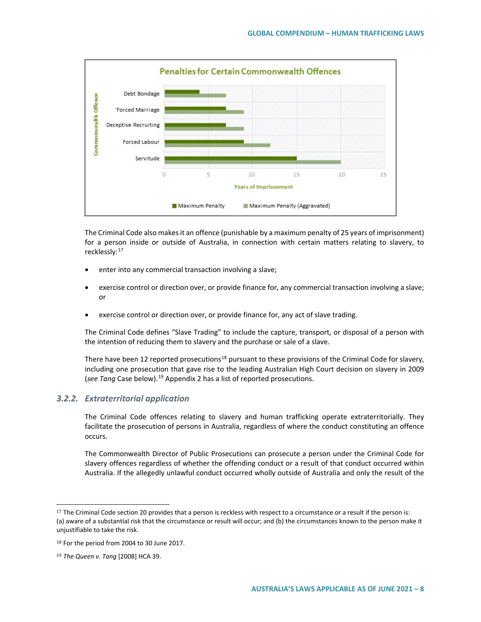

The Criminal Code also makes it an offence (punishable by a maximum penalty of 25 years of imprisonment) for a person inside or outside of Australia, in connection with certain matters relating to slavery, to recklessly:<sup>[17](#page-7-0)</sup>

- enter into any commercial transaction involving a slave;
- exercise control or direction over, or provide finance for, any commercial transaction involving a slave; or
- exercise control or direction over, or provide finance for, any act of slave trading.

The Criminal Code defines "Slave Trading" to include the capture, transport, or disposal of a person with the intention of reducing them to slavery and the purchase or sale of a slave.

There have been 12 reported prosecutions<sup>[18](#page-7-1)</sup> pursuant to these provisions of the Criminal Code for slavery, including one prosecution that gave rise to the leading Australian High Court decision on slavery in 2009 (*see Tang* Case below).[19](#page-7-2) Appendix 2 has a list of reported prosecutions.

## *3.2.2. Extraterritorial application*

The Criminal Code offences relating to slavery and human trafficking operate extraterritorially. They facilitate the prosecution of persons in Australia, regardless of where the conduct constituting an offence occurs.

The Commonwealth Director of Public Prosecutions can prosecute a person under the Criminal Code for slavery offences regardless of whether the offending conduct or a result of that conduct occurred within Australia. If the allegedly unlawful conduct occurred wholly outside of Australia and only the result of the

<span id="page-7-0"></span><sup>&</sup>lt;sup>17</sup> The Criminal Code section 20 provides that a person is reckless with respect to a circumstance or a result if the person is: (a) aware of a substantial risk that the circumstance or result will occur; and (b) the circumstances known to the person make it unjustifiable to take the risk.

<span id="page-7-1"></span><sup>18</sup> For the period from 2004 to 30 June 2017.

<span id="page-7-2"></span><sup>19</sup> *The Queen v. Tang* [2008] HCA 39.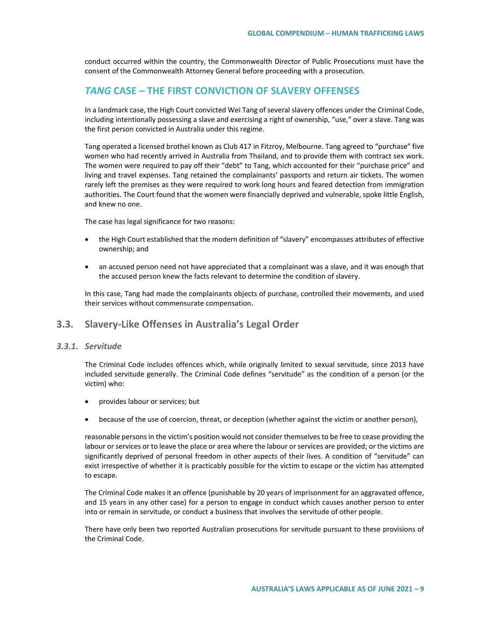conduct occurred within the country, the Commonwealth Director of Public Prosecutions must have the consent of the Commonwealth Attorney General before proceeding with a prosecution.

## *TANG* **CASE – THE FIRST CONVICTION OF SLAVERY OFFENSES**

In a landmark case, the High Court convicted Wei Tang of several slavery offences under the Criminal Code, including intentionally possessing a slave and exercising a right of ownership, "use," over a slave. Tang was the first person convicted in Australia under this regime.

Tang operated a licensed brothel known as Club 417 in Fitzroy, Melbourne. Tang agreed to "purchase" five women who had recently arrived in Australia from Thailand, and to provide them with contract sex work. The women were required to pay off their "debt" to Tang, which accounted for their "purchase price" and living and travel expenses. Tang retained the complainants' passports and return air tickets. The women rarely left the premises as they were required to work long hours and feared detection from immigration authorities. The Court found that the women were financially deprived and vulnerable, spoke little English, and knew no one.

The case has legal significance for two reasons:

- the High Court established that the modern definition of "slavery" encompasses attributes of effective ownership; and
- an accused person need not have appreciated that a complainant was a slave, and it was enough that the accused person knew the facts relevant to determine the condition of slavery.

In this case, Tang had made the complainants objects of purchase, controlled their movements, and used their services without commensurate compensation.

## **3.3. Slavery-Like Offenses in Australia's Legal Order**

## *3.3.1. Servitude*

The Criminal Code includes offences which, while originally limited to sexual servitude, since 2013 have included servitude generally. The Criminal Code defines "servitude" as the condition of a person (or the victim) who:

- provides labour or services; but
- because of the use of coercion, threat, or deception (whether against the victim or another person),

reasonable persons in the victim's position would not consider themselves to be free to cease providing the labour or services or to leave the place or area where the labour or services are provided; or the victims are significantly deprived of personal freedom in other aspects of their lives. A condition of "servitude" can exist irrespective of whether it is practicably possible for the victim to escape or the victim has attempted to escape.

The Criminal Code makes it an offence (punishable by 20 years of imprisonment for an aggravated offence, and 15 years in any other case) for a person to engage in conduct which causes another person to enter into or remain in servitude, or conduct a business that involves the servitude of other people.

There have only been two reported Australian prosecutions for servitude pursuant to these provisions of the Criminal Code.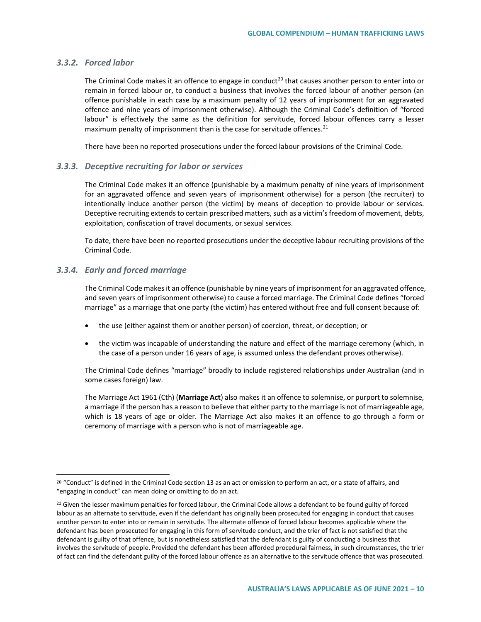#### *3.3.2. Forced labor*

The Criminal Code makes it an offence to engage in conduct<sup>[20](#page-9-0)</sup> that causes another person to enter into or remain in forced labour or, to conduct a business that involves the forced labour of another person (an offence punishable in each case by a maximum penalty of 12 years of imprisonment for an aggravated offence and nine years of imprisonment otherwise). Although the Criminal Code's definition of "forced labour" is effectively the same as the definition for servitude, forced labour offences carry a lesser maximum penalty of imprisonment than is the case for servitude offences. $^{21}$  $^{21}$  $^{21}$ 

There have been no reported prosecutions under the forced labour provisions of the Criminal Code.

#### *3.3.3. Deceptive recruiting for labor or services*

The Criminal Code makes it an offence (punishable by a maximum penalty of nine years of imprisonment for an aggravated offence and seven years of imprisonment otherwise) for a person (the recruiter) to intentionally induce another person (the victim) by means of deception to provide labour or services. Deceptive recruiting extends to certain prescribed matters, such as a victim's freedom of movement, debts, exploitation, confiscation of travel documents, or sexual services.

To date, there have been no reported prosecutions under the deceptive labour recruiting provisions of the Criminal Code.

#### *3.3.4. Early and forced marriage*

 $\overline{a}$ 

The Criminal Code makes it an offence (punishable by nine years of imprisonment for an aggravated offence, and seven years of imprisonment otherwise) to cause a forced marriage. The Criminal Code defines "forced marriage" as a marriage that one party (the victim) has entered without free and full consent because of:

- the use (either against them or another person) of coercion, threat, or deception; or
- the victim was incapable of understanding the nature and effect of the marriage ceremony (which, in the case of a person under 16 years of age, is assumed unless the defendant proves otherwise).

The Criminal Code defines "marriage" broadly to include registered relationships under Australian (and in some cases foreign) law.

The Marriage Act 1961 (Cth) (**Marriage Act**) also makes it an offence to solemnise, or purport to solemnise, a marriage if the person has a reason to believe that either party to the marriage is not of marriageable age, which is 18 years of age or older. The Marriage Act also makes it an offence to go through a form or ceremony of marriage with a person who is not of marriageable age.

<span id="page-9-0"></span><sup>&</sup>lt;sup>20</sup> "Conduct" is defined in the Criminal Code section 13 as an act or omission to perform an act, or a state of affairs, and "engaging in conduct" can mean doing or omitting to do an act.

<span id="page-9-1"></span><sup>&</sup>lt;sup>21</sup> Given the lesser maximum penalties for forced labour, the Criminal Code allows a defendant to be found guilty of forced labour as an alternate to servitude, even if the defendant has originally been prosecuted for engaging in conduct that causes another person to enter into or remain in servitude. The alternate offence of forced labour becomes applicable where the defendant has been prosecuted for engaging in this form of servitude conduct, and the trier of fact is not satisfied that the defendant is guilty of that offence, but is nonetheless satisfied that the defendant is guilty of conducting a business that involves the servitude of people. Provided the defendant has been afforded procedural fairness, in such circumstances, the trier of fact can find the defendant guilty of the forced labour offence as an alternative to the servitude offence that was prosecuted.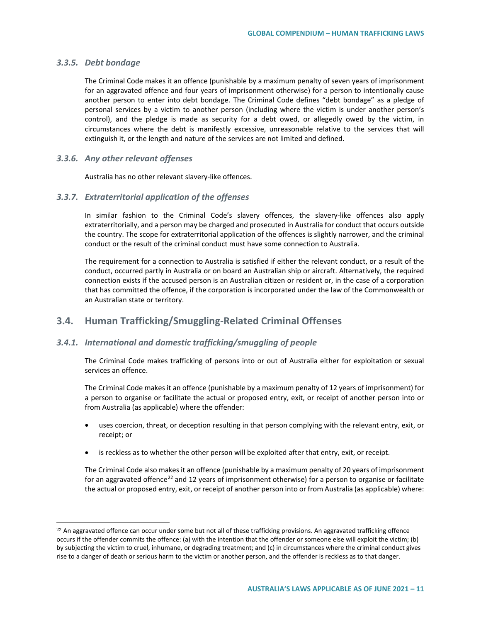## *3.3.5. Debt bondage*

 $\overline{a}$ 

The Criminal Code makes it an offence (punishable by a maximum penalty of seven years of imprisonment for an aggravated offence and four years of imprisonment otherwise) for a person to intentionally cause another person to enter into debt bondage. The Criminal Code defines "debt bondage" as a pledge of personal services by a victim to another person (including where the victim is under another person's control), and the pledge is made as security for a debt owed, or allegedly owed by the victim, in circumstances where the debt is manifestly excessive, unreasonable relative to the services that will extinguish it, or the length and nature of the services are not limited and defined.

#### *3.3.6. Any other relevant offenses*

Australia has no other relevant slavery-like offences.

#### *3.3.7. Extraterritorial application of the offenses*

In similar fashion to the Criminal Code's slavery offences, the slavery-like offences also apply extraterritorially, and a person may be charged and prosecuted in Australia for conduct that occurs outside the country. The scope for extraterritorial application of the offences is slightly narrower, and the criminal conduct or the result of the criminal conduct must have some connection to Australia.

The requirement for a connection to Australia is satisfied if either the relevant conduct, or a result of the conduct, occurred partly in Australia or on board an Australian ship or aircraft. Alternatively, the required connection exists if the accused person is an Australian citizen or resident or, in the case of a corporation that has committed the offence, if the corporation is incorporated under the law of the Commonwealth or an Australian state or territory.

# **3.4. Human Trafficking/Smuggling-Related Criminal Offenses**

## *3.4.1. International and domestic trafficking/smuggling of people*

The Criminal Code makes trafficking of persons into or out of Australia either for exploitation or sexual services an offence.

The Criminal Code makes it an offence (punishable by a maximum penalty of 12 years of imprisonment) for a person to organise or facilitate the actual or proposed entry, exit, or receipt of another person into or from Australia (as applicable) where the offender:

- uses coercion, threat, or deception resulting in that person complying with the relevant entry, exit, or receipt; or
- is reckless as to whether the other person will be exploited after that entry, exit, or receipt.

The Criminal Code also makes it an offence (punishable by a maximum penalty of 20 years of imprisonment for an aggravated offence<sup>[22](#page-10-0)</sup> and 12 years of imprisonment otherwise) for a person to organise or facilitate the actual or proposed entry, exit, or receipt of another person into or from Australia (as applicable) where:

<span id="page-10-0"></span><sup>&</sup>lt;sup>22</sup> An aggravated offence can occur under some but not all of these trafficking provisions. An aggravated trafficking offence occurs if the offender commits the offence: (a) with the intention that the offender or someone else will exploit the victim; (b) by subjecting the victim to cruel, inhumane, or degrading treatment; and (c) in circumstances where the criminal conduct gives rise to a danger of death or serious harm to the victim or another person, and the offender is reckless as to that danger.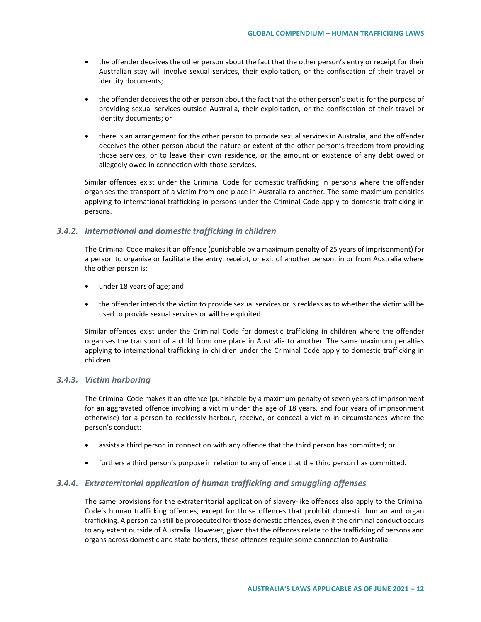- the offender deceives the other person about the fact that the other person's entry or receipt for their Australian stay will involve sexual services, their exploitation, or the confiscation of their travel or identity documents;
- the offender deceives the other person about the fact that the other person's exit is for the purpose of providing sexual services outside Australia, their exploitation, or the confiscation of their travel or identity documents; or
- there is an arrangement for the other person to provide sexual services in Australia, and the offender deceives the other person about the nature or extent of the other person's freedom from providing those services, or to leave their own residence, or the amount or existence of any debt owed or allegedly owed in connection with those services.

Similar offences exist under the Criminal Code for domestic trafficking in persons where the offender organises the transport of a victim from one place in Australia to another. The same maximum penalties applying to international trafficking in persons under the Criminal Code apply to domestic trafficking in persons.

#### *3.4.2. International and domestic trafficking in children*

The Criminal Code makes it an offence (punishable by a maximum penalty of 25 years of imprisonment) for a person to organise or facilitate the entry, receipt, or exit of another person, in or from Australia where the other person is:

- under 18 years of age; and
- the offender intends the victim to provide sexual services or is reckless as to whether the victim will be used to provide sexual services or will be exploited.

Similar offences exist under the Criminal Code for domestic trafficking in children where the offender organises the transport of a child from one place in Australia to another. The same maximum penalties applying to international trafficking in children under the Criminal Code apply to domestic trafficking in children.

#### *3.4.3. Victim harboring*

The Criminal Code makes it an offence (punishable by a maximum penalty of seven years of imprisonment for an aggravated offence involving a victim under the age of 18 years, and four years of imprisonment otherwise) for a person to recklessly harbour, receive, or conceal a victim in circumstances where the person's conduct:

- assists a third person in connection with any offence that the third person has committed; or
- furthers a third person's purpose in relation to any offence that the third person has committed.

## *3.4.4. Extraterritorial application of human trafficking and smuggling offenses*

The same provisions for the extraterritorial application of slavery-like offences also apply to the Criminal Code's human trafficking offences, except for those offences that prohibit domestic human and organ trafficking. A person can still be prosecuted for those domestic offences, even if the criminal conduct occurs to any extent outside of Australia. However, given that the offences relate to the trafficking of persons and organs across domestic and state borders, these offences require some connection to Australia.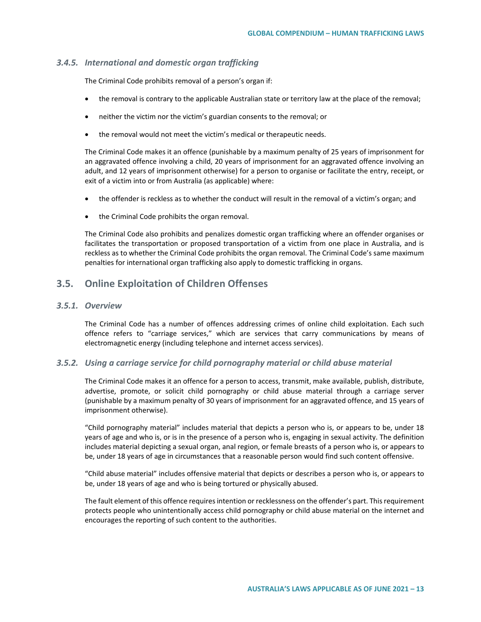#### *3.4.5. International and domestic organ trafficking*

The Criminal Code prohibits removal of a person's organ if:

- the removal is contrary to the applicable Australian state or territory law at the place of the removal;
- neither the victim nor the victim's guardian consents to the removal; or
- the removal would not meet the victim's medical or therapeutic needs.

The Criminal Code makes it an offence (punishable by a maximum penalty of 25 years of imprisonment for an aggravated offence involving a child, 20 years of imprisonment for an aggravated offence involving an adult, and 12 years of imprisonment otherwise) for a person to organise or facilitate the entry, receipt, or exit of a victim into or from Australia (as applicable) where:

- the offender is reckless as to whether the conduct will result in the removal of a victim's organ; and
- the Criminal Code prohibits the organ removal.

The Criminal Code also prohibits and penalizes domestic organ trafficking where an offender organises or facilitates the transportation or proposed transportation of a victim from one place in Australia, and is reckless as to whether the Criminal Code prohibits the organ removal. The Criminal Code's same maximum penalties for international organ trafficking also apply to domestic trafficking in organs.

# **3.5. Online Exploitation of Children Offenses**

#### *3.5.1. Overview*

The Criminal Code has a number of offences addressing crimes of online child exploitation. Each such offence refers to "carriage services," which are services that carry communications by means of electromagnetic energy (including telephone and internet access services).

#### *3.5.2. Using a carriage service for child pornography material or child abuse material*

The Criminal Code makes it an offence for a person to access, transmit, make available, publish, distribute, advertise, promote, or solicit child pornography or child abuse material through a carriage server (punishable by a maximum penalty of 30 years of imprisonment for an aggravated offence, and 15 years of imprisonment otherwise).

"Child pornography material" includes material that depicts a person who is, or appears to be, under 18 years of age and who is, or is in the presence of a person who is, engaging in sexual activity. The definition includes material depicting a sexual organ, anal region, or female breasts of a person who is, or appears to be, under 18 years of age in circumstances that a reasonable person would find such content offensive.

"Child abuse material" includes offensive material that depicts or describes a person who is, or appears to be, under 18 years of age and who is being tortured or physically abused.

The fault element of this offence requires intention or recklessness on the offender's part. This requirement protects people who unintentionally access child pornography or child abuse material on the internet and encourages the reporting of such content to the authorities.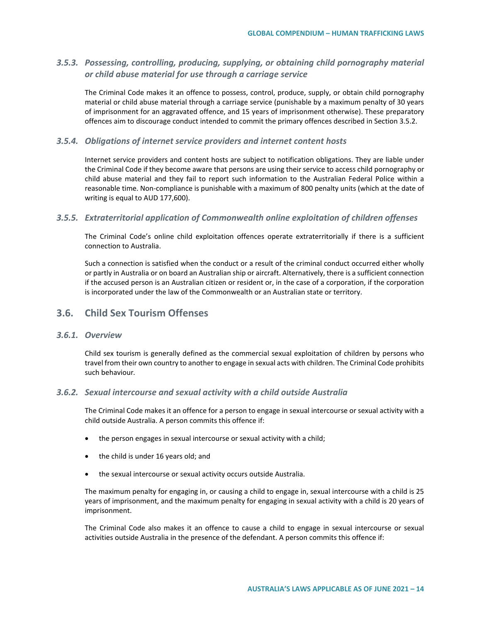# *3.5.3. Possessing, controlling, producing, supplying, or obtaining child pornography material or child abuse material for use through a carriage service*

The Criminal Code makes it an offence to possess, control, produce, supply, or obtain child pornography material or child abuse material through a carriage service (punishable by a maximum penalty of 30 years of imprisonment for an aggravated offence, and 15 years of imprisonment otherwise). These preparatory offences aim to discourage conduct intended to commit the primary offences described in Section 3.5.2.

#### *3.5.4. Obligations of internet service providers and internet content hosts*

Internet service providers and content hosts are subject to notification obligations. They are liable under the Criminal Code if they become aware that persons are using their service to access child pornography or child abuse material and they fail to report such information to the Australian Federal Police within a reasonable time. Non-compliance is punishable with a maximum of 800 penalty units (which at the date of writing is equal to AUD 177,600).

#### *3.5.5. Extraterritorial application of Commonwealth online exploitation of children offenses*

The Criminal Code's online child exploitation offences operate extraterritorially if there is a sufficient connection to Australia.

Such a connection is satisfied when the conduct or a result of the criminal conduct occurred either wholly or partly in Australia or on board an Australian ship or aircraft. Alternatively, there is a sufficient connection if the accused person is an Australian citizen or resident or, in the case of a corporation, if the corporation is incorporated under the law of the Commonwealth or an Australian state or territory.

## **3.6. Child Sex Tourism Offenses**

## *3.6.1. Overview*

Child sex tourism is generally defined as the commercial sexual exploitation of children by persons who travel from their own country to another to engage in sexual acts with children. The Criminal Code prohibits such behaviour*.*

## *3.6.2. Sexual intercourse and sexual activity with a child outside Australia*

The Criminal Code makes it an offence for a person to engage in sexual intercourse or sexual activity with a child outside Australia. A person commits this offence if:

- the person engages in sexual intercourse or sexual activity with a child;
- the child is under 16 years old; and
- the sexual intercourse or sexual activity occurs outside Australia.

The maximum penalty for engaging in, or causing a child to engage in, sexual intercourse with a child is 25 years of imprisonment, and the maximum penalty for engaging in sexual activity with a child is 20 years of imprisonment.

The Criminal Code also makes it an offence to cause a child to engage in sexual intercourse or sexual activities outside Australia in the presence of the defendant. A person commits this offence if: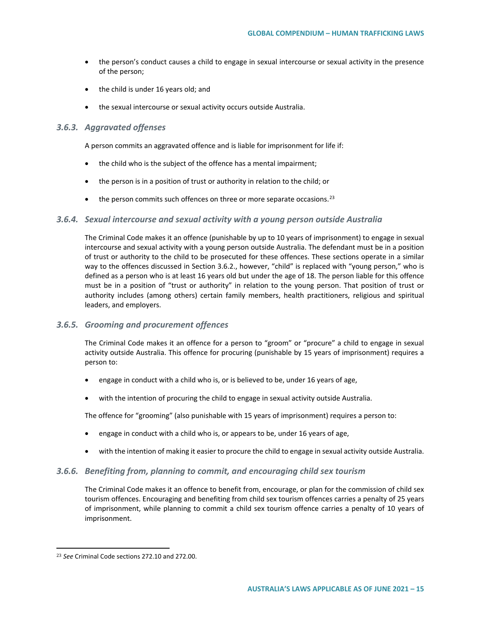- the person's conduct causes a child to engage in sexual intercourse or sexual activity in the presence of the person;
- the child is under 16 years old; and
- the sexual intercourse or sexual activity occurs outside Australia.

#### *3.6.3. Aggravated offenses*

A person commits an aggravated offence and is liable for imprisonment for life if:

- the child who is the subject of the offence has a mental impairment;
- the person is in a position of trust or authority in relation to the child; or
- $\bullet$  the person commits such offences on three or more separate occasions.<sup>[23](#page-14-0)</sup>

#### *3.6.4. Sexual intercourse and sexual activity with a young person outside Australia*

The Criminal Code makes it an offence (punishable by up to 10 years of imprisonment) to engage in sexual intercourse and sexual activity with a young person outside Australia. The defendant must be in a position of trust or authority to the child to be prosecuted for these offences. These sections operate in a similar way to the offences discussed in Section 3.6.2., however, "child" is replaced with "young person," who is defined as a person who is at least 16 years old but under the age of 18. The person liable for this offence must be in a position of "trust or authority" in relation to the young person. That position of trust or authority includes (among others) certain family members, health practitioners, religious and spiritual leaders, and employers.

## *3.6.5. Grooming and procurement offences*

The Criminal Code makes it an offence for a person to "groom" or "procure" a child to engage in sexual activity outside Australia. This offence for procuring (punishable by 15 years of imprisonment) requires a person to:

- engage in conduct with a child who is, or is believed to be, under 16 years of age,
- with the intention of procuring the child to engage in sexual activity outside Australia.

The offence for "grooming" (also punishable with 15 years of imprisonment) requires a person to:

- engage in conduct with a child who is, or appears to be, under 16 years of age,
- with the intention of making it easier to procure the child to engage in sexual activity outside Australia.

## *3.6.6. Benefiting from, planning to commit, and encouraging child sex tourism*

The Criminal Code makes it an offence to benefit from, encourage, or plan for the commission of child sex tourism offences. Encouraging and benefiting from child sex tourism offences carries a penalty of 25 years of imprisonment, while planning to commit a child sex tourism offence carries a penalty of 10 years of imprisonment.

<span id="page-14-0"></span><sup>23</sup> *See* Criminal Code sections 272.10 and 272.00.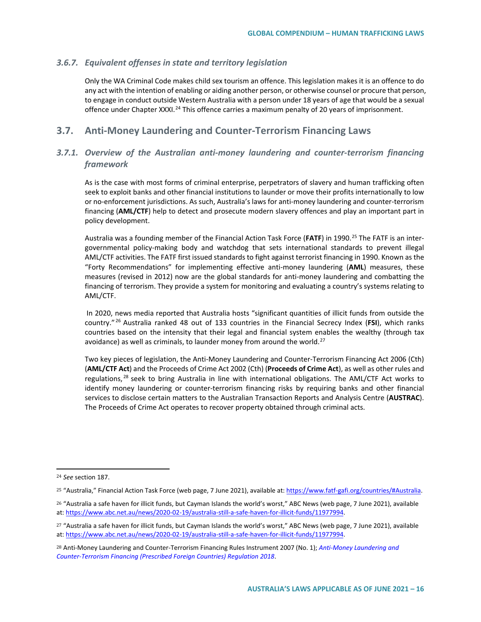#### *3.6.7. Equivalent offenses in state and territory legislation*

Only the WA Criminal Code makes child sex tourism an offence. This legislation makes it is an offence to do any act with the intention of enabling or aiding another person, or otherwise counsel or procure that person, to engage in conduct outside Western Australia with a person under 18 years of age that would be a sexual offence under Chapter XXXI.<sup>[24](#page-15-0)</sup> This offence carries a maximum penalty of 20 years of imprisonment.

# **3.7. Anti-Money Laundering and Counter-Terrorism Financing Laws**

# *3.7.1. Overview of the Australian anti-money laundering and counter-terrorism financing framework*

As is the case with most forms of criminal enterprise, perpetrators of slavery and human trafficking often seek to exploit banks and other financial institutions to launder or move their profits internationally to low or no-enforcement jurisdictions. As such, Australia's laws for anti-money laundering and counter-terrorism financing (**AML/CTF**) help to detect and prosecute modern slavery offences and play an important part in policy development.

Australia was a founding member of the Financial Action Task Force (FATF) in 1990.<sup>[25](#page-15-1)</sup> The FATF is an intergovernmental policy-making body and watchdog that sets international standards to prevent illegal AML/CTF activities. The FATF first issued standards to fight against terrorist financing in 1990. Known as the "Forty Recommendations" for implementing effective anti-money laundering (**AML**) measures, these measures (revised in 2012) now are the global standards for anti-money laundering and combatting the financing of terrorism. They provide a system for monitoring and evaluating a country's systems relating to AML/CTF.

In 2020, news media reported that Australia hosts "significant quantities of illicit funds from outside the country." [26](#page-15-2) Australia ranked 48 out of 133 countries in the Financial Secrecy Index (**FSI**), which ranks countries based on the intensity that their legal and financial system enables the wealthy (through tax avoidance) as well as criminals, to launder money from around the world. $^{27}$  $^{27}$  $^{27}$ 

Two key pieces of legislation, the Anti-Money Laundering and Counter-Terrorism Financing Act 2006 (Cth) (**AML/CTF Act**) and the Proceeds of Crime Act 2002 (Cth) (**Proceeds of Crime Act**), as well as other rules and regulations,<sup>[28](#page-15-4)</sup> seek to bring Australia in line with international obligations. The AML/CTF Act works to identify money laundering or counter-terrorism financing risks by requiring banks and other financial services to disclose certain matters to the Australian Transaction Reports and Analysis Centre (**AUSTRAC**). The Proceeds of Crime Act operates to recover property obtained through criminal acts.

<span id="page-15-0"></span><sup>24</sup> *See* section 187.

<span id="page-15-1"></span><sup>&</sup>lt;sup>25</sup> "Australia," Financial Action Task Force (web page, 7 June 2021), available at[: https://www.fatf-gafi.org/countries/#Australia.](https://www.fatf-gafi.org/countries/#Australia)

<span id="page-15-2"></span><sup>&</sup>lt;sup>26</sup> "Australia a safe haven for illicit funds, but Cayman Islands the world's worst," ABC News (web page, 7 June 2021), available at: [https://www.abc.net.au/news/2020-02-19/australia-still-a-safe-haven-for-illicit-funds/11977994.](https://www.abc.net.au/news/2020-02-19/australia-still-a-safe-haven-for-illicit-funds/11977994) 

<span id="page-15-3"></span><sup>&</sup>lt;sup>27</sup> "Australia a safe haven for illicit funds, but Cayman Islands the world's worst," ABC News (web page, 7 June 2021), available at: [https://www.abc.net.au/news/2020-02-19/australia-still-a-safe-haven-for-illicit-funds/11977994.](https://www.abc.net.au/news/2020-02-19/australia-still-a-safe-haven-for-illicit-funds/11977994) 

<span id="page-15-4"></span><sup>28</sup> Anti-Money Laundering and Counter-Terrorism Financing Rules Instrument 2007 (No. 1); *[Anti-Money Laundering and](https://www.legislation.gov.au/Details/F2018L00277)  [Counter-Terrorism Financing \(Prescribed Foreign Countries\) Regulation 2018](https://www.legislation.gov.au/Details/F2018L00277)*.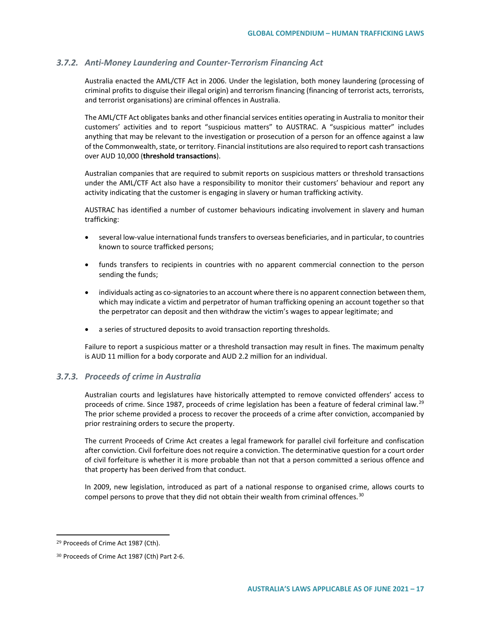## *3.7.2. Anti-Money Laundering and Counter-Terrorism Financing Act*

Australia enacted the AML/CTF Act in 2006. Under the legislation, both money laundering (processing of criminal profits to disguise their illegal origin) and terrorism financing (financing of terrorist acts, terrorists, and terrorist organisations) are criminal offences in Australia.

The AML/CTF Act obligates banks and other financial services entities operating in Australia to monitor their customers' activities and to report "suspicious matters" to AUSTRAC. A "suspicious matter" includes anything that may be relevant to the investigation or prosecution of a person for an offence against a law of the Commonwealth, state, or territory. Financial institutions are also required to report cash transactions over AUD 10,000 (**threshold transactions**).

Australian companies that are required to submit reports on suspicious matters or threshold transactions under the AML/CTF Act also have a responsibility to monitor their customers' behaviour and report any activity indicating that the customer is engaging in slavery or human trafficking activity.

AUSTRAC has identified a number of customer behaviours indicating involvement in slavery and human trafficking:

- several low-value international funds transfers to overseas beneficiaries, and in particular, to countries known to source trafficked persons;
- funds transfers to recipients in countries with no apparent commercial connection to the person sending the funds;
- individuals acting as co-signatories to an account where there is no apparent connection between them, which may indicate a victim and perpetrator of human trafficking opening an account together so that the perpetrator can deposit and then withdraw the victim's wages to appear legitimate; and
- a series of structured deposits to avoid transaction reporting thresholds.

Failure to report a suspicious matter or a threshold transaction may result in fines. The maximum penalty is AUD 11 million for a body corporate and AUD 2.2 million for an individual.

#### *3.7.3. Proceeds of crime in Australia*

Australian courts and legislatures have historically attempted to remove convicted offenders' access to proceeds of crime. Since 1987, proceeds of crime legislation has been a feature of federal criminal law.<sup>[29](#page-16-0)</sup> The prior scheme provided a process to recover the proceeds of a crime after conviction, accompanied by prior restraining orders to secure the property.

The current Proceeds of Crime Act creates a legal framework for parallel civil forfeiture and confiscation after conviction. Civil forfeiture does not require a conviction. The determinative question for a court order of civil forfeiture is whether it is more probable than not that a person committed a serious offence and that property has been derived from that conduct.

In 2009, new legislation, introduced as part of a national response to organised crime, allows courts to compel persons to prove that they did not obtain their wealth from criminal offences.<sup>[30](#page-16-1)</sup>

<span id="page-16-0"></span><sup>29</sup> Proceeds of Crime Act 1987 (Cth).

<span id="page-16-1"></span><sup>30</sup> Proceeds of Crime Act 1987 (Cth) Part 2-6.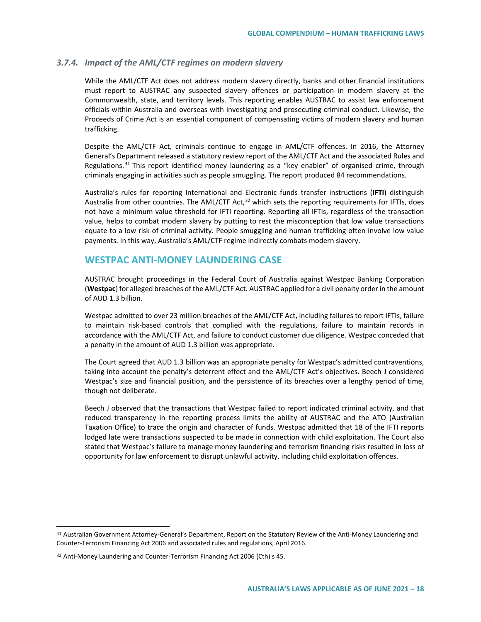#### *3.7.4. Impact of the AML/CTF regimes on modern slavery*

While the AML/CTF Act does not address modern slavery directly, banks and other financial institutions must report to AUSTRAC any suspected slavery offences or participation in modern slavery at the Commonwealth, state, and territory levels. This reporting enables AUSTRAC to assist law enforcement officials within Australia and overseas with investigating and prosecuting criminal conduct. Likewise, the Proceeds of Crime Act is an essential component of compensating victims of modern slavery and human trafficking.

Despite the AML/CTF Act*,* criminals continue to engage in AML/CTF offences. In 2016, the Attorney General's Department released a statutory review report of the AML/CTF Act and the associated Rules and Regulations.<sup>[31](#page-17-0)</sup> This report identified money laundering as a "key enabler" of organised crime, through criminals engaging in activities such as people smuggling. The report produced 84 recommendations.

Australia's rules for reporting International and Electronic funds transfer instructions (**IFTI**) distinguish Australia from other countries. The AML/CTF Act,<sup>[32](#page-17-1)</sup> which sets the reporting requirements for IFTIs, does not have a minimum value threshold for IFTI reporting. Reporting all IFTIs, regardless of the transaction value, helps to combat modern slavery by putting to rest the misconception that low value transactions equate to a low risk of criminal activity. People smuggling and human trafficking often involve low value payments. In this way, Australia's AML/CTF regime indirectly combats modern slavery.

## **WESTPAC ANTI-MONEY LAUNDERING CASE**

AUSTRAC brought proceedings in the Federal Court of Australia against Westpac Banking Corporation (**Westpac**) for alleged breaches of the AML/CTF Act*.* AUSTRAC applied for a civil penalty order in the amount of AUD 1.3 billion.

Westpac admitted to over 23 million breaches of the AML/CTF Act, including failures to report IFTIs, failure to maintain risk-based controls that complied with the regulations, failure to maintain records in accordance with the AML/CTF Act, and failure to conduct customer due diligence. Westpac conceded that a penalty in the amount of AUD 1.3 billion was appropriate.

The Court agreed that AUD 1.3 billion was an appropriate penalty for Westpac's admitted contraventions, taking into account the penalty's deterrent effect and the AML/CTF Act's objectives. Beech J considered Westpac's size and financial position, and the persistence of its breaches over a lengthy period of time, though not deliberate.

Beech J observed that the transactions that Westpac failed to report indicated criminal activity, and that reduced transparency in the reporting process limits the ability of AUSTRAC and the ATO (Australian Taxation Office) to trace the origin and character of funds. Westpac admitted that 18 of the IFTI reports lodged late were transactions suspected to be made in connection with child exploitation. The Court also stated that Westpac's failure to manage money laundering and terrorism financing risks resulted in loss of opportunity for law enforcement to disrupt unlawful activity, including child exploitation offences.

<span id="page-17-0"></span><sup>31</sup> Australian Government Attorney-General's Department, Report on the Statutory Review of the Anti-Money Laundering and Counter-Terrorism Financing Act 2006 and associated rules and regulations, April 2016.

<span id="page-17-1"></span><sup>32</sup> Anti-Money Laundering and Counter-Terrorism Financing Act 2006 (Cth) s 45.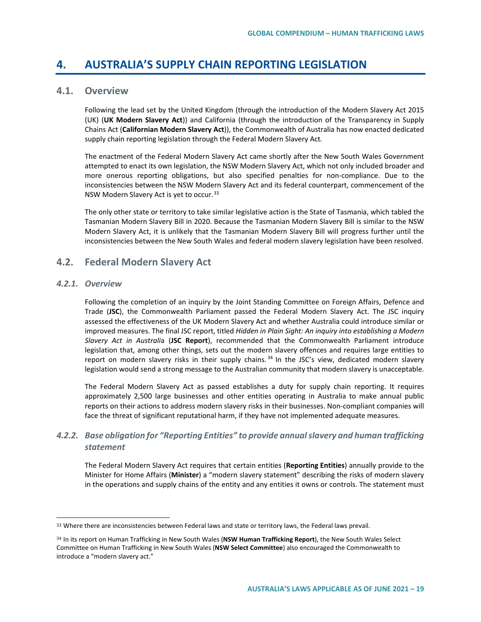# **4. AUSTRALIA'S SUPPLY CHAIN REPORTING LEGISLATION**

# **4.1. Overview**

Following the lead set by the United Kingdom (through the introduction of the Modern Slavery Act 2015 (UK) (**UK Modern Slavery Act**)) and California (through the introduction of the Transparency in Supply Chains Act (**Californian Modern Slavery Act**)), the Commonwealth of Australia has now enacted dedicated supply chain reporting legislation through the Federal Modern Slavery Act*.*

The enactment of the Federal Modern Slavery Act came shortly after the New South Wales Government attempted to enact its own legislation, the NSW Modern Slavery Act, which not only included broader and more onerous reporting obligations, but also specified penalties for non-compliance. Due to the inconsistencies between the NSW Modern Slavery Act and its federal counterpart, commencement of the NSW Modern Slavery Act is yet to occur.<sup>[33](#page-18-0)</sup>

The only other state or territory to take similar legislative action is the State of Tasmania, which tabled the Tasmanian Modern Slavery Bill in 2020. Because the Tasmanian Modern Slavery Bill is similar to the NSW Modern Slavery Act, it is unlikely that the Tasmanian Modern Slavery Bill will progress further until the inconsistencies between the New South Wales and federal modern slavery legislation have been resolved.

# **4.2. Federal Modern Slavery Act**

#### *4.2.1. Overview*

 $\overline{a}$ 

Following the completion of an inquiry by the Joint Standing Committee on Foreign Affairs, Defence and Trade (**JSC**), the Commonwealth Parliament passed the Federal Modern Slavery Act. The JSC inquiry assessed the effectiveness of the UK Modern Slavery Act and whether Australia could introduce similar or improved measures. The final JSC report, titled *Hidden in Plain Sight: An inquiry into establishing a Modern Slavery Act in Australi*a (**JSC Report**), recommended that the Commonwealth Parliament introduce legislation that, among other things, sets out the modern slavery offences and requires large entities to report on modern slavery risks in their supply chains.<sup>[34](#page-18-1)</sup> In the JSC's view, dedicated modern slavery legislation would send a strong message to the Australian community that modern slavery is unacceptable.

The Federal Modern Slavery Act as passed establishes a duty for supply chain reporting. It requires approximately 2,500 large businesses and other entities operating in Australia to make annual public reports on their actions to address modern slavery risks in their businesses. Non-compliant companies will face the threat of significant reputational harm, if they have not implemented adequate measures.

# *4.2.2. Base obligation for "Reporting Entities" to provide annual slavery and human trafficking statement*

The Federal Modern Slavery Act requires that certain entities (**Reporting Entities**) annually provide to the Minister for Home Affairs (**Minister**) a "modern slavery statement" describing the risks of modern slavery in the operations and supply chains of the entity and any entities it owns or controls. The statement must

<span id="page-18-0"></span><sup>33</sup> Where there are inconsistencies between Federal laws and state or territory laws, the Federal laws prevail.

<span id="page-18-1"></span><sup>34</sup> In its report on Human Trafficking in New South Wales (**NSW Human Trafficking Report**), the New South Wales Select Committee on Human Trafficking in New South Wales (**NSW Select Committee**) also encouraged the Commonwealth to introduce a "modern slavery act."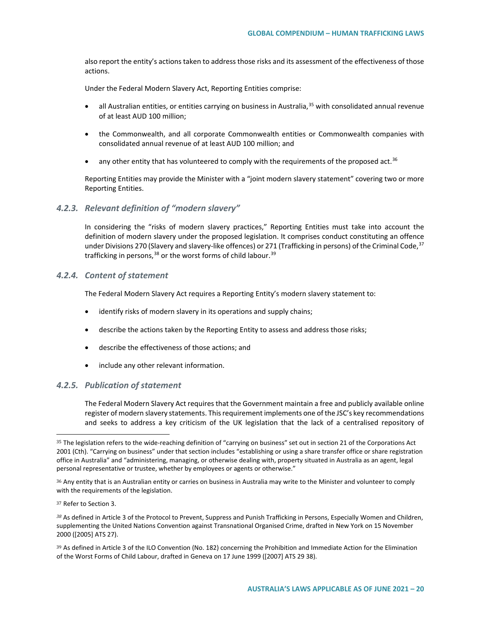also report the entity's actions taken to address those risks and its assessment of the effectiveness of those actions.

Under the Federal Modern Slavery Act, Reporting Entities comprise:

- all Australian entities, or entities carrying on business in Australia,  $35$  with consolidated annual revenue of at least AUD 100 million;
- the Commonwealth, and all corporate Commonwealth entities or Commonwealth companies with consolidated annual revenue of at least AUD 100 million; and
- $\bullet$  any other entity that has volunteered to comply with the requirements of the proposed act.<sup>[36](#page-19-1)</sup>

Reporting Entities may provide the Minister with a "joint modern slavery statement" covering two or more Reporting Entities.

## *4.2.3. Relevant definition of "modern slavery"*

In considering the "risks of modern slavery practices," Reporting Entities must take into account the definition of modern slavery under the proposed legislation. It comprises conduct constituting an offence under Divisions 270 (Slavery and slavery-like offences) or 271 (Trafficking in persons) of the Criminal Code,<sup>[37](#page-19-2)</sup> trafficking in persons,  $38$  or the worst forms of child labour.  $39$ 

## *4.2.4. Content of statement*

The Federal Modern Slavery Act requires a Reporting Entity's modern slavery statement to:

- identify risks of modern slavery in its operations and supply chains;
- describe the actions taken by the Reporting Entity to assess and address those risks;
- describe the effectiveness of those actions; and
- include any other relevant information.

## *4.2.5. Publication of statement*

The Federal Modern Slavery Act requires that the Government maintain a free and publicly available online register of modern slavery statements. This requirement implements one of the JSC's key recommendations and seeks to address a key criticism of the UK legislation that the lack of a centralised repository of

<span id="page-19-0"></span><sup>35</sup> The legislation refers to the wide-reaching definition of "carrying on business" set out in section 21 of the Corporations Act 2001 (Cth). "Carrying on business" under that section includes "establishing or using a share transfer office or share registration office in Australia" and "administering, managing, or otherwise dealing with, property situated in Australia as an agent, legal personal representative or trustee, whether by employees or agents or otherwise."

<span id="page-19-1"></span><sup>36</sup> Any entity that is an Australian entity or carries on business in Australia may write to the Minister and volunteer to comply with the requirements of the legislation.

<span id="page-19-2"></span><sup>37</sup> Refer to Section 3.

<span id="page-19-3"></span>*<sup>38</sup>* As defined in Article 3 of the Protocol to Prevent, Suppress and Punish Trafficking in Persons, Especially Women and Children, supplementing the United Nations Convention against Transnational Organised Crime, drafted in New York on 15 November 2000 ([2005] ATS 27).

<span id="page-19-4"></span><sup>&</sup>lt;sup>39</sup> As defined in Article 3 of the ILO Convention (No. 182) concerning the Prohibition and Immediate Action for the Elimination of the Worst Forms of Child Labour, drafted in Geneva on 17 June 1999 ([2007] ATS 29 38).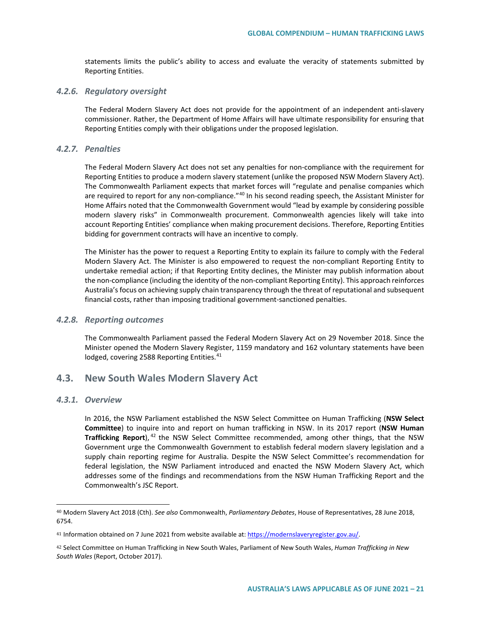statements limits the public's ability to access and evaluate the veracity of statements submitted by Reporting Entities.

#### *4.2.6. Regulatory oversight*

The Federal Modern Slavery Act does not provide for the appointment of an independent anti-slavery commissioner. Rather, the Department of Home Affairs will have ultimate responsibility for ensuring that Reporting Entities comply with their obligations under the proposed legislation.

#### *4.2.7. Penalties*

The Federal Modern Slavery Act does not set any penalties for non-compliance with the requirement for Reporting Entities to produce a modern slavery statement (unlike the proposed NSW Modern Slavery Act). The Commonwealth Parliament expects that market forces will "regulate and penalise companies which are required to report for any non-compliance."<sup>[40](#page-20-0)</sup> In his second reading speech, the Assistant Minister for Home Affairs noted that the Commonwealth Government would "lead by example by considering possible modern slavery risks" in Commonwealth procurement. Commonwealth agencies likely will take into account Reporting Entities' compliance when making procurement decisions. Therefore, Reporting Entities bidding for government contracts will have an incentive to comply.

The Minister has the power to request a Reporting Entity to explain its failure to comply with the Federal Modern Slavery Act. The Minister is also empowered to request the non-compliant Reporting Entity to undertake remedial action; if that Reporting Entity declines, the Minister may publish information about the non-compliance (including the identity of the non-compliant Reporting Entity). This approach reinforces Australia's focus on achieving supply chain transparency through the threat of reputational and subsequent financial costs, rather than imposing traditional government-sanctioned penalties.

#### *4.2.8. Reporting outcomes*

The Commonwealth Parliament passed the Federal Modern Slavery Act on 29 November 2018. Since the Minister opened the Modern Slavery Register, 1159 mandatory and 162 voluntary statements have been lodged, covering 2588 Reporting Entities.<sup>[41](#page-20-1)</sup>

## **4.3. New South Wales Modern Slavery Act**

#### *4.3.1. Overview*

 $\overline{a}$ 

In 2016, the NSW Parliament established the NSW Select Committee on Human Trafficking (**NSW Select Committee**) to inquire into and report on human trafficking in NSW. In its 2017 report (**NSW Human Trafficking Report**), [42](#page-20-2) the NSW Select Committee recommended, among other things, that the NSW Government urge the Commonwealth Government to establish federal modern slavery legislation and a supply chain reporting regime for Australia. Despite the NSW Select Committee's recommendation for federal legislation, the NSW Parliament introduced and enacted the NSW Modern Slavery Act, which addresses some of the findings and recommendations from the NSW Human Trafficking Report and the Commonwealth's JSC Report.

<span id="page-20-0"></span><sup>40</sup> Modern Slavery Act 2018 (Cth). *See also* Commonwealth, *Parliamentary Debates*, House of Representatives, 28 June 2018, 6754.

<span id="page-20-1"></span><sup>41</sup> Information obtained on 7 June 2021 from website available at[: https://modernslaveryregister.gov.au/.](https://modernslaveryregister.gov.au/)

<span id="page-20-2"></span><sup>42</sup> Select Committee on Human Trafficking in New South Wales, Parliament of New South Wales, *Human Trafficking in New South Wales* (Report, October 2017).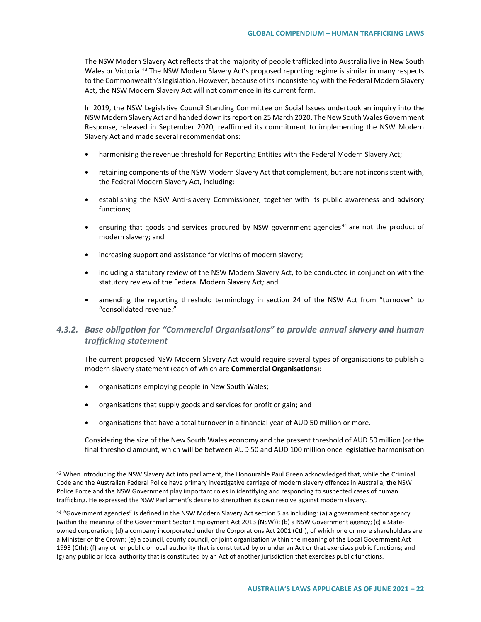The NSW Modern Slavery Act reflects that the majority of people trafficked into Australia live in New South Wales or Victoria.<sup>[43](#page-21-0)</sup> The NSW Modern Slavery Act's proposed reporting regime is similar in many respects to the Commonwealth's legislation. However, because of its inconsistency with the Federal Modern Slavery Act, the NSW Modern Slavery Act will not commence in its current form.

In 2019, the NSW Legislative Council Standing Committee on Social Issues undertook an inquiry into the NSW Modern Slavery Act and handed down its report on 25 March 2020. The New South Wales Government Response, released in September 2020, reaffirmed its commitment to implementing the NSW Modern Slavery Act and made several recommendations:

- harmonising the revenue threshold for Reporting Entities with the Federal Modern Slavery Act;
- retaining components of the NSW Modern Slavery Act that complement, but are not inconsistent with, the Federal Modern Slavery Act, including:
- establishing the NSW Anti-slavery Commissioner, together with its public awareness and advisory functions;
- ensuring that goods and services procured by NSW government agencies<sup>[44](#page-21-1)</sup> are not the product of modern slavery; and
- increasing support and assistance for victims of modern slavery;
- including a statutory review of the NSW Modern Slavery Act, to be conducted in conjunction with the statutory review of the Federal Modern Slavery Act*;* and
- amending the reporting threshold terminology in section 24 of the NSW Act from "turnover" to "consolidated revenue."

# *4.3.2. Base obligation for "Commercial Organisations" to provide annual slavery and human trafficking statement*

The current proposed NSW Modern Slavery Act would require several types of organisations to publish a modern slavery statement (each of which are **Commercial Organisations**):

• organisations employing people in New South Wales;

 $\overline{a}$ 

- organisations that supply goods and services for profit or gain; and
- organisations that have a total turnover in a financial year of AUD 50 million or more.

Considering the size of the New South Wales economy and the present threshold of AUD 50 million (or the final threshold amount, which will be between AUD 50 and AUD 100 million once legislative harmonisation

<span id="page-21-0"></span><sup>43</sup> When introducing the NSW Slavery Act into parliament, the Honourable Paul Green acknowledged that, while the Criminal Code and the Australian Federal Police have primary investigative carriage of modern slavery offences in Australia, the NSW Police Force and the NSW Government play important roles in identifying and responding to suspected cases of human trafficking. He expressed the NSW Parliament's desire to strengthen its own resolve against modern slavery.

<span id="page-21-1"></span><sup>44</sup> "Government agencies" is defined in the NSW Modern Slavery Act section 5 as including: (a) a government sector agency (within the meaning of the Government Sector Employment Act 2013 (NSW)); (b) a NSW Government agency; (c) a Stateowned corporation; (d) a company incorporated under the Corporations Act 2001 (Cth), of which one or more shareholders are a Minister of the Crown; (e) a council, county council, or joint organisation within the meaning of the Local Government Act 1993 (Cth); (f) any other public or local authority that is constituted by or under an Act or that exercises public functions; and (g) any public or local authority that is constituted by an Act of another jurisdiction that exercises public functions.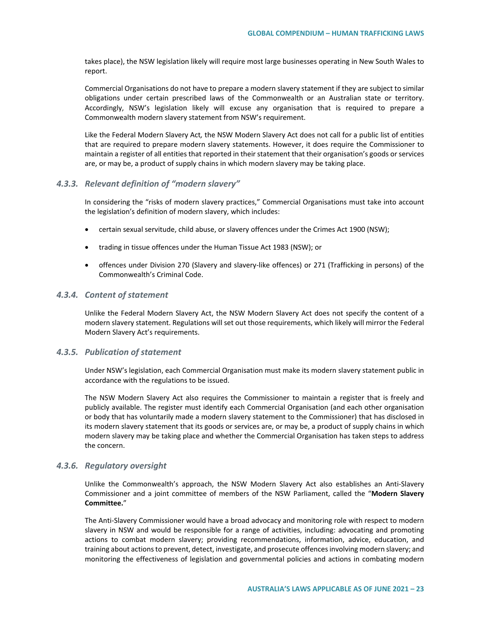takes place), the NSW legislation likely will require most large businesses operating in New South Wales to report.

Commercial Organisations do not have to prepare a modern slavery statement if they are subject to similar obligations under certain prescribed laws of the Commonwealth or an Australian state or territory. Accordingly, NSW's legislation likely will excuse any organisation that is required to prepare a Commonwealth modern slavery statement from NSW's requirement.

Like the Federal Modern Slavery Act*,* the NSW Modern Slavery Act does not call for a public list of entities that are required to prepare modern slavery statements. However, it does require the Commissioner to maintain a register of all entities that reported in their statement that their organisation's goods or services are, or may be, a product of supply chains in which modern slavery may be taking place.

#### *4.3.3. Relevant definition of "modern slavery"*

In considering the "risks of modern slavery practices," Commercial Organisations must take into account the legislation's definition of modern slavery, which includes:

- certain sexual servitude, child abuse, or slavery offences under the Crimes Act 1900 (NSW);
- trading in tissue offences under the Human Tissue Act 1983 (NSW); or
- offences under Division 270 (Slavery and slavery-like offences) or 271 (Trafficking in persons) of the Commonwealth's Criminal Code.

#### *4.3.4. Content of statement*

Unlike the Federal Modern Slavery Act, the NSW Modern Slavery Act does not specify the content of a modern slavery statement. Regulations will set out those requirements, which likely will mirror the Federal Modern Slavery Act's requirements.

#### *4.3.5. Publication of statement*

Under NSW's legislation, each Commercial Organisation must make its modern slavery statement public in accordance with the regulations to be issued.

The NSW Modern Slavery Act also requires the Commissioner to maintain a register that is freely and publicly available. The register must identify each Commercial Organisation (and each other organisation or body that has voluntarily made a modern slavery statement to the Commissioner) that has disclosed in its modern slavery statement that its goods or services are, or may be, a product of supply chains in which modern slavery may be taking place and whether the Commercial Organisation has taken steps to address the concern.

#### *4.3.6. Regulatory oversight*

Unlike the Commonwealth's approach, the NSW Modern Slavery Act also establishes an Anti-Slavery Commissioner and a joint committee of members of the NSW Parliament, called the "**Modern Slavery Committee.**"

The Anti-Slavery Commissioner would have a broad advocacy and monitoring role with respect to modern slavery in NSW and would be responsible for a range of activities, including: advocating and promoting actions to combat modern slavery; providing recommendations, information, advice, education, and training about actions to prevent, detect, investigate, and prosecute offences involving modern slavery; and monitoring the effectiveness of legislation and governmental policies and actions in combating modern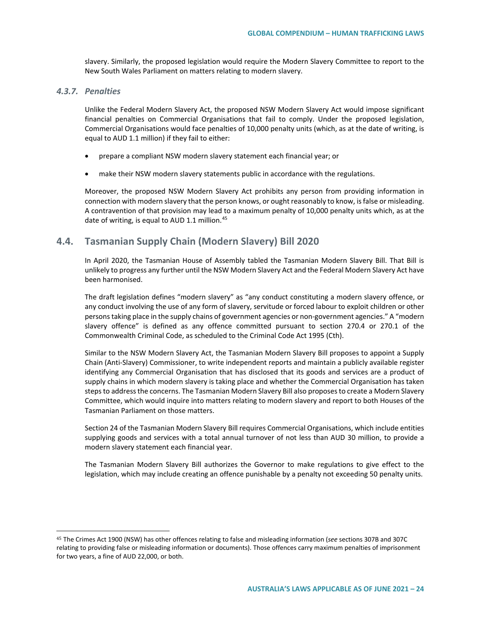slavery. Similarly, the proposed legislation would require the Modern Slavery Committee to report to the New South Wales Parliament on matters relating to modern slavery.

## *4.3.7. Penalties*

 $\overline{a}$ 

Unlike the Federal Modern Slavery Act, the proposed NSW Modern Slavery Act would impose significant financial penalties on Commercial Organisations that fail to comply. Under the proposed legislation, Commercial Organisations would face penalties of 10,000 penalty units (which, as at the date of writing, is equal to AUD 1.1 million) if they fail to either:

- prepare a compliant NSW modern slavery statement each financial year; or
- make their NSW modern slavery statements public in accordance with the regulations.

Moreover, the proposed NSW Modern Slavery Act prohibits any person from providing information in connection with modern slavery that the person knows, or ought reasonably to know, is false or misleading. A contravention of that provision may lead to a maximum penalty of 10,000 penalty units which, as at the date of writing, is equal to AUD 1.1 million. $45$ 

# **4.4. Tasmanian Supply Chain (Modern Slavery) Bill 2020**

In April 2020, the Tasmanian House of Assembly tabled the Tasmanian Modern Slavery Bill. That Bill is unlikely to progress any further until the NSW Modern Slavery Act and the Federal Modern Slavery Act have been harmonised.

The draft legislation defines "modern slavery" as "any conduct constituting a modern slavery offence, or any conduct involving the use of any form of slavery, servitude or forced labour to exploit children or other persons taking place in the supply chains of government agencies or non-government agencies." A "modern slavery offence" is defined as any offence committed pursuant to section 270.4 or 270.1 of the Commonwealth Criminal Code, as scheduled to the Criminal Code Act 1995 (Cth).

Similar to the NSW Modern Slavery Act, the Tasmanian Modern Slavery Bill proposes to appoint a Supply Chain (Anti-Slavery) Commissioner, to write independent reports and maintain a publicly available register identifying any Commercial Organisation that has disclosed that its goods and services are a product of supply chains in which modern slavery is taking place and whether the Commercial Organisation has taken steps to address the concerns. The Tasmanian Modern Slavery Bill also proposes to create a Modern Slavery Committee, which would inquire into matters relating to modern slavery and report to both Houses of the Tasmanian Parliament on those matters.

Section 24 of the Tasmanian Modern Slavery Bill requires Commercial Organisations, which include entities supplying goods and services with a total annual turnover of not less than AUD 30 million, to provide a modern slavery statement each financial year.

The Tasmanian Modern Slavery Bill authorizes the Governor to make regulations to give effect to the legislation, which may include creating an offence punishable by a penalty not exceeding 50 penalty units.

<span id="page-23-0"></span><sup>45</sup> The Crimes Act 1900 (NSW) has other offences relating to false and misleading information (*see* sections 307B and 307C relating to providing false or misleading information or documents). Those offences carry maximum penalties of imprisonment for two years, a fine of AUD 22,000, or both.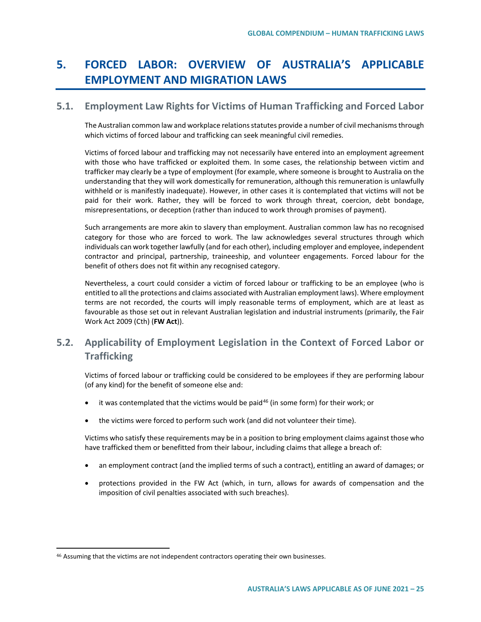# **5. FORCED LABOR: OVERVIEW OF AUSTRALIA'S APPLICABLE EMPLOYMENT AND MIGRATION LAWS**

## **5.1. Employment Law Rights for Victims of Human Trafficking and Forced Labor**

The Australian common law and workplace relations statutes provide a number of civil mechanisms through which victims of forced labour and trafficking can seek meaningful civil remedies.

Victims of forced labour and trafficking may not necessarily have entered into an employment agreement with those who have trafficked or exploited them. In some cases, the relationship between victim and trafficker may clearly be a type of employment (for example, where someone is brought to Australia on the understanding that they will work domestically for remuneration, although this remuneration is unlawfully withheld or is manifestly inadequate). However, in other cases it is contemplated that victims will not be paid for their work. Rather, they will be forced to work through threat, coercion, debt bondage, misrepresentations, or deception (rather than induced to work through promises of payment).

Such arrangements are more akin to slavery than employment. Australian common law has no recognised category for those who are forced to work. The law acknowledges several structures through which individuals can work together lawfully (and for each other), including employer and employee, independent contractor and principal, partnership, traineeship, and volunteer engagements. Forced labour for the benefit of others does not fit within any recognised category.

Nevertheless, a court could consider a victim of forced labour or trafficking to be an employee (who is entitled to all the protections and claims associated with Australian employment laws). Where employment terms are not recorded, the courts will imply reasonable terms of employment, which are at least as favourable as those set out in relevant Australian legislation and industrial instruments (primarily, the Fair Work Act 2009 (Cth) (**FW Act**)).

# **5.2. Applicability of Employment Legislation in the Context of Forced Labor or Trafficking**

Victims of forced labour or trafficking could be considered to be employees if they are performing labour (of any kind) for the benefit of someone else and:

- $\bullet$  it was contemplated that the victims would be paid<sup>[46](#page-24-0)</sup> (in some form) for their work; or
- the victims were forced to perform such work (and did not volunteer their time).

Victims who satisfy these requirements may be in a position to bring employment claims against those who have trafficked them or benefitted from their labour, including claims that allege a breach of:

- an employment contract (and the implied terms of such a contract), entitling an award of damages; or
- protections provided in the FW Act (which, in turn, allows for awards of compensation and the imposition of civil penalties associated with such breaches).

<span id="page-24-0"></span><sup>46</sup> Assuming that the victims are not independent contractors operating their own businesses.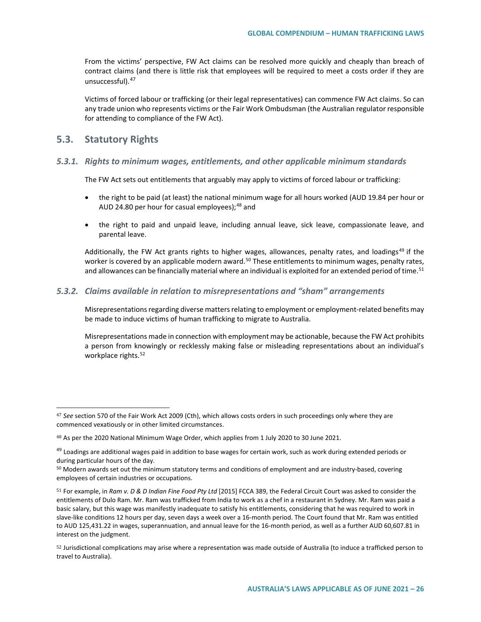From the victims' perspective, FW Act claims can be resolved more quickly and cheaply than breach of contract claims (and there is little risk that employees will be required to meet a costs order if they are unsuccessful). <sup>[47](#page-25-0)</sup>

Victims of forced labour or trafficking (or their legal representatives) can commence FW Act claims. So can any trade union who represents victims or the Fair Work Ombudsman (the Australian regulator responsible for attending to compliance of the FW Act).

## **5.3. Statutory Rights**

 $\overline{a}$ 

#### *5.3.1. Rights to minimum wages, entitlements, and other applicable minimum standards*

The FW Act sets out entitlements that arguably may apply to victims of forced labour or trafficking:

- the right to be paid (at least) the national minimum wage for all hours worked (AUD 19.84 per hour or AUD 24.80 per hour for casual employees); $48$  and
- the right to paid and unpaid leave, including annual leave, sick leave, compassionate leave, and parental leave.

Additionally, the FW Act grants rights to higher wages, allowances, penalty rates, and loadings<sup>[49](#page-25-2)</sup> if the worker is covered by an applicable modern award.<sup>[50](#page-25-3)</sup> These entitlements to minimum wages, penalty rates, and allowances can be financially material where an individual is exploited for an extended period of time.<sup>[51](#page-25-4)</sup>

## *5.3.2. Claims available in relation to misrepresentations and "sham" arrangements*

Misrepresentations regarding diverse matters relating to employment or employment-related benefits may be made to induce victims of human trafficking to migrate to Australia.

Misrepresentations made in connection with employment may be actionable, because the FW Act prohibits a person from knowingly or recklessly making false or misleading representations about an individual's workplace rights.<sup>[52](#page-25-5)</sup>

<span id="page-25-0"></span><sup>47</sup> *See* section 570 of the Fair Work Act 2009 (Cth), which allows costs orders in such proceedings only where they are commenced vexatiously or in other limited circumstances.

<span id="page-25-1"></span><sup>48</sup> As per the 2020 National Minimum Wage Order, which applies from 1 July 2020 to 30 June 2021.

<span id="page-25-2"></span><sup>&</sup>lt;sup>49</sup> Loadings are additional wages paid in addition to base wages for certain work, such as work during extended periods or during particular hours of the day.

<span id="page-25-3"></span><sup>&</sup>lt;sup>50</sup> Modern awards set out the minimum statutory terms and conditions of employment and are industry-based, covering employees of certain industries or occupations.

<span id="page-25-4"></span><sup>51</sup> For example, in *Ram v. D & D Indian Fine Food Pty Ltd* [2015] FCCA 389, the Federal Circuit Court was asked to consider the entitlements of Dulo Ram. Mr. Ram was trafficked from India to work as a chef in a restaurant in Sydney. Mr. Ram was paid a basic salary, but this wage was manifestly inadequate to satisfy his entitlements, considering that he was required to work in slave-like conditions 12 hours per day, seven days a week over a 16-month period. The Court found that Mr. Ram was entitled to AUD 125,431.22 in wages, superannuation, and annual leave for the 16-month period, as well as a further AUD 60,607.81 in interest on the judgment.

<span id="page-25-5"></span><sup>52</sup> Jurisdictional complications may arise where a representation was made outside of Australia (to induce a trafficked person to travel to Australia).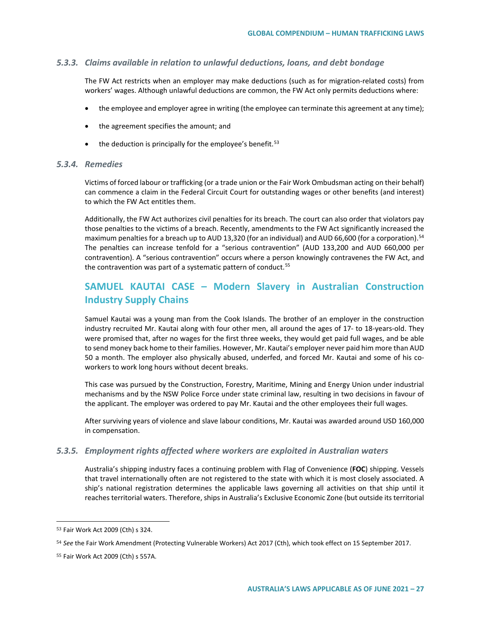#### *5.3.3. Claims available in relation to unlawful deductions, loans, and debt bondage*

The FW Act restricts when an employer may make deductions (such as for migration-related costs) from workers' wages. Although unlawful deductions are common, the FW Act only permits deductions where:

- the employee and employer agree in writing (the employee can terminate this agreement at any time);
- the agreement specifies the amount; and
- $\bullet$  the deduction is principally for the employee's benefit.<sup>[53](#page-26-0)</sup>

#### *5.3.4. Remedies*

Victims of forced labour or trafficking (or a trade union or the Fair Work Ombudsman acting on their behalf) can commence a claim in the Federal Circuit Court for outstanding wages or other benefits (and interest) to which the FW Act entitles them.

Additionally, the FW Act authorizes civil penalties for its breach. The court can also order that violators pay those penalties to the victims of a breach. Recently, amendments to the FW Act significantly increased the maximum penalties for a breach up to AUD 13,320 (for an individual) and AUD 66,600 (for a corporation).<sup>54</sup> The penalties can increase tenfold for a "serious contravention" (AUD 133,200 and AUD 660,000 per contravention). A "serious contravention" occurs where a person knowingly contravenes the FW Act, and the contravention was part of a systematic pattern of conduct.<sup>[55](#page-26-2)</sup>

# **SAMUEL KAUTAI CASE – Modern Slavery in Australian Construction Industry Supply Chains**

Samuel Kautai was a young man from the Cook Islands. The brother of an employer in the construction industry recruited Mr. Kautai along with four other men, all around the ages of 17- to 18-years-old. They were promised that, after no wages for the first three weeks, they would get paid full wages, and be able to send money back home to their families. However, Mr. Kautai's employer never paid him more than AUD 50 a month. The employer also physically abused, underfed, and forced Mr. Kautai and some of his coworkers to work long hours without decent breaks.

This case was pursued by the Construction, Forestry, Maritime, Mining and Energy Union under industrial mechanisms and by the NSW Police Force under state criminal law, resulting in two decisions in favour of the applicant. The employer was ordered to pay Mr. Kautai and the other employees their full wages.

After surviving years of violence and slave labour conditions, Mr. Kautai was awarded around USD 160,000 in compensation.

#### *5.3.5. Employment rights affected where workers are exploited in Australian waters*

Australia's shipping industry faces a continuing problem with Flag of Convenience (**FOC**) shipping. Vessels that travel internationally often are not registered to the state with which it is most closely associated. A ship's national registration determines the applicable laws governing all activities on that ship until it reaches territorial waters. Therefore, ships in Australia's Exclusive Economic Zone (but outside its territorial

<span id="page-26-0"></span><sup>53</sup> Fair Work Act 2009 (Cth) s 324.

<span id="page-26-1"></span><sup>54</sup> *See* the Fair Work Amendment (Protecting Vulnerable Workers) Act 2017 (Cth), which took effect on 15 September 2017.

<span id="page-26-2"></span><sup>55</sup> Fair Work Act 2009 (Cth) s 557A.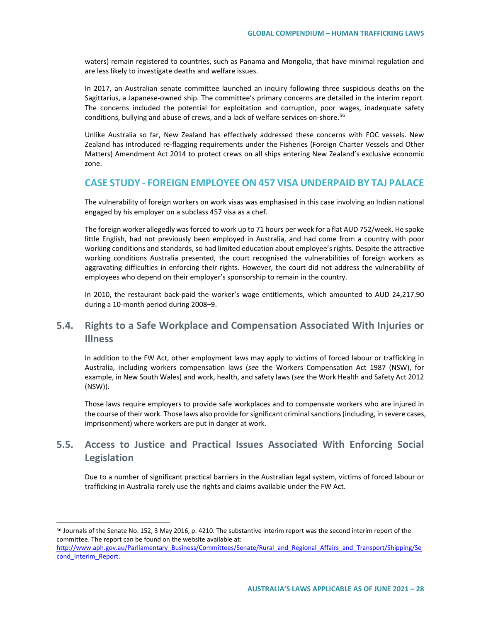waters) remain registered to countries, such as Panama and Mongolia, that have minimal regulation and are less likely to investigate deaths and welfare issues.

In 2017, an Australian senate committee launched an inquiry following three suspicious deaths on the Sagittarius, a Japanese-owned ship. The committee's primary concerns are detailed in the interim report. The concerns included the potential for exploitation and corruption, poor wages, inadequate safety conditions, bullying and abuse of crews, and a lack of welfare services on-shore.<sup>[56](#page-27-0)</sup>

Unlike Australia so far, New Zealand has effectively addressed these concerns with FOC vessels. New Zealand has introduced re-flagging requirements under the Fisheries (Foreign Charter Vessels and Other Matters) Amendment Act 2014 to protect crews on all ships entering New Zealand's exclusive economic zone.

# **CASE STUDY - FOREIGN EMPLOYEE ON 457 VISA UNDERPAID BY TAJ PALACE**

The vulnerability of foreign workers on work visas was emphasised in this case involving an Indian national engaged by his employer on a subclass 457 visa as a chef.

The foreign worker allegedly was forced to work up to 71 hours per week for a flat AUD 752/week. He spoke little English, had not previously been employed in Australia, and had come from a country with poor working conditions and standards, so had limited education about employee's rights. Despite the attractive working conditions Australia presented, the court recognised the vulnerabilities of foreign workers as aggravating difficulties in enforcing their rights. However, the court did not address the vulnerability of employees who depend on their employer's sponsorship to remain in the country.

In 2010, the restaurant back-paid the worker's wage entitlements, which amounted to AUD 24,217.90 during a 10-month period during 2008–9.

# **5.4. Rights to a Safe Workplace and Compensation Associated With Injuries or Illness**

In addition to the FW Act, other employment laws may apply to victims of forced labour or trafficking in Australia, including workers compensation laws (*see* the Workers Compensation Act 1987 (NSW), for example, in New South Wales) and work, health, and safety laws (*see* the Work Health and Safety Act 2012 (NSW)).

Those laws require employers to provide safe workplaces and to compensate workers who are injured in the course of their work. Those laws also provide for significant criminal sanctions (including, in severe cases, imprisonment) where workers are put in danger at work.

# **5.5. Access to Justice and Practical Issues Associated With Enforcing Social Legislation**

Due to a number of significant practical barriers in the Australian legal system, victims of forced labour or trafficking in Australia rarely use the rights and claims available under the FW Act.

<span id="page-27-0"></span><sup>56</sup> Journals of the Senate No. 152, 3 May 2016, p. 4210. The substantive interim report was the second interim report of the committee. The report can be found on the website available at:

[http://www.aph.gov.au/Parliamentary\\_Business/Committees/Senate/Rural\\_and\\_Regional\\_Affairs\\_and\\_Transport/Shipping/Se](http://www.aph.gov.au/Parliamentary_Business/Committees/Senate/Rural_and_Regional_Affairs_and_Transport/Shipping/Second_Interim_Report) [cond\\_Interim\\_Report.](http://www.aph.gov.au/Parliamentary_Business/Committees/Senate/Rural_and_Regional_Affairs_and_Transport/Shipping/Second_Interim_Report)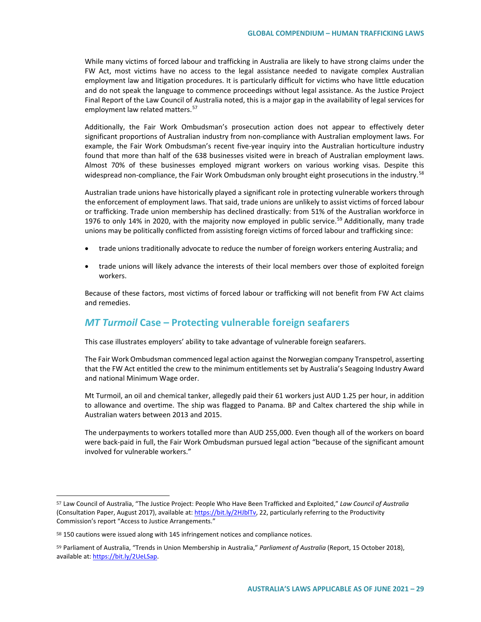While many victims of forced labour and trafficking in Australia are likely to have strong claims under the FW Act, most victims have no access to the legal assistance needed to navigate complex Australian employment law and litigation procedures. It is particularly difficult for victims who have little education and do not speak the language to commence proceedings without legal assistance. As the Justice Project Final Report of the Law Council of Australia noted, this is a major gap in the availability of legal services for employment law related matters.<sup>[57](#page-28-0)</sup>

Additionally, the Fair Work Ombudsman's prosecution action does not appear to effectively deter significant proportions of Australian industry from non-compliance with Australian employment laws. For example, the Fair Work Ombudsman's recent five-year inquiry into the Australian horticulture industry found that more than half of the 638 businesses visited were in breach of Australian employment laws. Almost 70% of these businesses employed migrant workers on various working visas. Despite this widespread non-compliance, the Fair Work Ombudsman only brought eight prosecutions in the industry.<sup>[58](#page-28-1)</sup>

Australian trade unions have historically played a significant role in protecting vulnerable workers through the enforcement of employment laws. That said, trade unions are unlikely to assist victims of forced labour or trafficking. Trade union membership has declined drastically: from 51% of the Australian workforce in 1976 to only 14% in 2020, with the majority now employed in public service.<sup>[59](#page-28-2)</sup> Additionally, many trade unions may be politically conflicted from assisting foreign victims of forced labour and trafficking since:

- trade unions traditionally advocate to reduce the number of foreign workers entering Australia; and
- trade unions will likely advance the interests of their local members over those of exploited foreign workers.

Because of these factors, most victims of forced labour or trafficking will not benefit from FW Act claims and remedies.

# *MT Turmoil* **Case – Protecting vulnerable foreign seafarers**

This case illustrates employers' ability to take advantage of vulnerable foreign seafarers.

The Fair Work Ombudsman commenced legal action against the Norwegian company Transpetrol, asserting that the FW Act entitled the crew to the minimum entitlements set by Australia's Seagoing Industry Award and national Minimum Wage order.

Mt Turmoil, an oil and chemical tanker, allegedly paid their 61 workers just AUD 1.25 per hour, in addition to allowance and overtime. The ship was flagged to Panama. BP and Caltex chartered the ship while in Australian waters between 2013 and 2015.

The underpayments to workers totalled more than AUD 255,000. Even though all of the workers on board were back-paid in full, the Fair Work Ombudsman pursued legal action "because of the significant amount involved for vulnerable workers."

<span id="page-28-0"></span><sup>57</sup> Law Council of Australia, "The Justice Project: People Who Have Been Trafficked and Exploited," *Law Council of Australia*  (Consultation Paper, August 2017), available at[: https://bit.ly/2HJblTv,](https://bit.ly/2HJblTv) 22, particularly referring to the Productivity Commission's report "Access to Justice Arrangements."

<span id="page-28-1"></span><sup>58</sup> 150 cautions were issued along with 145 infringement notices and compliance notices.

<span id="page-28-2"></span><sup>59</sup> Parliament of Australia, "Trends in Union Membership in Australia," *Parliament of Australia* (Report, 15 October 2018), available at[: https://bit.ly/2UeLSap.](https://bit.ly/2UeLSap)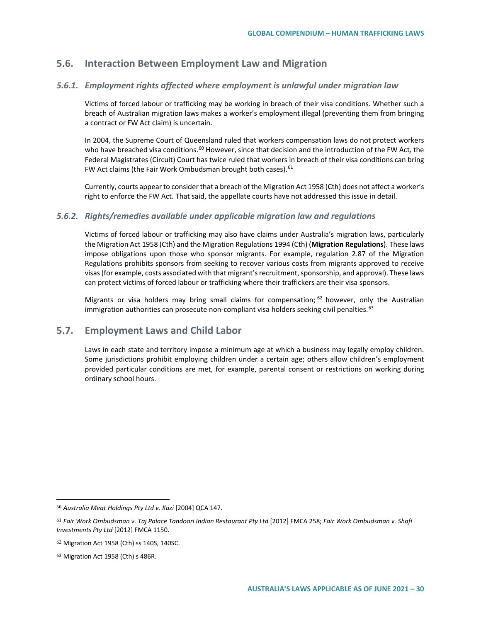# **5.6. Interaction Between Employment Law and Migration**

## *5.6.1. Employment rights affected where employment is unlawful under migration law*

Victims of forced labour or trafficking may be working in breach of their visa conditions. Whether such a breach of Australian migration laws makes a worker's employment illegal (preventing them from bringing a contract or FW Act claim) is uncertain.

In 2004, the Supreme Court of Queensland ruled that workers compensation laws do not protect workers who have breached visa conditions.<sup>[60](#page-29-0)</sup> However, since that decision and the introduction of the FW Act, the Federal Magistrates (Circuit) Court has twice ruled that workers in breach of their visa conditions can bring FW Act claims (the Fair Work Ombudsman brought both cases). [61](#page-29-1)

Currently, courts appear to consider that a breach of the Migration Act 1958 (Cth) does not affect a worker's right to enforce the FW Act. That said, the appellate courts have not addressed this issue in detail.

## *5.6.2. Rights/remedies available under applicable migration law and regulations*

Victims of forced labour or trafficking may also have claims under Australia's migration laws, particularly the Migration Act 1958 (Cth) and the Migration Regulations 1994 (Cth) (**Migration Regulations**). These laws impose obligations upon those who sponsor migrants. For example, regulation 2.87 of the Migration Regulations prohibits sponsors from seeking to recover various costs from migrants approved to receive visas (for example, costs associated with that migrant's recruitment, sponsorship, and approval). These laws can protect victims of forced labour or trafficking where their traffickers are their visa sponsors.

Migrants or visa holders may bring small claims for compensation;  $62$  however, only the Australian immigration authorities can prosecute non-compliant visa holders seeking civil penalties.<sup>[63](#page-29-3)</sup>

# **5.7. Employment Laws and Child Labor**

Laws in each state and territory impose a minimum age at which a business may legally employ children. Some jurisdictions prohibit employing children under a certain age; others allow children's employment provided particular conditions are met, for example, parental consent or restrictions on working during ordinary school hours.

<span id="page-29-0"></span><sup>60</sup> *Australia Meat Holdings Pty Ltd v. Kazi* [2004] QCA 147.

<span id="page-29-1"></span><sup>61</sup> *Fair Work Ombudsman v. Taj Palace Tandoori Indian Restaurant Pty Ltd* [2012] FMCA 258; *Fair Work Ombudsman v. Shafi Investments Pty Ltd* [2012] FMCA 1150.

<span id="page-29-2"></span><sup>62</sup> Migration Act 1958 (Cth) ss 140S, 140SC.

<span id="page-29-3"></span><sup>63</sup> Migration Act 1958 (Cth) s 486R.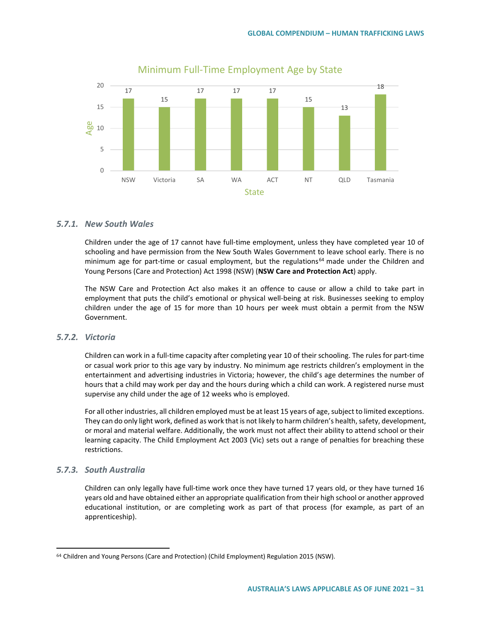

## Minimum Full-Time Employment Age by State

#### *5.7.1. New South Wales*

Children under the age of 17 cannot have full-time employment, unless they have completed year 10 of schooling and have permission from the New South Wales Government to leave school early. There is no minimum age for part-time or casual employment, but the regulations<sup>[64](#page-30-0)</sup> made under the Children and Young Persons (Care and Protection) Act 1998 (NSW) (**NSW Care and Protection Act**) apply.

The NSW Care and Protection Act also makes it an offence to cause or allow a child to take part in employment that puts the child's emotional or physical well-being at risk. Businesses seeking to employ children under the age of 15 for more than 10 hours per week must obtain a permit from the NSW Government.

## *5.7.2. Victoria*

Children can work in a full-time capacity after completing year 10 of their schooling. The rules for part-time or casual work prior to this age vary by industry. No minimum age restricts children's employment in the entertainment and advertising industries in Victoria; however, the child's age determines the number of hours that a child may work per day and the hours during which a child can work. A registered nurse must supervise any child under the age of 12 weeks who is employed.

For all other industries, all children employed must be at least 15 years of age, subject to limited exceptions. They can do only light work, defined as work that is not likely to harm children's health, safety, development, or moral and material welfare. Additionally, the work must not affect their ability to attend school or their learning capacity. The Child Employment Act 2003 (Vic) sets out a range of penalties for breaching these restrictions.

## *5.7.3. South Australia*

 $\overline{a}$ 

Children can only legally have full-time work once they have turned 17 years old, or they have turned 16 years old and have obtained either an appropriate qualification from their high school or another approved educational institution, or are completing work as part of that process (for example, as part of an apprenticeship).

<span id="page-30-0"></span><sup>64</sup> Children and Young Persons (Care and Protection) (Child Employment) Regulation 2015 (NSW).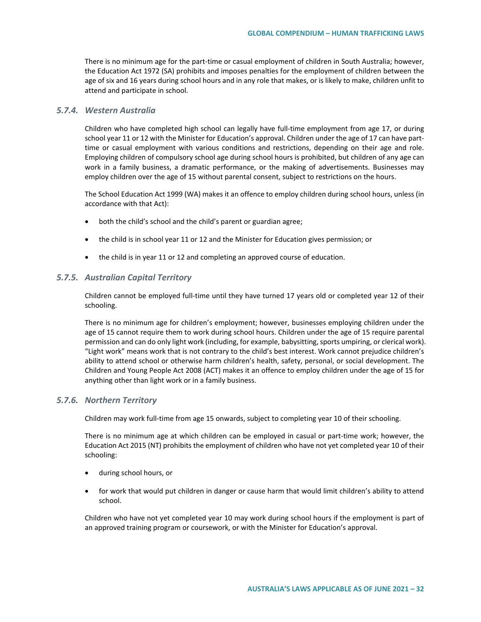There is no minimum age for the part-time or casual employment of children in South Australia; however, the Education Act 1972 (SA) prohibits and imposes penalties for the employment of children between the age of six and 16 years during school hours and in any role that makes, or is likely to make, children unfit to attend and participate in school.

#### *5.7.4. Western Australia*

Children who have completed high school can legally have full-time employment from age 17, or during school year 11 or 12 with the Minister for Education's approval. Children under the age of 17 can have parttime or casual employment with various conditions and restrictions, depending on their age and role. Employing children of compulsory school age during school hours is prohibited, but children of any age can work in a family business, a dramatic performance, or the making of advertisements. Businesses may employ children over the age of 15 without parental consent, subject to restrictions on the hours.

The School Education Act 1999 (WA) makes it an offence to employ children during school hours, unless (in accordance with that Act):

- both the child's school and the child's parent or guardian agree;
- the child is in school year 11 or 12 and the Minister for Education gives permission; or
- the child is in year 11 or 12 and completing an approved course of education.

#### *5.7.5. Australian Capital Territory*

Children cannot be employed full-time until they have turned 17 years old or completed year 12 of their schooling.

There is no minimum age for children's employment; however, businesses employing children under the age of 15 cannot require them to work during school hours. Children under the age of 15 require parental permission and can do only light work (including, for example, babysitting, sports umpiring, or clerical work). "Light work" means work that is not contrary to the child's best interest. Work cannot prejudice children's ability to attend school or otherwise harm children's health, safety, personal, or social development. The Children and Young People Act 2008 (ACT) makes it an offence to employ children under the age of 15 for anything other than light work or in a family business.

#### *5.7.6. Northern Territory*

Children may work full-time from age 15 onwards, subject to completing year 10 of their schooling.

There is no minimum age at which children can be employed in casual or part-time work; however, the Education Act 2015 (NT) prohibits the employment of children who have not yet completed year 10 of their schooling:

- during school hours, or
- for work that would put children in danger or cause harm that would limit children's ability to attend school.

Children who have not yet completed year 10 may work during school hours if the employment is part of an approved training program or coursework, or with the Minister for Education's approval.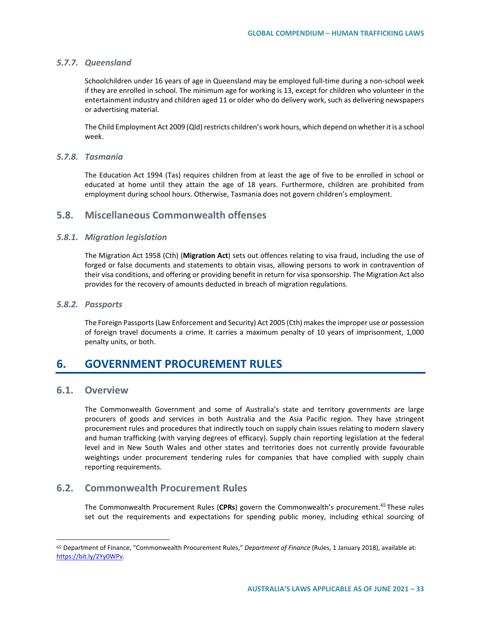#### *5.7.7. Queensland*

Schoolchildren under 16 years of age in Queensland may be employed full-time during a non-school week if they are enrolled in school. The minimum age for working is 13, except for children who volunteer in the entertainment industry and children aged 11 or older who do delivery work, such as delivering newspapers or advertising material.

The Child Employment Act 2009 (Qld) restricts children's work hours, which depend on whether it is a school week.

### *5.7.8. Tasmania*

The Education Act 1994 (Tas) requires children from at least the age of five to be enrolled in school or educated at home until they attain the age of 18 years. Furthermore, children are prohibited from employment during school hours. Otherwise, Tasmania does not govern children's employment.

## **5.8. Miscellaneous Commonwealth offenses**

## *5.8.1. Migration legislation*

The Migration Act 1958 (Cth) (**Migration Act**) sets out offences relating to visa fraud, including the use of forged or false documents and statements to obtain visas, allowing persons to work in contravention of their visa conditions, and offering or providing benefit in return for visa sponsorship. The Migration Act also provides for the recovery of amounts deducted in breach of migration regulations.

#### *5.8.2. Passports*

The Foreign Passports (Law Enforcement and Security) Act 2005 (Cth) makes the improper use or possession of foreign travel documents a crime. It carries a maximum penalty of 10 years of imprisonment, 1,000 penalty units, or both.

# **6. GOVERNMENT PROCUREMENT RULES**

# **6.1. Overview**

 $\overline{a}$ 

The Commonwealth Government and some of Australia's state and territory governments are large procurers of goods and services in both Australia and the Asia Pacific region. They have stringent procurement rules and procedures that indirectly touch on supply chain issues relating to modern slavery and human trafficking (with varying degrees of efficacy). Supply chain reporting legislation at the federal level and in New South Wales and other states and territories does not currently provide favourable weightings under procurement tendering rules for companies that have complied with supply chain reporting requirements.

# **6.2. Commonwealth Procurement Rules**

The Commonwealth Procurement Rules (**CPRs**) govern the Commonwealth's procurement.[65](#page-32-0) These rules set out the requirements and expectations for spending public money, including ethical sourcing of

<span id="page-32-0"></span><sup>65</sup> Department of Finance, "Commonwealth Procurement Rules," *Department of Finance* (Rules, 1 January 2018), available at: [https://bit.ly/2Yy0WPv.](https://bit.ly/2Yy0WPv)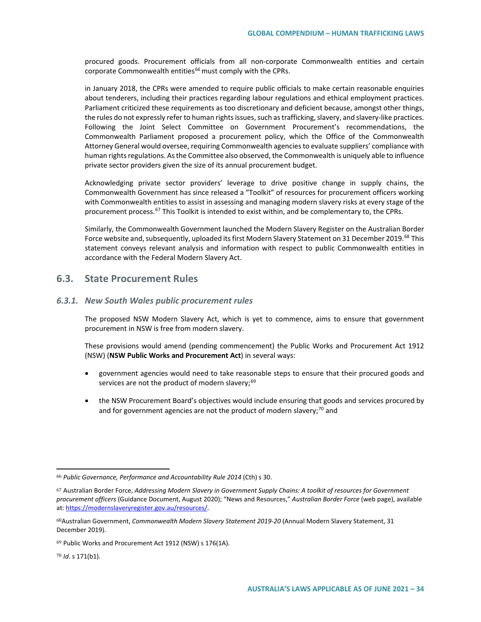procured goods. Procurement officials from all non-corporate Commonwealth entities and certain corporate Commonwealth entities<sup>[66](#page-33-0)</sup> must comply with the CPRs.

in January 2018, the CPRs were amended to require public officials to make certain reasonable enquiries about tenderers, including their practices regarding labour regulations and ethical employment practices. Parliament criticized these requirements as too discretionary and deficient because, amongst other things, the rules do not expressly refer to human rights issues, such as trafficking, slavery, and slavery-like practices. Following the Joint Select Committee on Government Procurement's recommendations, the Commonwealth Parliament proposed a procurement policy, which the Office of the Commonwealth Attorney General would oversee, requiring Commonwealth agencies to evaluate suppliers' compliance with human rights regulations. As the Committee also observed, the Commonwealth is uniquely able to influence private sector providers given the size of its annual procurement budget.

Acknowledging private sector providers' leverage to drive positive change in supply chains, the Commonwealth Government has since released a "Toolkit" of resources for procurement officers working with Commonwealth entities to assist in assessing and managing modern slavery risks at every stage of the procurement process.<sup>[67](#page-33-1)</sup> This Toolkit is intended to exist within, and be complementary to, the CPRs.

Similarly, the Commonwealth Government launched the Modern Slavery Register on the Australian Border Force website and, subsequently, uploaded its first Modern Slavery Statement on 31 December 2019.<sup>[68](#page-33-2)</sup> This statement conveys relevant analysis and information with respect to public Commonwealth entities in accordance with the Federal Modern Slavery Act.

## **6.3. State Procurement Rules**

#### *6.3.1. New South Wales public procurement rules*

The proposed NSW Modern Slavery Act, which is yet to commence, aims to ensure that government procurement in NSW is free from modern slavery.

These provisions would amend (pending commencement) the Public Works and Procurement Act 1912 (NSW) (**NSW Public Works and Procurement Act**) in several ways:

- government agencies would need to take reasonable steps to ensure that their procured goods and services are not the product of modern slavery;<sup>[69](#page-33-3)</sup>
- the NSW Procurement Board's objectives would include ensuring that goods and services procured by and for government agencies are not the product of modern slavery;<sup>[70](#page-33-4)</sup> and

<span id="page-33-4"></span><sup>70</sup> *Id*. s 171(b1).

<span id="page-33-0"></span><sup>66</sup> *Public Governance, Performance and Accountability Rule 2014* (Cth) s 30.

<span id="page-33-1"></span><sup>67</sup> Australian Border Force, *Addressing Modern Slavery in Government Supply Chains: A toolkit of resources for Government procurement officers* (Guidance Document, August 2020); "News and Resources," *Australian Border Force* (web page), available at: [https://modernslaveryregister.gov.au/resources/.](https://modernslaveryregister.gov.au/resources/)

<span id="page-33-2"></span><sup>68</sup>Australian Government, *Commonwealth Modern Slavery Statement 2019-20* (Annual Modern Slavery Statement, 31 December 2019).

<span id="page-33-3"></span><sup>69</sup> Public Works and Procurement Act 1912 (NSW) s 176(1A).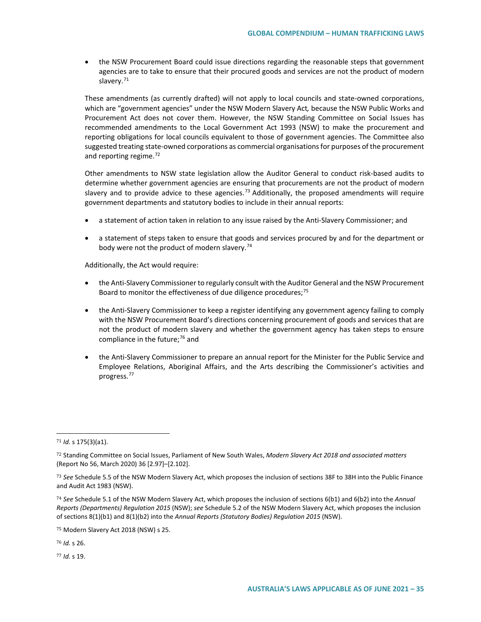• the NSW Procurement Board could issue directions regarding the reasonable steps that government agencies are to take to ensure that their procured goods and services are not the product of modern slavery.<sup>[71](#page-34-0)</sup>

These amendments (as currently drafted) will not apply to local councils and state-owned corporations, which are "government agencies" under the NSW Modern Slavery Act*,* because the NSW Public Works and Procurement Act does not cover them. However, the NSW Standing Committee on Social Issues has recommended amendments to the Local Government Act 1993 (NSW) to make the procurement and reporting obligations for local councils equivalent to those of government agencies. The Committee also suggested treating state-owned corporations as commercial organisations for purposes of the procurement and reporting regime.<sup>[72](#page-34-1)</sup>

Other amendments to NSW state legislation allow the Auditor General to conduct risk-based audits to determine whether government agencies are ensuring that procurements are not the product of modern slavery and to provide advice to these agencies.<sup>[73](#page-34-2)</sup> Additionally, the proposed amendments will require government departments and statutory bodies to include in their annual reports:

- a statement of action taken in relation to any issue raised by the Anti-Slavery Commissioner; and
- a statement of steps taken to ensure that goods and services procured by and for the department or body were not the product of modern slavery.<sup>[74](#page-34-3)</sup>

Additionally, the Act would require:

- the Anti-Slavery Commissioner to regularly consult with the Auditor General and the NSW Procurement Board to monitor the effectiveness of due diligence procedures;<sup>[75](#page-34-4)</sup>
- the Anti-Slavery Commissioner to keep a register identifying any government agency failing to comply with the NSW Procurement Board's directions concerning procurement of goods and services that are not the product of modern slavery and whether the government agency has taken steps to ensure compliance in the future;<sup>[76](#page-34-5)</sup> and
- the Anti-Slavery Commissioner to prepare an annual report for the Minister for the Public Service and Employee Relations, Aboriginal Affairs, and the Arts describing the Commissioner's activities and progress.[77](#page-34-6)

 $\overline{a}$ 

<span id="page-34-5"></span><sup>76</sup> *Id.* s 26.

<span id="page-34-6"></span><sup>77</sup> *Id.* s 19.

<span id="page-34-0"></span><sup>71</sup> *Id.* s 175(3)(a1).

<span id="page-34-1"></span><sup>72</sup> Standing Committee on Social Issues, Parliament of New South Wales, *Modern Slavery Act 2018 and associated matters* (Report No 56, March 2020) 36 [2.97]–[2.102].

<span id="page-34-2"></span><sup>73</sup> *See* Schedule 5.5 of the NSW Modern Slavery Act, which proposes the inclusion of sections 38F to 38H into the Public Finance and Audit Act 1983 (NSW).

<span id="page-34-3"></span><sup>74</sup> *See* Schedule 5.1 of the NSW Modern Slavery Act, which proposes the inclusion of sections 6(b1) and 6(b2) into the *Annual Reports (Departments) Regulation 2015* (NSW); *see* Schedule 5.2 of the NSW Modern Slavery Act, which proposes the inclusion of sections 8(1)(b1) and 8(1)(b2) into the *Annual Reports (Statutory Bodies) Regulation 2015* (NSW).

<span id="page-34-4"></span><sup>75</sup> Modern Slavery Act 2018 (NSW) s 25.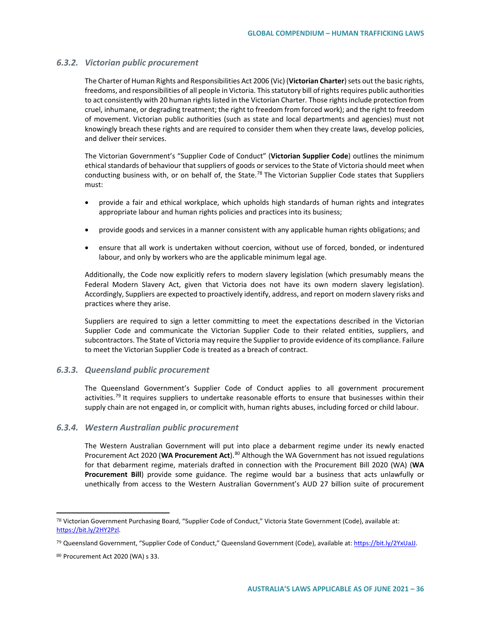## *6.3.2. Victorian public procurement*

The Charter of Human Rights and Responsibilities Act 2006 (Vic) (**Victorian Charter**) sets out the basic rights, freedoms, and responsibilities of all people in Victoria. This statutory bill of rights requires public authorities to act consistently with 20 human rights listed in the Victorian Charter*.* Those rights include protection from cruel, inhumane, or degrading treatment; the right to freedom from forced work); and the right to freedom of movement. Victorian public authorities (such as state and local departments and agencies) must not knowingly breach these rights and are required to consider them when they create laws, develop policies, and deliver their services.

The Victorian Government's "Supplier Code of Conduct" (**Victorian Supplier Code**) outlines the minimum ethical standards of behaviour that suppliers of goods or services to the State of Victoria should meet when conducting business with, or on behalf of, the State.<sup>78</sup> The Victorian Supplier Code states that Suppliers must:

- provide a fair and ethical workplace, which upholds high standards of human rights and integrates appropriate labour and human rights policies and practices into its business;
- provide goods and services in a manner consistent with any applicable human rights obligations; and
- ensure that all work is undertaken without coercion, without use of forced, bonded, or indentured labour, and only by workers who are the applicable minimum legal age.

Additionally, the Code now explicitly refers to modern slavery legislation (which presumably means the Federal Modern Slavery Act, given that Victoria does not have its own modern slavery legislation). Accordingly, Suppliers are expected to proactively identify, address, and report on modern slavery risks and practices where they arise.

Suppliers are required to sign a letter committing to meet the expectations described in the Victorian Supplier Code and communicate the Victorian Supplier Code to their related entities, suppliers, and subcontractors. The State of Victoria may require the Supplier to provide evidence of its compliance. Failure to meet the Victorian Supplier Code is treated as a breach of contract.

## *6.3.3. Queensland public procurement*

The Queensland Government's Supplier Code of Conduct applies to all government procurement activities.<sup>[79](#page-35-1)</sup> It requires suppliers to undertake reasonable efforts to ensure that businesses within their supply chain are not engaged in, or complicit with, human rights abuses, including forced or child labour.

## *6.3.4. Western Australian public procurement*

The Western Australian Government will put into place a debarment regime under its newly enacted Procurement Act 2020 (WA Procurement Act).<sup>[80](#page-35-2)</sup> Although the WA Government has not issued regulations for that debarment regime, materials drafted in connection with the Procurement Bill 2020 (WA) (**WA Procurement Bill**) provide some guidance. The regime would bar a business that acts unlawfully or unethically from access to the Western Australian Government's AUD 27 billion suite of procurement

<span id="page-35-0"></span><sup>78</sup> Victorian Government Purchasing Board, "Supplier Code of Conduct," Victoria State Government (Code), available at: [https://bit.ly/2HY2Pzl.](https://bit.ly/2HY2Pzl) 

<span id="page-35-1"></span><sup>79</sup> Queensland Government, "Supplier Code of Conduct," Queensland Government (Code), available at[: https://bit.ly/2YxUaJJ.](https://bit.ly/2YxUaJJ) 

<span id="page-35-2"></span><sup>80</sup> Procurement Act 2020 (WA) s 33.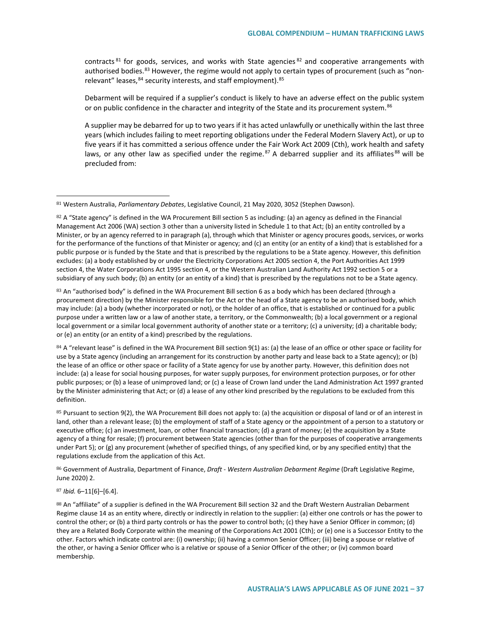contracts<sup>[81](#page-36-0)</sup> for goods, services, and works with State agencies<sup>[82](#page-36-1)</sup> and cooperative arrangements with authorised bodies.<sup>[83](#page-36-2)</sup> However, the regime would not apply to certain types of procurement (such as "non-relevant" leases, <sup>[84](#page-36-3)</sup> security interests, and staff employment). [85](#page-36-4)

Debarment will be required if a supplier's conduct is likely to have an adverse effect on the public system or on public confidence in the character and integrity of the State and its procurement system.<sup>[86](#page-36-5)</sup>

A supplier may be debarred for up to two years if it has acted unlawfully or unethically within the last three years (which includes failing to meet reporting obligations under the Federal Modern Slavery Act), or up to five years if it has committed a serious offence under the Fair Work Act 2009 (Cth), work health and safety laws, or any other law as specified under the regime.<sup>[87](#page-36-6)</sup> A debarred supplier and its affiliates<sup>[88](#page-36-7)</sup> will be precluded from:

<span id="page-36-2"></span>83 An "authorised body" is defined in the WA Procurement Bill section 6 as a body which has been declared (through a procurement direction) by the Minister responsible for the Act or the head of a State agency to be an authorised body, which may include: (a) a body (whether incorporated or not), or the holder of an office, that is established or continued for a public purpose under a written law or a law of another state, a territory, or the Commonwealth; (b) a local government or a regional local government or a similar local government authority of another state or a territory; (c) a university; (d) a charitable body; or (e) an entity (or an entity of a kind) prescribed by the regulations.

<span id="page-36-3"></span>84 A "relevant lease" is defined in the WA Procurement Bill section 9(1) as: (a) the lease of an office or other space or facility for use by a State agency (including an arrangement for its construction by another party and lease back to a State agency); or (b) the lease of an office or other space or facility of a State agency for use by another party. However, this definition does not include: (a) a lease for social housing purposes, for water supply purposes, for environment protection purposes, or for other public purposes; or (b) a lease of unimproved land; or (c) a lease of Crown land under the Land Administration Act 1997 granted by the Minister administering that Act; or (d) a lease of any other kind prescribed by the regulations to be excluded from this definition.

<span id="page-36-4"></span>85 Pursuant to section 9(2), the WA Procurement Bill does not apply to: (a) the acquisition or disposal of land or of an interest in land, other than a relevant lease; (b) the employment of staff of a State agency or the appointment of a person to a statutory or executive office; (c) an investment, loan, or other financial transaction; (d) a grant of money; (e) the acquisition by a State agency of a thing for resale; (f) procurement between State agencies (other than for the purposes of cooperative arrangements under Part 5); or (g) any procurement (whether of specified things, of any specified kind, or by any specified entity) that the regulations exclude from the application of this Act.

<span id="page-36-5"></span><sup>86</sup> Government of Australia, Department of Finance, *Draft - Western Australian Debarment Regime* (Draft Legislative Regime, June 2020) 2.

#### <span id="page-36-6"></span><sup>87</sup> *Ibid.* 6–11[6]–[6.4].

 $\overline{a}$ 

<span id="page-36-7"></span>88 An "affiliate" of a supplier is defined in the WA Procurement Bill section 32 and the Draft Western Australian Debarment Regime clause 14 as an entity where, directly or indirectly in relation to the supplier: (a) either one controls or has the power to control the other; or (b) a third party controls or has the power to control both; (c) they have a Senior Officer in common; (d) they are a Related Body Corporate within the meaning of the Corporations Act 2001 (Cth); or (e) one is a Successor Entity to the other. Factors which indicate control are: (i) ownership; (ii) having a common Senior Officer; (iii) being a spouse or relative of the other, or having a Senior Officer who is a relative or spouse of a Senior Officer of the other; or (iv) common board membership.

<span id="page-36-0"></span><sup>81</sup> Western Australia, *Parliamentary Debates*, Legislative Council, 21 May 2020, 3052 (Stephen Dawson).

<span id="page-36-1"></span> $82$  A "State agency" is defined in the WA Procurement Bill section 5 as including: (a) an agency as defined in the Financial Management Act 2006 (WA) section 3 other than a university listed in Schedule 1 to that Act; (b) an entity controlled by a Minister, or by an agency referred to in paragraph (a), through which that Minister or agency procures goods, services, or works for the performance of the functions of that Minister or agency; and (c) an entity (or an entity of a kind) that is established for a public purpose or is funded by the State and that is prescribed by the regulations to be a State agency. However, this definition excludes: (a) a body established by or under the Electricity Corporations Act 2005 section 4, the Port Authorities Act 1999 section 4, the Water Corporations Act 1995 section 4, or the Western Australian Land Authority Act 1992 section 5 or a subsidiary of any such body; (b) an entity (or an entity of a kind) that is prescribed by the regulations not to be a State agency.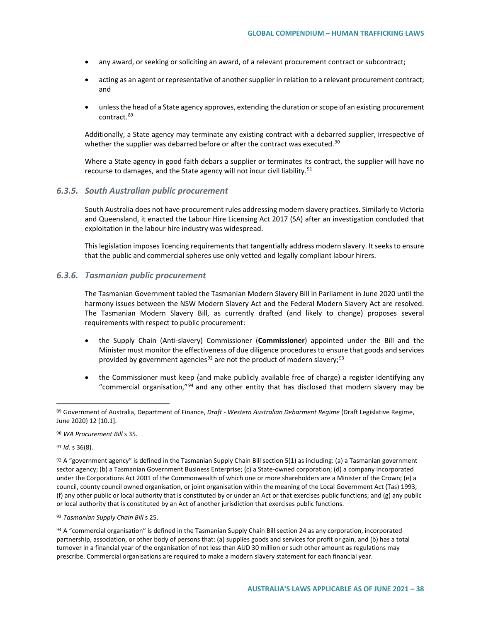- any award, or seeking or soliciting an award, of a relevant procurement contract or subcontract;
- acting as an agent or representative of another supplier in relation to a relevant procurement contract; and
- unless the head of a State agency approves, extending the duration or scope of an existing procurement contract.[89](#page-37-0)

Additionally, a State agency may terminate any existing contract with a debarred supplier, irrespective of whether the supplier was debarred before or after the contract was executed.<sup>[90](#page-37-1)</sup>

Where a State agency in good faith debars a supplier or terminates its contract, the supplier will have no recourse to damages, and the State agency will not incur civil liability.<sup>[91](#page-37-2)</sup>

### *6.3.5. South Australian public procurement*

South Australia does not have procurement rules addressing modern slavery practices. Similarly to Victoria and Queensland, it enacted the Labour Hire Licensing Act 2017 (SA) after an investigation concluded that exploitation in the labour hire industry was widespread.

This legislation imposes licencing requirements that tangentially address modern slavery. It seeks to ensure that the public and commercial spheres use only vetted and legally compliant labour hirers.

### *6.3.6. Tasmanian public procurement*

The Tasmanian Government tabled the Tasmanian Modern Slavery Bill in Parliament in June 2020 until the harmony issues between the NSW Modern Slavery Act and the Federal Modern Slavery Act are resolved. The Tasmanian Modern Slavery Bill, as currently drafted (and likely to change) proposes several requirements with respect to public procurement:

- the Supply Chain (Anti-slavery) Commissioner (**Commissioner**) appointed under the Bill and the Minister must monitor the effectiveness of due diligence procedures to ensure that goods and services provided by government agencies<sup>[92](#page-37-3)</sup> are not the product of modern slavery;<sup>[93](#page-37-4)</sup>
- the Commissioner must keep (and make publicly available free of charge) a register identifying any "commercial organisation," $94$  and any other entity that has disclosed that modern slavery may be

<span id="page-37-2"></span><sup>91</sup> *Id*. s 36(8).

 $\overline{a}$ 

<span id="page-37-4"></span><sup>93</sup> *Tasmanian Supply Chain Bill* s 25.

<span id="page-37-5"></span> $94$  A "commercial organisation" is defined in the Tasmanian Supply Chain Bill section 24 as any corporation, incorporated partnership, association, or other body of persons that: (a) supplies goods and services for profit or gain, and (b) has a total turnover in a financial year of the organisation of not less than AUD 30 million or such other amount as regulations may prescribe. Commercial organisations are required to make a modern slavery statement for each financial year.

<span id="page-37-0"></span><sup>89</sup> Government of Australia, Department of Finance, *Draft - Western Australian Debarment Regime* (Draft Legislative Regime, June 2020) 12 [10.1].

<span id="page-37-1"></span><sup>90</sup> *WA Procurement Bill* s 35.

<span id="page-37-3"></span> $92$  A "government agency" is defined in the Tasmanian Supply Chain Bill section 5(1) as including: (a) a Tasmanian government sector agency; (b) a Tasmanian Government Business Enterprise; (c) a State-owned corporation; (d) a company incorporated under the Corporations Act 2001 of the Commonwealth of which one or more shareholders are a Minister of the Crown; (e) a council, county council owned organisation, or joint organisation within the meaning of the Local Government Act (Tas) 1993; (f) any other public or local authority that is constituted by or under an Act or that exercises public functions; and (g) any public or local authority that is constituted by an Act of another jurisdiction that exercises public functions.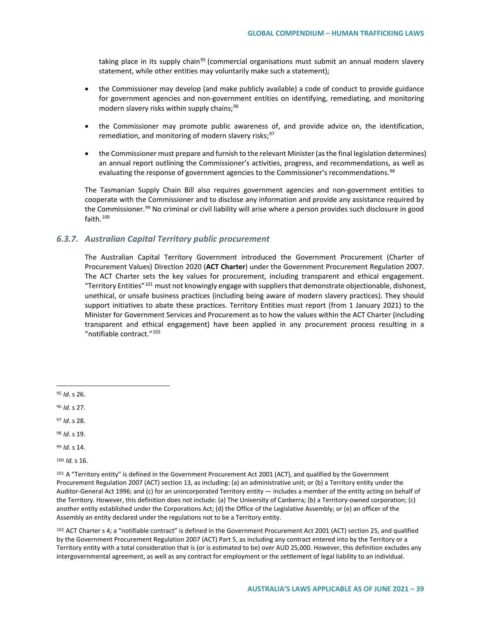taking place in its supply chain<sup>[95](#page-38-0)</sup> (commercial organisations must submit an annual modern slavery statement, while other entities may voluntarily make such a statement);

- the Commissioner may develop (and make publicly available) a code of conduct to provide guidance for government agencies and non-government entities on identifying, remediating, and monitoring modern slavery risks within supply chains;<sup>[96](#page-38-1)</sup>
- the Commissioner may promote public awareness of, and provide advice on, the identification, remediation, and monitoring of modern slavery risks;<sup>[97](#page-38-2)</sup>
- the Commissioner must prepare and furnish to the relevant Minister (as the final legislation determines) an annual report outlining the Commissioner's activities, progress, and recommendations, as well as evaluating the response of government agencies to the Commissioner's recommendations.<sup>[98](#page-38-3)</sup>

The Tasmanian Supply Chain Bill also requires government agencies and non-government entities to cooperate with the Commissioner and to disclose any information and provide any assistance required by the Commissioner.<sup>[99](#page-38-4)</sup> No criminal or civil liability will arise where a person provides such disclosure in good faith  $100$ 

### *6.3.7. Australian Capital Territory public procurement*

The Australian Capital Territory Government introduced the Government Procurement (Charter of Procurement Values) Direction 2020 (**ACT Charter**) under the Government Procurement Regulation 2007. The ACT Charter sets the key values for procurement, including transparent and ethical engagement. "Territory Entities"<sup>[101](#page-38-6)</sup> must not knowingly engage with suppliers that demonstrate objectionable, dishonest, unethical, or unsafe business practices (including being aware of modern slavery practices). They should support initiatives to abate these practices. Territory Entities must report (from 1 January 2021) to the Minister for Government Services and Procurement as to how the values within the ACT Charter (including transparent and ethical engagement) have been applied in any procurement process resulting in a "notifiable contract.["102](#page-38-7)

<span id="page-38-0"></span><sup>95</sup> *Id*. s 26.

 $\overline{a}$ 

<span id="page-38-1"></span><sup>96</sup> *Id*. s 27.

<span id="page-38-2"></span><sup>97</sup> *Id*. s 28.

<span id="page-38-3"></span><sup>98</sup> *Id*. s 19.

<span id="page-38-4"></span><sup>99</sup> *Id*. s 14.

<span id="page-38-5"></span><sup>100</sup> *Id.* s 16.

<span id="page-38-6"></span>101 A "Territory entity" is defined in the Government Procurement Act 2001 (ACT), and qualified by the Government Procurement Regulation 2007 (ACT) section 13, as including: (a) an administrative unit; or (b) a Territory entity under the Auditor-General Act 1996; and (c) for an unincorporated Territory entity — includes a member of the entity acting on behalf of the Territory. However, this definition does not include: (a) The University of Canberra; (b) a Territory-owned corporation; (c) another entity established under the Corporations Act; (d) the Office of the Legislative Assembly; or (e) an officer of the Assembly an entity declared under the regulations not to be a Territory entity.

<span id="page-38-7"></span><sup>102</sup> ACT Charter s 4; a "notifiable contract" is defined in the Government Procurement Act 2001 (ACT) section 25, and qualified by the Government Procurement Regulation 2007 (ACT) Part 5, as including any contract entered into by the Territory or a Territory entity with a total consideration that is (or is estimated to be) over AUD 25,000. However, this definition excludes any intergovernmental agreement, as well as any contract for employment or the settlement of legal liability to an individual.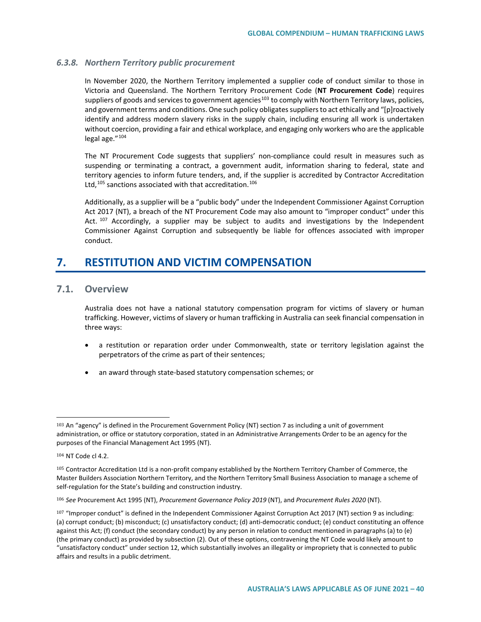# *6.3.8. Northern Territory public procurement*

In November 2020, the Northern Territory implemented a supplier code of conduct similar to those in Victoria and Queensland. The Northern Territory Procurement Code (**NT Procurement Code**) requires suppliers of goods and services to government agencies<sup>[103](#page-39-0)</sup> to comply with Northern Territory laws, policies, and government terms and conditions. One such policy obligates suppliers to act ethically and "[p]roactively identify and address modern slavery risks in the supply chain, including ensuring all work is undertaken without coercion, providing a fair and ethical workplace, and engaging only workers who are the applicable legal age."<sup>[104](#page-39-1)</sup>

The NT Procurement Code suggests that suppliers' non-compliance could result in measures such as suspending or terminating a contract, a government audit, information sharing to federal, state and territory agencies to inform future tenders, and, if the supplier is accredited by Contractor Accreditation Ltd.<sup>[105](#page-39-2)</sup> sanctions associated with that accreditation.<sup>[106](#page-39-3)</sup>

Additionally, as a supplier will be a "public body" under the Independent Commissioner Against Corruption Act 2017 (NT), a breach of the NT Procurement Code may also amount to "improper conduct" under this Act.  $107$  Accordingly, a supplier may be subject to audits and investigations by the Independent Commissioner Against Corruption and subsequently be liable for offences associated with improper conduct.

# **7. RESTITUTION AND VICTIM COMPENSATION**

# **7.1. Overview**

Australia does not have a national statutory compensation program for victims of slavery or human trafficking. However, victims of slavery or human trafficking in Australia can seek financial compensation in three ways:

- a restitution or reparation order under Commonwealth, state or territory legislation against the perpetrators of the crime as part of their sentences;
- an award through state-based statutory compensation schemes; or

<span id="page-39-0"></span><sup>103</sup> An "agency" is defined in the Procurement Government Policy (NT) section 7 as including a unit of government administration, or office or statutory corporation, stated in an Administrative Arrangements Order to be an agency for the purposes of the Financial Management Act 1995 (NT).

<span id="page-39-1"></span><sup>104</sup> NT Code cl 4.2.

<span id="page-39-2"></span><sup>105</sup> Contractor Accreditation Ltd is a non-profit company established by the Northern Territory Chamber of Commerce, the Master Builders Association Northern Territory, and the Northern Territory Small Business Association to manage a scheme of self-regulation for the State's building and construction industry.

<span id="page-39-3"></span><sup>106</sup> *See* Procurement Act 1995 (NT), *Procurement Governance Policy 2019* (NT), and *Procurement Rules 2020* (NT).

<span id="page-39-4"></span><sup>107 &</sup>quot;Improper conduct" is defined in the Independent Commissioner Against Corruption Act 2017 (NT) section 9 as including: (a) corrupt conduct; (b) misconduct; (c) unsatisfactory conduct; (d) anti-democratic conduct; (e) conduct constituting an offence against this Act; (f) conduct (the secondary conduct) by any person in relation to conduct mentioned in paragraphs (a) to (e) (the primary conduct) as provided by subsection (2). Out of these options, contravening the NT Code would likely amount to "unsatisfactory conduct" under section 12, which substantially involves an illegality or impropriety that is connected to public affairs and results in a public detriment.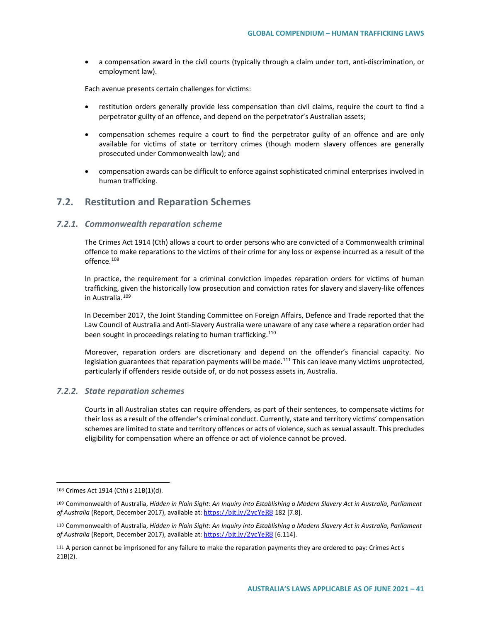• a compensation award in the civil courts (typically through a claim under tort, anti-discrimination, or employment law).

Each avenue presents certain challenges for victims:

- restitution orders generally provide less compensation than civil claims, require the court to find a perpetrator guilty of an offence, and depend on the perpetrator's Australian assets;
- compensation schemes require a court to find the perpetrator guilty of an offence and are only available for victims of state or territory crimes (though modern slavery offences are generally prosecuted under Commonwealth law); and
- compensation awards can be difficult to enforce against sophisticated criminal enterprises involved in human trafficking.

# **7.2. Restitution and Reparation Schemes**

#### *7.2.1. Commonwealth reparation scheme*

The Crimes Act 1914 (Cth) allows a court to order persons who are convicted of a Commonwealth criminal offence to make reparations to the victims of their crime for any loss or expense incurred as a result of the offence.<sup>[108](#page-40-0)</sup>

In practice, the requirement for a criminal conviction impedes reparation orders for victims of human trafficking, given the historically low prosecution and conviction rates for slavery and slavery-like offences in Australia.[109](#page-40-1)

In December 2017, the Joint Standing Committee on Foreign Affairs, Defence and Trade reported that the Law Council of Australia and Anti-Slavery Australia were unaware of any case where a reparation order had been sought in proceedings relating to human trafficking.<sup>[110](#page-40-2)</sup>

Moreover, reparation orders are discretionary and depend on the offender's financial capacity. No legislation guarantees that reparation payments will be made.<sup>[111](#page-40-3)</sup> This can leave many victims unprotected, particularly if offenders reside outside of, or do not possess assets in, Australia.

#### *7.2.2. State reparation schemes*

Courts in all Australian states can require offenders, as part of their sentences, to compensate victims for their loss as a result of the offender's criminal conduct. Currently, state and territory victims' compensation schemes are limited to state and territory offences or acts of violence, such as sexual assault. This precludes eligibility for compensation where an offence or act of violence cannot be proved.

<span id="page-40-0"></span><sup>108</sup> Crimes Act 1914 (Cth) s 21B(1)(d).

<span id="page-40-1"></span><sup>109</sup> Commonwealth of Australia, *Hidden in Plain Sight: An Inquiry into Establishing a Modern Slavery Act in Australia, Parliament* of Australia (Report, December 2017), available at: <https://bit.ly/2ycYeR8> 182 [7.8].

<span id="page-40-2"></span><sup>110</sup> Commonwealth of Australia, *Hidden in Plain Sight: An Inquiry into Establishing a Modern Slavery Act in Australia, Parliament* of Australia (Report, December 2017), available at: <https://bit.ly/2ycYeR8> [6.114].

<span id="page-40-3"></span><sup>111</sup> A person cannot be imprisoned for any failure to make the reparation payments they are ordered to pay: Crimes Act s 21B(2).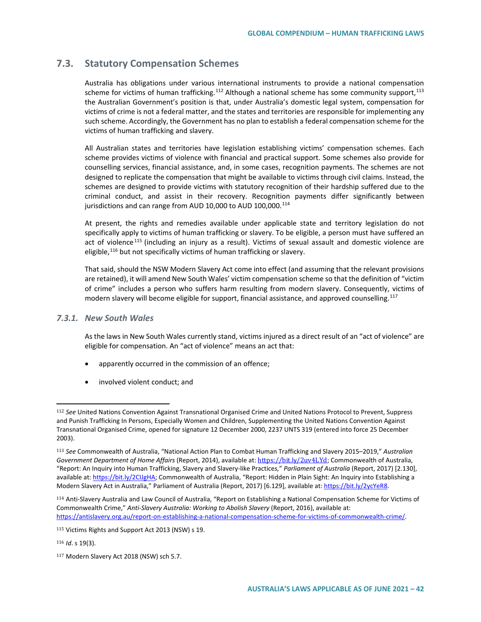# **7.3. Statutory Compensation Schemes**

Australia has obligations under various international instruments to provide a national compensation scheme for victims of human trafficking.<sup>[112](#page-41-0)</sup> Although a national scheme has some community support,<sup>[113](#page-41-1)</sup> the Australian Government's position is that, under Australia's domestic legal system, compensation for victims of crime is not a federal matter, and the states and territories are responsible for implementing any such scheme. Accordingly, the Government has no plan to establish a federal compensation scheme for the victims of human trafficking and slavery.

All Australian states and territories have legislation establishing victims' compensation schemes. Each scheme provides victims of violence with financial and practical support. Some schemes also provide for counselling services, financial assistance, and, in some cases, recognition payments. The schemes are not designed to replicate the compensation that might be available to victims through civil claims. Instead, the schemes are designed to provide victims with statutory recognition of their hardship suffered due to the criminal conduct, and assist in their recovery. Recognition payments differ significantly between jurisdictions and can range from AUD 10,000 to AUD 100,000.<sup>[114](#page-41-2)</sup>

At present, the rights and remedies available under applicable state and territory legislation do not specifically apply to victims of human trafficking or slavery. To be eligible, a person must have suffered an act of violence<sup>[115](#page-41-3)</sup> (including an injury as a result). Victims of sexual assault and domestic violence are eligible,<sup>[116](#page-41-4)</sup> but not specifically victims of human trafficking or slavery.

That said, should the NSW Modern Slavery Act come into effect (and assuming that the relevant provisions are retained), it will amend New South Wales' victim compensation scheme so that the definition of "victim of crime" includes a person who suffers harm resulting from modern slavery. Consequently, victims of modern slavery will become eligible for support, financial assistance, and approved counselling.<sup>[117](#page-41-5)</sup>

# *7.3.1. New South Wales*

As the laws in New South Wales currently stand, victims injured as a direct result of an "act of violence" are eligible for compensation. An "act of violence" means an act that:

- apparently occurred in the commission of an offence;
- involved violent conduct; and

<span id="page-41-0"></span><sup>112</sup> *See* United Nations Convention Against Transnational Organised Crime and United Nations Protocol to Prevent, Suppress and Punish Trafficking In Persons, Especially Women and Children, Supplementing the United Nations Convention Against Transnational Organised Crime, opened for signature 12 December 2000, 2237 UNTS 319 (entered into force 25 December 2003).

<span id="page-41-1"></span><sup>113</sup> *See* Commonwealth of Australia, "National Action Plan to Combat Human Trafficking and Slavery 2015–2019," *Australian Government Department of Home Affairs* (Report, 2014), available at: [https://bit.](https://bit.ly/2uv4LYd)ly/2uv4LYd; Commonwealth of Australia, "Report: An Inquiry into Human Trafficking, Slavery and Slavery-like Practice*s,*" *Parliament of Australia* (Report, 2017) [2.130], available at[: https://bit.ly/2CIJgHA;](https://bit.ly/2CIJgHA) Commonwealth of Australia, "Report: Hidden in Plain Sight: An Inquiry into Establishing a Modern Slavery Act in Australia," Parliament of Australia (Report, 2017) [6.129], available at[: https://bit.ly/2ycYeR8.](https://bit.ly/2ycYeR8)

<span id="page-41-2"></span><sup>114</sup> Anti-Slavery Australia and Law Council of Australia, "Report on Establishing a National Compensation Scheme for Victims of Commonwealth Crime," *Anti-Slavery Australia: Working to Abolish Slavery* (Report, 2016), available at: [https://antislavery.org.au/report-on-establishing-a-national-compensation-scheme-for-victims-of-commonwealth-crime/.](https://antislavery.org.au/report-on-establishing-a-national-compensation-scheme-for-victims-of-commonwealth-crime/) 

<span id="page-41-3"></span><sup>115</sup> Victims Rights and Support Act 2013 (NSW) s 19.

<span id="page-41-4"></span><sup>116</sup> *Id*. s 19(3).

<span id="page-41-5"></span><sup>117</sup> Modern Slavery Act 2018 (NSW) sch 5.7.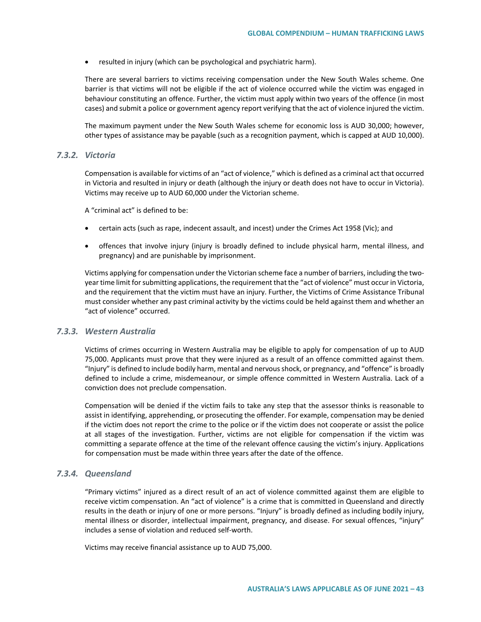• resulted in injury (which can be psychological and psychiatric harm).

There are several barriers to victims receiving compensation under the New South Wales scheme. One barrier is that victims will not be eligible if the act of violence occurred while the victim was engaged in behaviour constituting an offence. Further, the victim must apply within two years of the offence (in most cases) and submit a police or government agency report verifying that the act of violence injured the victim.

The maximum payment under the New South Wales scheme for economic loss is AUD 30,000; however, other types of assistance may be payable (such as a recognition payment, which is capped at AUD 10,000).

## *7.3.2. Victoria*

Compensation is available for victims of an "act of violence," which is defined as a criminal act that occurred in Victoria and resulted in injury or death (although the injury or death does not have to occur in Victoria). Victims may receive up to AUD 60,000 under the Victorian scheme.

A "criminal act" is defined to be:

- certain acts (such as rape, indecent assault, and incest) under the Crimes Act 1958 (Vic); and
- offences that involve injury (injury is broadly defined to include physical harm, mental illness, and pregnancy) and are punishable by imprisonment.

Victims applying for compensation under the Victorian scheme face a number of barriers, including the twoyear time limit for submitting applications, the requirement that the "act of violence" must occur in Victoria, and the requirement that the victim must have an injury. Further, the Victims of Crime Assistance Tribunal must consider whether any past criminal activity by the victims could be held against them and whether an "act of violence" occurred.

# *7.3.3. Western Australia*

Victims of crimes occurring in Western Australia may be eligible to apply for compensation of up to AUD 75,000. Applicants must prove that they were injured as a result of an offence committed against them. "Injury" is defined to include bodily harm, mental and nervous shock, or pregnancy, and "offence" is broadly defined to include a crime, misdemeanour, or simple offence committed in Western Australia. Lack of a conviction does not preclude compensation.

Compensation will be denied if the victim fails to take any step that the assessor thinks is reasonable to assist in identifying, apprehending, or prosecuting the offender. For example, compensation may be denied if the victim does not report the crime to the police or if the victim does not cooperate or assist the police at all stages of the investigation. Further, victims are not eligible for compensation if the victim was committing a separate offence at the time of the relevant offence causing the victim's injury. Applications for compensation must be made within three years after the date of the offence.

#### *7.3.4. Queensland*

"Primary victims" injured as a direct result of an act of violence committed against them are eligible to receive victim compensation. An "act of violence" is a crime that is committed in Queensland and directly results in the death or injury of one or more persons. "Injury" is broadly defined as including bodily injury, mental illness or disorder, intellectual impairment, pregnancy, and disease. For sexual offences, "injury" includes a sense of violation and reduced self-worth.

Victims may receive financial assistance up to AUD 75,000.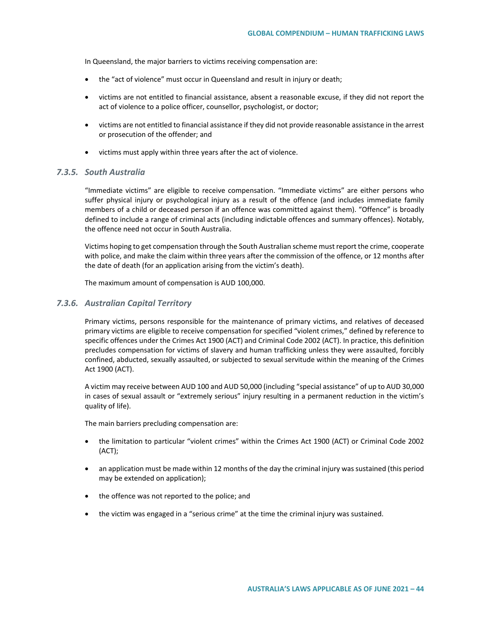In Queensland, the major barriers to victims receiving compensation are:

- the "act of violence" must occur in Queensland and result in injury or death;
- victims are not entitled to financial assistance, absent a reasonable excuse, if they did not report the act of violence to a police officer, counsellor, psychologist, or doctor;
- victims are not entitled to financial assistance if they did not provide reasonable assistance in the arrest or prosecution of the offender; and
- victims must apply within three years after the act of violence.

# *7.3.5. South Australia*

"Immediate victims" are eligible to receive compensation. "Immediate victims" are either persons who suffer physical injury or psychological injury as a result of the offence (and includes immediate family members of a child or deceased person if an offence was committed against them). "Offence" is broadly defined to include a range of criminal acts (including indictable offences and summary offences). Notably, the offence need not occur in South Australia.

Victims hoping to get compensation through the South Australian scheme must report the crime, cooperate with police, and make the claim within three years after the commission of the offence, or 12 months after the date of death (for an application arising from the victim's death).

The maximum amount of compensation is AUD 100,000.

#### *7.3.6. Australian Capital Territory*

Primary victims, persons responsible for the maintenance of primary victims, and relatives of deceased primary victims are eligible to receive compensation for specified "violent crimes," defined by reference to specific offences under the Crimes Act 1900 (ACT) and Criminal Code 2002 (ACT). In practice, this definition precludes compensation for victims of slavery and human trafficking unless they were assaulted, forcibly confined, abducted, sexually assaulted, or subjected to sexual servitude within the meaning of the Crimes Act 1900 (ACT).

A victim may receive between AUD 100 and AUD 50,000 (including "special assistance" of up to AUD 30,000 in cases of sexual assault or "extremely serious" injury resulting in a permanent reduction in the victim's quality of life).

The main barriers precluding compensation are:

- the limitation to particular "violent crimes" within the Crimes Act 1900 (ACT) or Criminal Code 2002 (ACT);
- an application must be made within 12 months of the day the criminal injury was sustained (this period may be extended on application);
- the offence was not reported to the police; and
- the victim was engaged in a "serious crime" at the time the criminal injury was sustained.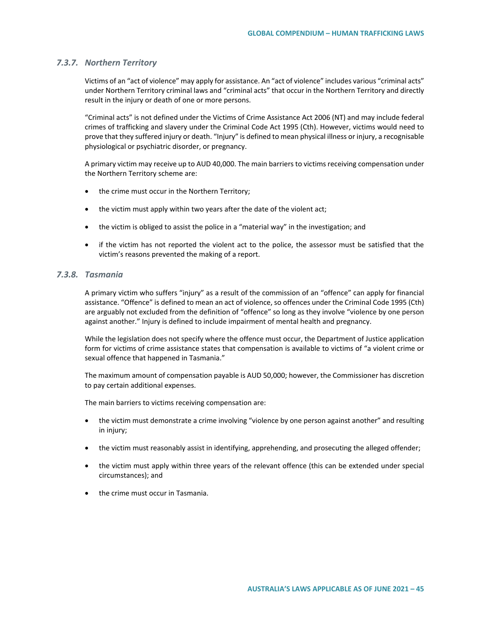### *7.3.7. Northern Territory*

Victims of an "act of violence" may apply for assistance. An "act of violence" includes various "criminal acts" under Northern Territory criminal laws and "criminal acts" that occur in the Northern Territory and directly result in the injury or death of one or more persons.

"Criminal acts" is not defined under the Victims of Crime Assistance Act 2006 (NT) and may include federal crimes of trafficking and slavery under the Criminal Code Act 1995 (Cth). However, victims would need to prove that they suffered injury or death. "Injury" is defined to mean physical illness or injury, a recognisable physiological or psychiatric disorder, or pregnancy.

A primary victim may receive up to AUD 40,000. The main barriers to victims receiving compensation under the Northern Territory scheme are:

- the crime must occur in the Northern Territory;
- the victim must apply within two years after the date of the violent act;
- the victim is obliged to assist the police in a "material way" in the investigation; and
- if the victim has not reported the violent act to the police, the assessor must be satisfied that the victim's reasons prevented the making of a report.

# *7.3.8. Tasmania*

A primary victim who suffers "injury" as a result of the commission of an "offence" can apply for financial assistance. "Offence" is defined to mean an act of violence, so offences under the Criminal Code 1995 (Cth) are arguably not excluded from the definition of "offence" so long as they involve "violence by one person against another." Injury is defined to include impairment of mental health and pregnancy.

While the legislation does not specify where the offence must occur, the Department of Justice application form for victims of crime assistance states that compensation is available to victims of "a violent crime or sexual offence that happened in Tasmania."

The maximum amount of compensation payable is AUD 50,000; however, the Commissioner has discretion to pay certain additional expenses.

The main barriers to victims receiving compensation are:

- the victim must demonstrate a crime involving "violence by one person against another" and resulting in injury;
- the victim must reasonably assist in identifying, apprehending, and prosecuting the alleged offender;
- the victim must apply within three years of the relevant offence (this can be extended under special circumstances); and
- the crime must occur in Tasmania.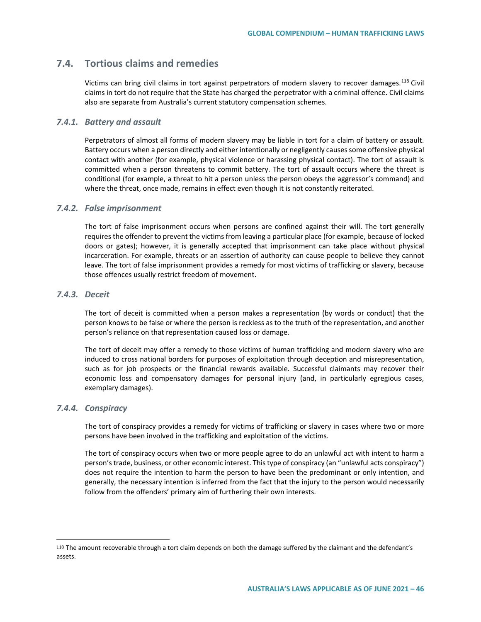# **7.4. Tortious claims and remedies**

Victims can bring civil claims in tort against perpetrators of modern slavery to recover damages.[118](#page-45-0) Civil claims in tort do not require that the State has charged the perpetrator with a criminal offence. Civil claims also are separate from Australia's current statutory compensation schemes.

## *7.4.1. Battery and assault*

Perpetrators of almost all forms of modern slavery may be liable in tort for a claim of battery or assault. Battery occurs when a person directly and either intentionally or negligently causes some offensive physical contact with another (for example, physical violence or harassing physical contact). The tort of assault is committed when a person threatens to commit battery. The tort of assault occurs where the threat is conditional (for example, a threat to hit a person unless the person obeys the aggressor's command) and where the threat, once made, remains in effect even though it is not constantly reiterated.

#### *7.4.2. False imprisonment*

The tort of false imprisonment occurs when persons are confined against their will. The tort generally requires the offender to prevent the victims from leaving a particular place (for example, because of locked doors or gates); however, it is generally accepted that imprisonment can take place without physical incarceration. For example, threats or an assertion of authority can cause people to believe they cannot leave. The tort of false imprisonment provides a remedy for most victims of trafficking or slavery, because those offences usually restrict freedom of movement.

### *7.4.3. Deceit*

The tort of deceit is committed when a person makes a representation (by words or conduct) that the person knows to be false or where the person is reckless as to the truth of the representation, and another person's reliance on that representation caused loss or damage.

The tort of deceit may offer a remedy to those victims of human trafficking and modern slavery who are induced to cross national borders for purposes of exploitation through deception and misrepresentation, such as for job prospects or the financial rewards available. Successful claimants may recover their economic loss and compensatory damages for personal injury (and, in particularly egregious cases, exemplary damages).

#### *7.4.4. Conspiracy*

 $\overline{a}$ 

The tort of conspiracy provides a remedy for victims of trafficking or slavery in cases where two or more persons have been involved in the trafficking and exploitation of the victims.

The tort of conspiracy occurs when two or more people agree to do an unlawful act with intent to harm a person's trade, business, or other economic interest. This type of conspiracy (an "unlawful acts conspiracy") does not require the intention to harm the person to have been the predominant or only intention, and generally, the necessary intention is inferred from the fact that the injury to the person would necessarily follow from the offenders' primary aim of furthering their own interests.

<span id="page-45-0"></span><sup>118</sup> The amount recoverable through a tort claim depends on both the damage suffered by the claimant and the defendant's assets.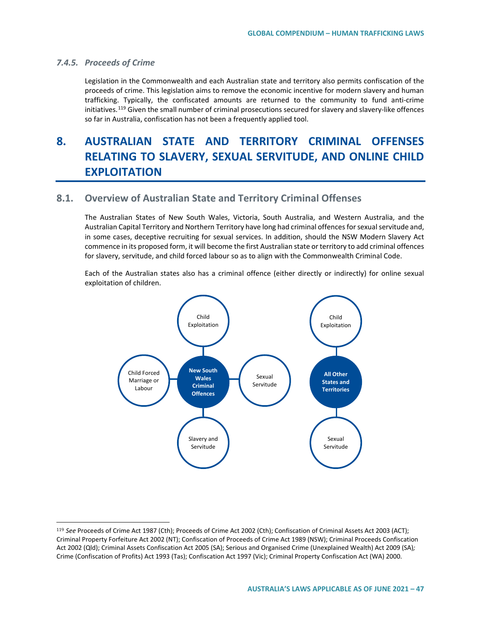# *7.4.5. Proceeds of Crime*

 $\overline{a}$ 

Legislation in the Commonwealth and each Australian state and territory also permits confiscation of the proceeds of crime. This legislation aims to remove the economic incentive for modern slavery and human trafficking. Typically, the confiscated amounts are returned to the community to fund anti-crime initiatives.<sup>[119](#page-46-0)</sup> Given the small number of criminal prosecutions secured for slavery and slavery-like offences so far in Australia, confiscation has not been a frequently applied tool.

# **8. AUSTRALIAN STATE AND TERRITORY CRIMINAL OFFENSES RELATING TO SLAVERY, SEXUAL SERVITUDE, AND ONLINE CHILD EXPLOITATION**

# **8.1. Overview of Australian State and Territory Criminal Offenses**

The Australian States of New South Wales, Victoria, South Australia, and Western Australia, and the Australian Capital Territory and Northern Territory have long had criminal offences for sexual servitude and, in some cases, deceptive recruiting for sexual services. In addition, should the NSW Modern Slavery Act commence in its proposed form, it will become the first Australian state or territory to add criminal offences for slavery, servitude, and child forced labour so as to align with the Commonwealth Criminal Code.

Each of the Australian states also has a criminal offence (either directly or indirectly) for online sexual exploitation of children.



<span id="page-46-0"></span><sup>119</sup> *See* Proceeds of Crime Act 1987 (Cth); Proceeds of Crime Act 2002 (Cth); Confiscation of Criminal Assets Act 2003 (ACT); Criminal Property Forfeiture Act 2002 (NT); Confiscation of Proceeds of Crime Act 1989 (NSW); Criminal Proceeds Confiscation Act 2002 (Qld); Criminal Assets Confiscation Act 2005 (SA); Serious and Organised Crime (Unexplained Wealth) Act 2009 (SA)*;*  Crime (Confiscation of Profits) Act 1993 (Tas); Confiscation Act 1997 (Vic); Criminal Property Confiscation Act (WA) 2000.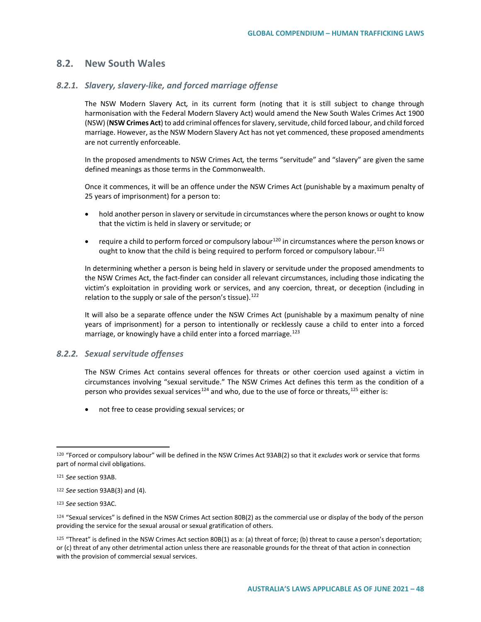# **8.2. New South Wales**

#### *8.2.1. Slavery, slavery-like, and forced marriage offense*

The NSW Modern Slavery Act*,* in its current form (noting that it is still subject to change through harmonisation with the Federal Modern Slavery Act) would amend the New South Wales Crimes Act 1900 (NSW) (**NSW Crimes Act**) to add criminal offences for slavery, servitude, child forced labour, and child forced marriage. However, as the NSW Modern Slavery Act has not yet commenced, these proposed amendments are not currently enforceable.

In the proposed amendments to NSW Crimes Act*,* the terms "servitude" and "slavery" are given the same defined meanings as those terms in the Commonwealth.

Once it commences, it will be an offence under the NSW Crimes Act (punishable by a maximum penalty of 25 years of imprisonment) for a person to:

- hold another person in slavery or servitude in circumstances where the person knows or ought to know that the victim is held in slavery or servitude; or
- require a child to perform forced or compulsory labour<sup>[120](#page-47-0)</sup> in circumstances where the person knows or ought to know that the child is being required to perform forced or compulsory labour.<sup>[121](#page-47-1)</sup>

In determining whether a person is being held in slavery or servitude under the proposed amendments to the NSW Crimes Act, the fact-finder can consider all relevant circumstances, including those indicating the victim's exploitation in providing work or services, and any coercion, threat, or deception (including in relation to the supply or sale of the person's tissue).  $122$ 

It will also be a separate offence under the NSW Crimes Act (punishable by a maximum penalty of nine years of imprisonment) for a person to intentionally or recklessly cause a child to enter into a forced marriage, or knowingly have a child enter into a forced marriage.<sup>[123](#page-47-3)</sup>

# *8.2.2. Sexual servitude offenses*

The NSW Crimes Act contains several offences for threats or other coercion used against a victim in circumstances involving "sexual servitude." The NSW Crimes Act defines this term as the condition of a person who provides sexual services<sup>[124](#page-47-4)</sup> and who, due to the use of force or threats,<sup>[125](#page-47-5)</sup> either is:

• not free to cease providing sexual services; or

<span id="page-47-0"></span><sup>120</sup> "Forced or compulsory labour" will be defined in the NSW Crimes Act 93AB(2) so that it *excludes* work or service that forms part of normal civil obligations.

<span id="page-47-1"></span><sup>121</sup> *See* section 93AB.

<span id="page-47-2"></span><sup>122</sup> *See* section 93AB(3) and (4).

<span id="page-47-3"></span><sup>123</sup> *See* section 93AC.

<span id="page-47-4"></span><sup>124 &</sup>quot;Sexual services" is defined in the NSW Crimes Act section 80B(2) as the commercial use or display of the body of the person providing the service for the sexual arousal or sexual gratification of others.

<span id="page-47-5"></span> $125$  "Threat" is defined in the NSW Crimes Act section 80B(1) as a: (a) threat of force; (b) threat to cause a person's deportation; or (c) threat of any other detrimental action unless there are reasonable grounds for the threat of that action in connection with the provision of commercial sexual services.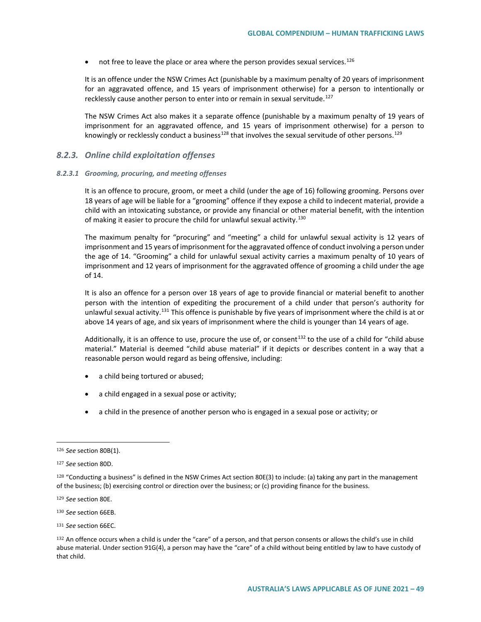$\bullet$  not free to leave the place or area where the person provides sexual services.<sup>[126](#page-48-0)</sup>

It is an offence under the NSW Crimes Act (punishable by a maximum penalty of 20 years of imprisonment for an aggravated offence, and 15 years of imprisonment otherwise) for a person to intentionally or recklessly cause another person to enter into or remain in sexual servitude.<sup>[127](#page-48-1)</sup>

The NSW Crimes Act also makes it a separate offence (punishable by a maximum penalty of 19 years of imprisonment for an aggravated offence, and 15 years of imprisonment otherwise) for a person to knowingly or recklessly conduct a business<sup>128</sup> that involves the sexual servitude of other persons.<sup>[129](#page-48-3)</sup>

### *8.2.3. Online child exploitation offenses*

#### *8.2.3.1 Grooming, procuring, and meeting offenses*

It is an offence to procure, groom, or meet a child (under the age of 16) following grooming. Persons over 18 years of age will be liable for a "grooming" offence if they expose a child to indecent material, provide a child with an intoxicating substance, or provide any financial or other material benefit, with the intention of making it easier to procure the child for unlawful sexual activity.<sup>[130](#page-48-4)</sup>

The maximum penalty for "procuring" and "meeting" a child for unlawful sexual activity is 12 years of imprisonment and 15 years of imprisonment for the aggravated offence of conduct involving a person under the age of 14. "Grooming" a child for unlawful sexual activity carries a maximum penalty of 10 years of imprisonment and 12 years of imprisonment for the aggravated offence of grooming a child under the age of 14.

It is also an offence for a person over 18 years of age to provide financial or material benefit to another person with the intention of expediting the procurement of a child under that person's authority for unlawful sexual activity.[131](#page-48-5) This offence is punishable by five years of imprisonment where the child is at or above 14 years of age, and six years of imprisonment where the child is younger than 14 years of age.

Additionally, it is an offence to use, procure the use of, or consent<sup>[132](#page-48-6)</sup> to the use of a child for "child abuse material." Material is deemed "child abuse material" if it depicts or describes content in a way that a reasonable person would regard as being offensive, including:

- a child being tortured or abused;
- a child engaged in a sexual pose or activity;
- a child in the presence of another person who is engaged in a sexual pose or activity; or

<span id="page-48-0"></span><sup>126</sup> *See* section 80B(1).

<span id="page-48-1"></span><sup>127</sup> *See* section 80D.

<span id="page-48-2"></span> $128$  "Conducting a business" is defined in the NSW Crimes Act section 80E(3) to include: (a) taking any part in the management of the business; (b) exercising control or direction over the business; or (c) providing finance for the business.

<span id="page-48-3"></span><sup>129</sup> *See* section 80E.

<span id="page-48-4"></span><sup>130</sup> *See* section 66EB.

<span id="page-48-5"></span><sup>131</sup> *See* section 66EC.

<span id="page-48-6"></span><sup>132</sup> An offence occurs when a child is under the "care" of a person, and that person consents or allows the child's use in child abuse material. Under section 91G(4), a person may have the "care" of a child without being entitled by law to have custody of that child.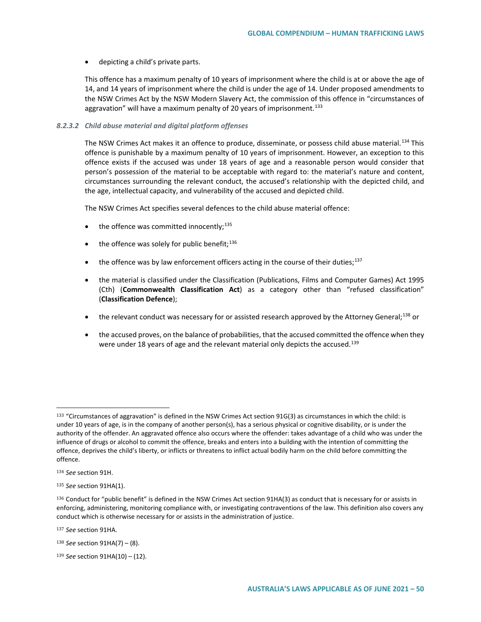#### • depicting a child's private parts.

This offence has a maximum penalty of 10 years of imprisonment where the child is at or above the age of 14, and 14 years of imprisonment where the child is under the age of 14. Under proposed amendments to the NSW Crimes Act by the NSW Modern Slavery Act, the commission of this offence in "circumstances of aggravation" will have a maximum penalty of 20 years of imprisonment.<sup>[133](#page-49-0)</sup>

#### *8.2.3.2 Child abuse material and digital platform offenses*

The NSW Crimes Act makes it an offence to produce, disseminate, or possess child abuse material.<sup>[134](#page-49-1)</sup> This offence is punishable by a maximum penalty of 10 years of imprisonment. However, an exception to this offence exists if the accused was under 18 years of age and a reasonable person would consider that person's possession of the material to be acceptable with regard to: the material's nature and content, circumstances surrounding the relevant conduct, the accused's relationship with the depicted child, and the age, intellectual capacity, and vulnerability of the accused and depicted child.

The NSW Crimes Act specifies several defences to the child abuse material offence:

- $\bullet$  the offence was committed innocently;<sup>[135](#page-49-2)</sup>
- $\bullet$  the offence was solely for public benefit;  $136$
- $\bullet$  the offence was by law enforcement officers acting in the course of their duties;<sup>[137](#page-49-4)</sup>
- the material is classified under the Classification (Publications, Films and Computer Games) Act 1995 (Cth) (**Commonwealth Classification Act**) as a category other than "refused classification" (**Classification Defence**);
- the relevant conduct was necessary for or assisted research approved by the Attorney General;<sup>[138](#page-49-5)</sup> or
- the accused proves, on the balance of probabilities, that the accused committed the offence when they were under 18 years of age and the relevant material only depicts the accused.<sup>[139](#page-49-6)</sup>

 $\overline{a}$ 

<span id="page-49-4"></span><sup>137</sup> *See* section 91HA.

<span id="page-49-5"></span><sup>138</sup> *See* section 91HA(7) – (8).

<span id="page-49-0"></span><sup>133 &</sup>quot;Circumstances of aggravation" is defined in the NSW Crimes Act section 91G(3) as circumstances in which the child: is under 10 years of age, is in the company of another person(s), has a serious physical or cognitive disability, or is under the authority of the offender. An aggravated offence also occurs where the offender: takes advantage of a child who was under the influence of drugs or alcohol to commit the offence, breaks and enters into a building with the intention of committing the offence, deprives the child's liberty, or inflicts or threatens to inflict actual bodily harm on the child before committing the offence.

<span id="page-49-1"></span><sup>134</sup> *See* section 91H.

<span id="page-49-2"></span><sup>135</sup> *See* section 91HA(1).

<span id="page-49-3"></span><sup>136</sup> Conduct for "public benefit" is defined in the NSW Crimes Act section 91HA(3) as conduct that is necessary for or assists in enforcing, administering, monitoring compliance with, or investigating contraventions of the law. This definition also covers any conduct which is otherwise necessary for or assists in the administration of justice.

<span id="page-49-6"></span><sup>139</sup> *See* section 91HA(10) – (12).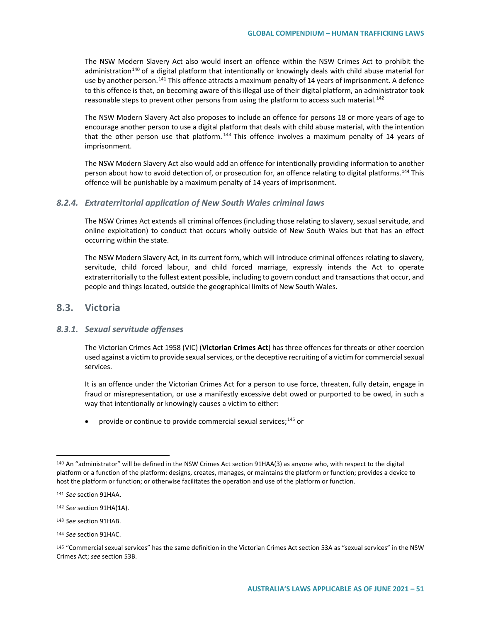The NSW Modern Slavery Act also would insert an offence within the NSW Crimes Act to prohibit the administration<sup>[140](#page-50-0)</sup> of a digital platform that intentionally or knowingly deals with child abuse material for use by another person.<sup>[141](#page-50-1)</sup> This offence attracts a maximum penalty of 14 years of imprisonment. A defence to this offence is that, on becoming aware of this illegal use of their digital platform, an administrator took reasonable steps to prevent other persons from using the platform to access such material.<sup>[142](#page-50-2)</sup>

The NSW Modern Slavery Act also proposes to include an offence for persons 18 or more years of age to encourage another person to use a digital platform that deals with child abuse material, with the intention that the other person use that platform.<sup>[143](#page-50-3)</sup> This offence involves a maximum penalty of 14 years of imprisonment.

The NSW Modern Slavery Act also would add an offence for intentionally providing information to another person about how to avoid detection of, or prosecution for, an offence relating to digital platforms.<sup>[144](#page-50-4)</sup> This offence will be punishable by a maximum penalty of 14 years of imprisonment.

### *8.2.4. Extraterritorial application of New South Wales criminal laws*

The NSW Crimes Act extends all criminal offences (including those relating to slavery, sexual servitude, and online exploitation) to conduct that occurs wholly outside of New South Wales but that has an effect occurring within the state.

The NSW Modern Slavery Act*,* in its current form, which will introduce criminal offences relating to slavery, servitude, child forced labour, and child forced marriage, expressly intends the Act to operate extraterritorially to the fullest extent possible, including to govern conduct and transactions that occur, and people and things located, outside the geographical limits of New South Wales.

# **8.3. Victoria**

#### *8.3.1. Sexual servitude offenses*

The Victorian Crimes Act 1958 (VIC) (**Victorian Crimes Act**) has three offences for threats or other coercion used against a victim to provide sexual services, or the deceptive recruiting of a victim for commercial sexual services.

It is an offence under the Victorian Crimes Act for a person to use force, threaten, fully detain, engage in fraud or misrepresentation, or use a manifestly excessive debt owed or purported to be owed, in such a way that intentionally or knowingly causes a victim to either:

• provide or continue to provide commercial sexual services;  $145$  or

 $\overline{a}$ 

<span id="page-50-4"></span><sup>144</sup> *See* section 91HAC.

<span id="page-50-0"></span><sup>140</sup> An "administrator" will be defined in the NSW Crimes Act section 91HAA(3) as anyone who, with respect to the digital platform or a function of the platform: designs, creates, manages, or maintains the platform or function; provides a device to host the platform or function; or otherwise facilitates the operation and use of the platform or function.

<span id="page-50-1"></span><sup>141</sup> *See* section 91HAA.

<span id="page-50-2"></span><sup>142</sup> *See* section 91HA(1A).

<span id="page-50-3"></span><sup>143</sup> *See* section 91HAB.

<span id="page-50-5"></span><sup>145</sup> "Commercial sexual services" has the same definition in the Victorian Crimes Act section 53A as "sexual services" in the NSW Crimes Act; *see* section 53B.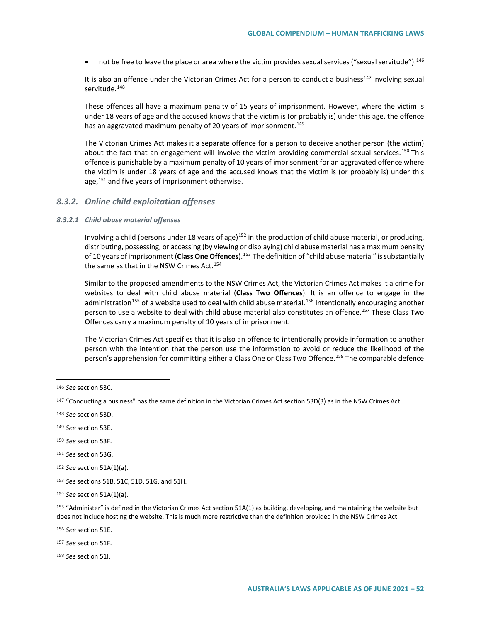• not be free to leave the place or area where the victim provides sexual services ("sexual servitude").  $^{146}$  $^{146}$  $^{146}$ 

It is also an offence under the Victorian Crimes Act for a person to conduct a business<sup>[147](#page-51-1)</sup> involving sexual servitude.<sup>[148](#page-51-2)</sup>

These offences all have a maximum penalty of 15 years of imprisonment. However, where the victim is under 18 years of age and the accused knows that the victim is (or probably is) under this age, the offence has an aggravated maximum penalty of 20 years of imprisonment.<sup>[149](#page-51-3)</sup>

The Victorian Crimes Act makes it a separate offence for a person to deceive another person (the victim) about the fact that an engagement will involve the victim providing commercial sexual services.<sup>[150](#page-51-4)</sup> This offence is punishable by a maximum penalty of 10 years of imprisonment for an aggravated offence where the victim is under 18 years of age and the accused knows that the victim is (or probably is) under this age,<sup>151</sup> and five years of imprisonment otherwise.

#### *8.3.2. Online child exploitation offenses*

#### *8.3.2.1 Child abuse material offenses*

Involving a child (persons under 18 years of age)<sup>[152](#page-51-6)</sup> in the production of child abuse material, or producing, distributing, possessing, or accessing (by viewing or displaying) child abuse material has a maximum penalty of 10 years of imprisonment (**Class One Offences**).[153](#page-51-7) The definition of "child abuse material" is substantially the same as that in the NSW Crimes Act.<sup>[154](#page-51-8)</sup>

Similar to the proposed amendments to the NSW Crimes Act, the Victorian Crimes Act makes it a crime for websites to deal with child abuse material (**Class Two Offences**). It is an offence to engage in the administration<sup>[155](#page-51-9)</sup> of a website used to deal with child abuse material.<sup>[156](#page-51-10)</sup> Intentionally encouraging another person to use a website to deal with child abuse material also constitutes an offence.[157](#page-51-11) These Class Two Offences carry a maximum penalty of 10 years of imprisonment.

The Victorian Crimes Act specifies that it is also an offence to intentionally provide information to another person with the intention that the person use the information to avoid or reduce the likelihood of the person's apprehension for committing either a Class One or Class Two Offence.<sup>158</sup> The comparable defence

 $\overline{a}$ 

<span id="page-51-4"></span><sup>150</sup> *See* section 53F.

<span id="page-51-5"></span><sup>151</sup> *See* section 53G.

<span id="page-51-9"></span><sup>155</sup> "Administer" is defined in the Victorian Crimes Act section 51A(1) as building, developing, and maintaining the website but does not include hosting the website. This is much more restrictive than the definition provided in the NSW Crimes Act.

<span id="page-51-10"></span><sup>156</sup> *See* section 51E.

<span id="page-51-11"></span><sup>157</sup> *See* section 51F.

<span id="page-51-12"></span><sup>158</sup> *See* section 51I.

<span id="page-51-0"></span><sup>146</sup> *See* section 53C.

<span id="page-51-1"></span><sup>147</sup> "Conducting a business" has the same definition in the Victorian Crimes Act section 53D(3) as in the NSW Crimes Act.

<span id="page-51-2"></span><sup>148</sup> *See* section 53D.

<span id="page-51-3"></span><sup>149</sup> *See* section 53E.

<span id="page-51-6"></span><sup>152</sup> *See* section 51A(1)(a).

<span id="page-51-7"></span><sup>153</sup> *See* sections 51B, 51C, 51D, 51G, and 51H.

<span id="page-51-8"></span><sup>154</sup> *See* section 51A(1)(a).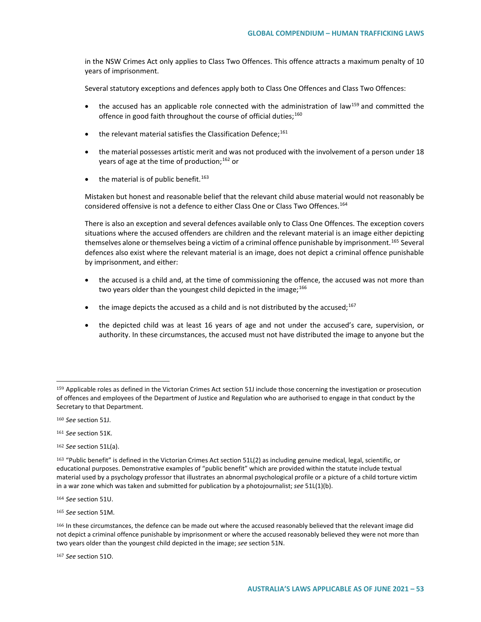in the NSW Crimes Act only applies to Class Two Offences. This offence attracts a maximum penalty of 10 years of imprisonment.

Several statutory exceptions and defences apply both to Class One Offences and Class Two Offences:

- the accused has an applicable role connected with the administration of law<sup>[159](#page-52-0)</sup> and committed the offence in good faith throughout the course of official duties;<sup>[160](#page-52-1)</sup>
- $\bullet$  the relevant material satisfies the Classification Defence;<sup>[161](#page-52-2)</sup>
- the material possesses artistic merit and was not produced with the involvement of a person under 18 years of age at the time of production;<sup>[162](#page-52-3)</sup> or
- $\bullet$  the material is of public benefit.<sup>[163](#page-52-4)</sup>

Mistaken but honest and reasonable belief that the relevant child abuse material would not reasonably be considered offensive is not a defence to either Class One or Class Two Offences.<sup>[164](#page-52-5)</sup>

There is also an exception and several defences available only to Class One Offences. The exception covers situations where the accused offenders are children and the relevant material is an image either depicting themselves alone or themselves being a victim of a criminal offence punishable by imprisonment.<sup>[165](#page-52-6)</sup> Several defences also exist where the relevant material is an image, does not depict a criminal offence punishable by imprisonment, and either:

- the accused is a child and, at the time of commissioning the offence, the accused was not more than two years older than the youngest child depicted in the image;<sup>[166](#page-52-7)</sup>
- the image depicts the accused as a child and is not distributed by the accused; $^{167}$  $^{167}$  $^{167}$
- the depicted child was at least 16 years of age and not under the accused's care, supervision, or authority. In these circumstances, the accused must not have distributed the image to anyone but the

 $\overline{a}$ 

<span id="page-52-5"></span><sup>164</sup> *See* section 51U.

<span id="page-52-6"></span><sup>165</sup> *See* section 51M.

<span id="page-52-8"></span><sup>167</sup> *See* section 51O.

<span id="page-52-0"></span><sup>159</sup> Applicable roles as defined in the Victorian Crimes Act section 51J include those concerning the investigation or prosecution of offences and employees of the Department of Justice and Regulation who are authorised to engage in that conduct by the Secretary to that Department.

<span id="page-52-1"></span><sup>160</sup> *See* section 51J.

<span id="page-52-2"></span><sup>161</sup> *See* section 51K.

<span id="page-52-3"></span><sup>162</sup> *See* section 51L(a).

<span id="page-52-4"></span><sup>163</sup> "Public benefit" is defined in the Victorian Crimes Act section 51L(2) as including genuine medical, legal, scientific, or educational purposes. Demonstrative examples of "public benefit" which are provided within the statute include textual material used by a psychology professor that illustrates an abnormal psychological profile or a picture of a child torture victim in a war zone which was taken and submitted for publication by a photojournalist; *see* 51L(1)(b).

<span id="page-52-7"></span><sup>166</sup> In these circumstances, the defence can be made out where the accused reasonably believed that the relevant image did not depict a criminal offence punishable by imprisonment or where the accused reasonably believed they were not more than two years older than the youngest child depicted in the image; *see* section 51N.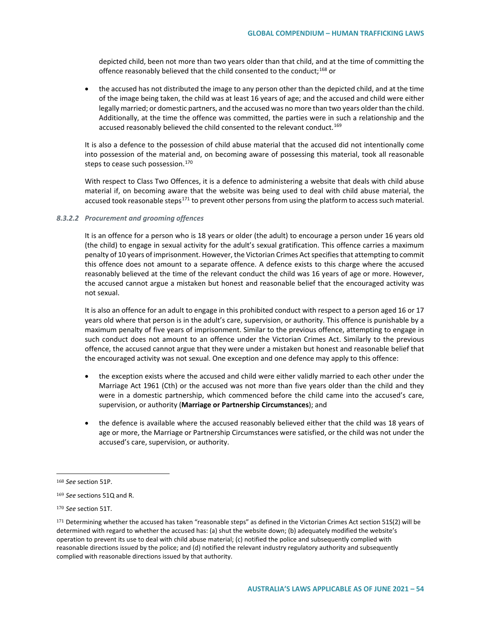depicted child, been not more than two years older than that child, and at the time of committing the offence reasonably believed that the child consented to the conduct;<sup>[168](#page-53-0)</sup> or

• the accused has not distributed the image to any person other than the depicted child, and at the time of the image being taken, the child was at least 16 years of age; and the accused and child were either legally married; or domestic partners, and the accused was no more than two years older than the child. Additionally, at the time the offence was committed, the parties were in such a relationship and the accused reasonably believed the child consented to the relevant conduct.<sup>[169](#page-53-1)</sup>

It is also a defence to the possession of child abuse material that the accused did not intentionally come into possession of the material and, on becoming aware of possessing this material, took all reasonable steps to cease such possession.<sup>[170](#page-53-2)</sup>

With respect to Class Two Offences, it is a defence to administering a website that deals with child abuse material if, on becoming aware that the website was being used to deal with child abuse material, the accused took reasonable steps<sup>[171](#page-53-3)</sup> to prevent other persons from using the platform to access such material.

#### *8.3.2.2 Procurement and grooming offences*

It is an offence for a person who is 18 years or older (the adult) to encourage a person under 16 years old (the child) to engage in sexual activity for the adult's sexual gratification. This offence carries a maximum penalty of 10 years of imprisonment. However, the Victorian Crimes Act specifies that attempting to commit this offence does not amount to a separate offence. A defence exists to this charge where the accused reasonably believed at the time of the relevant conduct the child was 16 years of age or more. However, the accused cannot argue a mistaken but honest and reasonable belief that the encouraged activity was not sexual.

It is also an offence for an adult to engage in this prohibited conduct with respect to a person aged 16 or 17 years old where that person is in the adult's care, supervision, or authority. This offence is punishable by a maximum penalty of five years of imprisonment. Similar to the previous offence, attempting to engage in such conduct does not amount to an offence under the Victorian Crimes Act. Similarly to the previous offence, the accused cannot argue that they were under a mistaken but honest and reasonable belief that the encouraged activity was not sexual. One exception and one defence may apply to this offence:

- the exception exists where the accused and child were either validly married to each other under the Marriage Act 1961 (Cth) or the accused was not more than five years older than the child and they were in a domestic partnership, which commenced before the child came into the accused's care, supervision, or authority (**Marriage or Partnership Circumstances**); and
- the defence is available where the accused reasonably believed either that the child was 18 years of age or more, the Marriage or Partnership Circumstances were satisfied, or the child was not under the accused's care, supervision, or authority.

<span id="page-53-0"></span><sup>168</sup> *See* section 51P.

<span id="page-53-1"></span><sup>169</sup> *See* sections 51Q and R.

<span id="page-53-2"></span><sup>170</sup> *See* section 51T.

<span id="page-53-3"></span><sup>171</sup> Determining whether the accused has taken "reasonable steps" as defined in the Victorian Crimes Act section 51S(2) will be determined with regard to whether the accused has: (a) shut the website down; (b) adequately modified the website's operation to prevent its use to deal with child abuse material; (c) notified the police and subsequently complied with reasonable directions issued by the police; and (d) notified the relevant industry regulatory authority and subsequently complied with reasonable directions issued by that authority.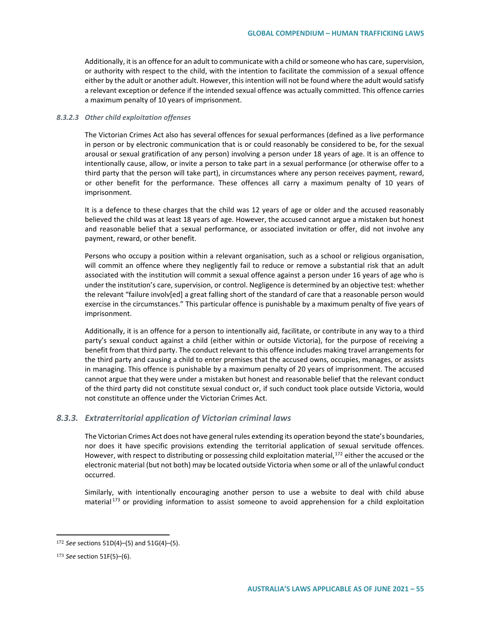Additionally, it is an offence for an adult to communicate with a child or someone who has care, supervision, or authority with respect to the child, with the intention to facilitate the commission of a sexual offence either by the adult or another adult. However, this intention will not be found where the adult would satisfy a relevant exception or defence if the intended sexual offence was actually committed. This offence carries a maximum penalty of 10 years of imprisonment.

#### *8.3.2.3 Other child exploitation offenses*

The Victorian Crimes Act also has several offences for sexual performances (defined as a live performance in person or by electronic communication that is or could reasonably be considered to be, for the sexual arousal or sexual gratification of any person) involving a person under 18 years of age. It is an offence to intentionally cause, allow, or invite a person to take part in a sexual performance (or otherwise offer to a third party that the person will take part), in circumstances where any person receives payment, reward, or other benefit for the performance. These offences all carry a maximum penalty of 10 years of imprisonment.

It is a defence to these charges that the child was 12 years of age or older and the accused reasonably believed the child was at least 18 years of age. However, the accused cannot argue a mistaken but honest and reasonable belief that a sexual performance, or associated invitation or offer, did not involve any payment, reward, or other benefit.

Persons who occupy a position within a relevant organisation, such as a school or religious organisation, will commit an offence where they negligently fail to reduce or remove a substantial risk that an adult associated with the institution will commit a sexual offence against a person under 16 years of age who is under the institution's care, supervision, or control. Negligence is determined by an objective test: whether the relevant "failure involv[ed] a great falling short of the standard of care that a reasonable person would exercise in the circumstances." This particular offence is punishable by a maximum penalty of five years of imprisonment.

Additionally, it is an offence for a person to intentionally aid, facilitate, or contribute in any way to a third party's sexual conduct against a child (either within or outside Victoria), for the purpose of receiving a benefit from that third party. The conduct relevant to this offence includes making travel arrangements for the third party and causing a child to enter premises that the accused owns, occupies, manages, or assists in managing. This offence is punishable by a maximum penalty of 20 years of imprisonment. The accused cannot argue that they were under a mistaken but honest and reasonable belief that the relevant conduct of the third party did not constitute sexual conduct or, if such conduct took place outside Victoria, would not constitute an offence under the Victorian Crimes Act.

### *8.3.3. Extraterritorial application of Victorian criminal laws*

The Victorian Crimes Act does not have general rules extending its operation beyond the state's boundaries, nor does it have specific provisions extending the territorial application of sexual servitude offences. However, with respect to distributing or possessing child exploitation material,<sup>[172](#page-54-0)</sup> either the accused or the electronic material (but not both) may be located outside Victoria when some or all of the unlawful conduct occurred.

Similarly, with intentionally encouraging another person to use a website to deal with child abuse material  $173$  or providing information to assist someone to avoid apprehension for a child exploitation

<span id="page-54-0"></span><sup>172</sup> *See* sections 51D(4)–(5) and 51G(4)–(5).

<span id="page-54-1"></span><sup>173</sup> *See* section 51F(5)–(6).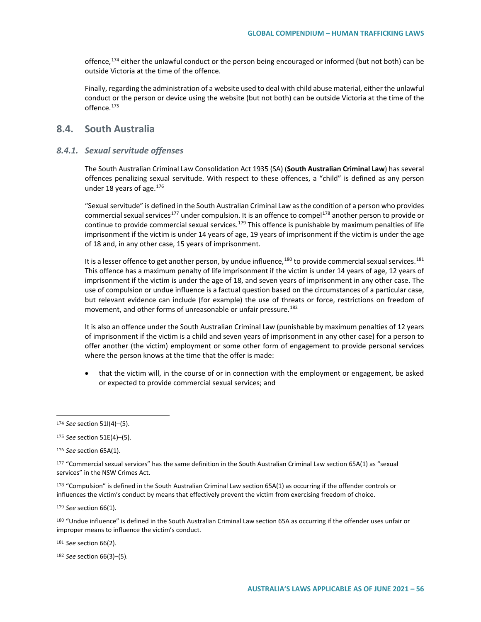offence,  $174$  either the unlawful conduct or the person being encouraged or informed (but not both) can be outside Victoria at the time of the offence.

Finally, regarding the administration of a website used to deal with child abuse material, either the unlawful conduct or the person or device using the website (but not both) can be outside Victoria at the time of the offence.<sup>[175](#page-55-1)</sup>

# **8.4. South Australia**

# *8.4.1. Sexual servitude offenses*

The South Australian Criminal Law Consolidation Act 1935 (SA) (**South Australian Criminal Law**) has several offences penalizing sexual servitude. With respect to these offences, a "child" is defined as any person under 18 years of age. $176$ 

"Sexual servitude" is defined in the South Australian Criminal Law as the condition of a person who provides commercial sexual services<sup>[177](#page-55-3)</sup> under compulsion. It is an offence to compel<sup>[178](#page-55-4)</sup> another person to provide or continue to provide commercial sexual services.<sup>[179](#page-55-5)</sup> This offence is punishable by maximum penalties of life imprisonment if the victim is under 14 years of age, 19 years of imprisonment if the victim is under the age of 18 and, in any other case, 15 years of imprisonment.

It is a lesser offence to get another person, by undue influence,  $^{180}$  $^{180}$  $^{180}$  to provide commercial sexual services.  $^{181}$  $^{181}$  $^{181}$ This offence has a maximum penalty of life imprisonment if the victim is under 14 years of age, 12 years of imprisonment if the victim is under the age of 18, and seven years of imprisonment in any other case. The use of compulsion or undue influence is a factual question based on the circumstances of a particular case, but relevant evidence can include (for example) the use of threats or force, restrictions on freedom of movement, and other forms of unreasonable or unfair pressure.<sup>[182](#page-55-8)</sup>

It is also an offence under the South Australian Criminal Law (punishable by maximum penalties of 12 years of imprisonment if the victim is a child and seven years of imprisonment in any other case) for a person to offer another (the victim) employment or some other form of engagement to provide personal services where the person knows at the time that the offer is made:

• that the victim will, in the course of or in connection with the employment or engagement, be asked or expected to provide commercial sexual services; and

 $\overline{a}$ 

<span id="page-55-4"></span> $178$  "Compulsion" is defined in the South Australian Criminal Law section 65A(1) as occurring if the offender controls or influences the victim's conduct by means that effectively prevent the victim from exercising freedom of choice.

<span id="page-55-5"></span><sup>179</sup> *See* section 66(1).

<span id="page-55-6"></span>180 "Undue influence" is defined in the South Australian Criminal Law section 65A as occurring if the offender uses unfair or improper means to influence the victim's conduct.

<span id="page-55-7"></span><sup>181</sup> *See* section 66(2).

<span id="page-55-8"></span><sup>182</sup> *See* section 66(3)–(5).

<span id="page-55-0"></span><sup>174</sup> *See* section 51I(4)–(5).

<span id="page-55-1"></span><sup>175</sup> *See* section 51E(4)–(5).

<span id="page-55-2"></span><sup>176</sup> *See* section 65A(1).

<span id="page-55-3"></span><sup>177</sup> "Commercial sexual services" has the same definition in the South Australian Criminal Law section 65A(1) as "sexual services" in the NSW Crimes Act.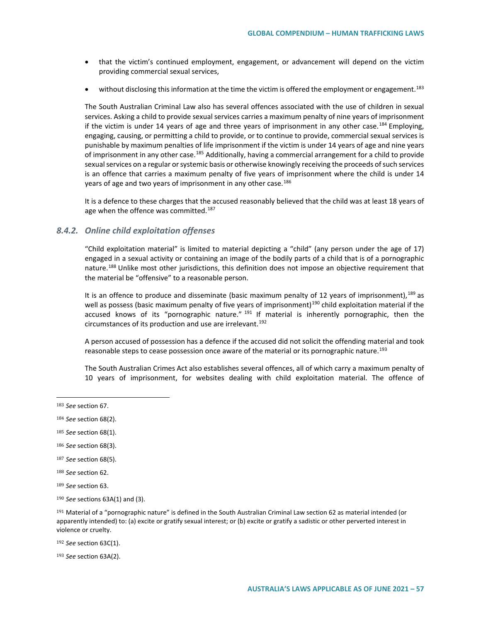- that the victim's continued employment, engagement, or advancement will depend on the victim providing commercial sexual services,
- without disclosing this information at the time the victim is offered the employment or engagement.<sup>[183](#page-56-0)</sup>

The South Australian Criminal Law also has several offences associated with the use of children in sexual services. Asking a child to provide sexual services carries a maximum penalty of nine years of imprisonment if the victim is under 14 years of age and three years of imprisonment in any other case.<sup>[184](#page-56-1)</sup> Employing, engaging, causing, or permitting a child to provide, or to continue to provide, commercial sexual services is punishable by maximum penalties of life imprisonment if the victim is under 14 years of age and nine years of imprisonment in any other case.<sup>[185](#page-56-2)</sup> Additionally, having a commercial arrangement for a child to provide sexual services on a regular or systemic basis or otherwise knowingly receiving the proceeds of such services is an offence that carries a maximum penalty of five years of imprisonment where the child is under 14 years of age and two years of imprisonment in any other case.<sup>[186](#page-56-3)</sup>

It is a defence to these charges that the accused reasonably believed that the child was at least 18 years of age when the offence was committed.<sup>[187](#page-56-4)</sup>

### *8.4.2. Online child exploitation offenses*

"Child exploitation material" is limited to material depicting a "child" (any person under the age of 17) engaged in a sexual activity or containing an image of the bodily parts of a child that is of a pornographic nature.<sup>[188](#page-56-5)</sup> Unlike most other jurisdictions, this definition does not impose an objective requirement that the material be "offensive" to a reasonable person.

It is an offence to produce and disseminate (basic maximum penalty of 12 years of imprisonment), [189](#page-56-6) as well as possess (basic maximum penalty of five years of imprisonment)<sup>[190](#page-56-7)</sup> child exploitation material if the accused knows of its "pornographic nature."  $191$  If material is inherently pornographic, then the circumstances of its production and use are irrelevant.<sup>[192](#page-56-9)</sup>

A person accused of possession has a defence if the accused did not solicit the offending material and took reasonable steps to cease possession once aware of the material or its pornographic nature.<sup>[193](#page-56-10)</sup>

The South Australian Crimes Act also establishes several offences, all of which carry a maximum penalty of 10 years of imprisonment, for websites dealing with child exploitation material. The offence of

 $\overline{a}$ 

- <span id="page-56-3"></span><sup>186</sup> *See* section 68(3).
- <span id="page-56-4"></span><sup>187</sup> *See* section 68(5).
- <span id="page-56-5"></span><sup>188</sup> *See* section 62.
- <span id="page-56-6"></span><sup>189</sup> *See* section 63.
- <span id="page-56-7"></span><sup>190</sup> *See* sections 63A(1) and (3).

<span id="page-56-8"></span><sup>191</sup> Material of a "pornographic nature" is defined in the South Australian Criminal Law section 62 as material intended (or apparently intended) to: (a) excite or gratify sexual interest; or (b) excite or gratify a sadistic or other perverted interest in violence or cruelty.

<span id="page-56-9"></span><sup>192</sup> *See* section 63C(1).

<span id="page-56-10"></span><sup>193</sup> *See* section 63A(2).

<span id="page-56-0"></span><sup>183</sup> *See* section 67.

<span id="page-56-1"></span><sup>184</sup> *See* section 68(2).

<span id="page-56-2"></span><sup>185</sup> *See* section 68(1).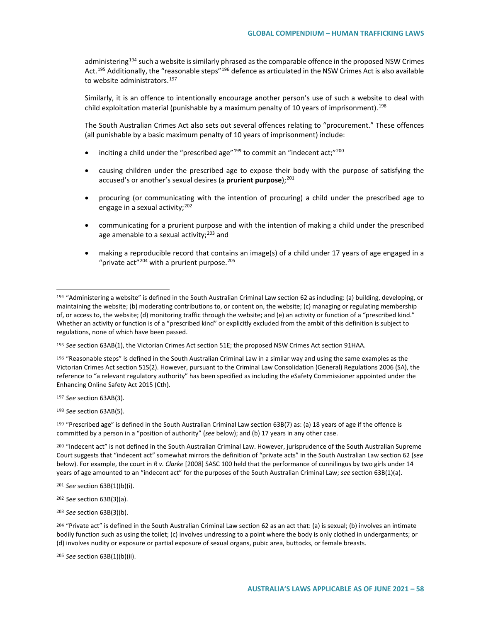administering<sup>[194](#page-57-0)</sup> such a website is similarly phrased as the comparable offence in the proposed NSW Crimes Act.<sup>[195](#page-57-1)</sup> Additionally, the "reasonable steps"<sup>[196](#page-57-2)</sup> defence as articulated in the NSW Crimes Act is also available to website administrators.<sup>[197](#page-57-3)</sup>

Similarly, it is an offence to intentionally encourage another person's use of such a website to deal with child exploitation material (punishable by a maximum penalty of 10 years of imprisonment).<sup>[198](#page-57-4)</sup>

The South Australian Crimes Act also sets out several offences relating to "procurement." These offences (all punishable by a basic maximum penalty of 10 years of imprisonment) include:

- inciting a child under the "prescribed age"<sup>[199](#page-57-5)</sup> to commit an "indecent act;"<sup>[200](#page-57-6)</sup>
- causing children under the prescribed age to expose their body with the purpose of satisfying the accused's or another's sexual desires (a **prurient purpose**);<sup>[201](#page-57-7)</sup>
- procuring (or communicating with the intention of procuring) a child under the prescribed age to engage in a sexual activity;  $202$
- communicating for a prurient purpose and with the intention of making a child under the prescribed age amenable to a sexual activity: $203$  and
- making a reproducible record that contains an image(s) of a child under 17 years of age engaged in a "private act" $204$  with a prurient purpose. $205$

<span id="page-57-2"></span><sup>196</sup> "Reasonable steps" is defined in the South Australian Criminal Law in a similar way and using the same examples as the Victorian Crimes Act section 51S(2). However, pursuant to the Criminal Law Consolidation (General) Regulations 2006 (SA), the reference to "a relevant regulatory authority" has been specified as including the eSafety Commissioner appointed under the Enhancing Online Safety Act 2015 (Cth).

<span id="page-57-3"></span><sup>197</sup> *See* section 63AB(3).

 $\overline{a}$ 

<span id="page-57-4"></span><sup>198</sup> *See* section 63AB(5).

<span id="page-57-5"></span><sup>199</sup> "Prescribed age" is defined in the South Australian Criminal Law section 63B(7) as: (a) 18 years of age if the offence is committed by a person in a "position of authority" (*see* below); and (b) 17 years in any other case.

<span id="page-57-6"></span><sup>200</sup> "Indecent act" is not defined in the South Australian Criminal Law. However, jurisprudence of the South Australian Supreme Court suggests that "indecent act" somewhat mirrors the definition of "private acts" in the South Australian Law section 62 (*see*  below). For example, the court in *R v. Clarke* [2008] SASC 100 held that the performance of cunnilingus by two girls under 14 years of age amounted to an "indecent act" for the purposes of the South Australian Criminal Law; *see* section 63B(1)(a).

<span id="page-57-7"></span><sup>201</sup> *See* section 63B(1)(b)(i).

<span id="page-57-8"></span><sup>202</sup> *See* section 63B(3)(a).

<span id="page-57-9"></span><sup>203</sup> *See* section 63B(3)(b).

<span id="page-57-10"></span> $^{204}$  "Private act" is defined in the South Australian Criminal Law section 62 as an act that: (a) is sexual; (b) involves an intimate bodily function such as using the toilet; (c) involves undressing to a point where the body is only clothed in undergarments; or (d) involves nudity or exposure or partial exposure of sexual organs, pubic area, buttocks, or female breasts.

<span id="page-57-11"></span><sup>205</sup> *See* section 63B(1)(b)(ii).

<span id="page-57-0"></span><sup>194</sup> "Administering a website" is defined in the South Australian Criminal Law section 62 as including: (a) building, developing, or maintaining the website; (b) moderating contributions to, or content on, the website; (c) managing or regulating membership of, or access to, the website; (d) monitoring traffic through the website; and (e) an activity or function of a "prescribed kind." Whether an activity or function is of a "prescribed kind" or explicitly excluded from the ambit of this definition is subject to regulations, none of which have been passed.

<span id="page-57-1"></span><sup>195</sup> *See* section 63AB(1), the Victorian Crimes Act section 51E; the proposed NSW Crimes Act section 91HAA.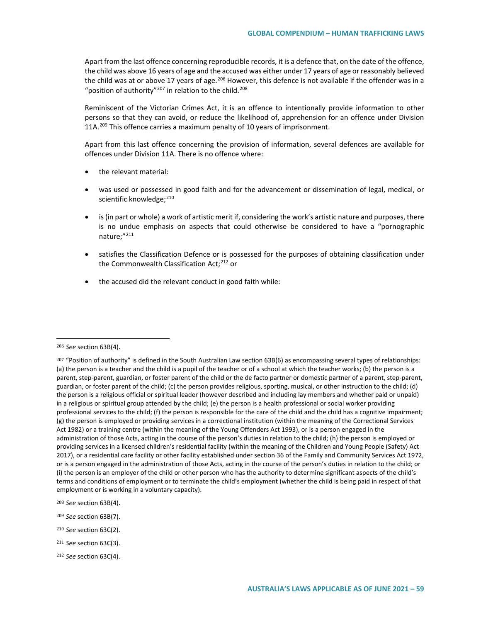Apart from the last offence concerning reproducible records, it is a defence that, on the date of the offence, the child was above 16 years of age and the accused was either under 17 years of age or reasonably believed the child was at or above 17 years of age.<sup>[206](#page-58-0)</sup> However, this defence is not available if the offender was in a "position of authority"<sup>[207](#page-58-1)</sup> in relation to the child.<sup>[208](#page-58-2)</sup>

Reminiscent of the Victorian Crimes Act, it is an offence to intentionally provide information to other persons so that they can avoid, or reduce the likelihood of, apprehension for an offence under Division 11A.<sup>[209](#page-58-3)</sup> This offence carries a maximum penalty of 10 years of imprisonment.

Apart from this last offence concerning the provision of information, several defences are available for offences under Division 11A. There is no offence where:

- the relevant material:
- was used or possessed in good faith and for the advancement or dissemination of legal, medical, or scientific knowledge;<sup>[210](#page-58-4)</sup>
- is (in part or whole) a work of artistic merit if, considering the work's artistic nature and purposes, there is no undue emphasis on aspects that could otherwise be considered to have a "pornographic nature;"<sup>211</sup>
- satisfies the Classification Defence or is possessed for the purposes of obtaining classification under the Commonwealth Classification Act;<sup>[212](#page-58-6)</sup> or
- the accused did the relevant conduct in good faith while:

- <span id="page-58-3"></span><sup>209</sup> *See* section 63B(7).
- <span id="page-58-4"></span><sup>210</sup> *See* section 63C(2).
- <span id="page-58-5"></span><sup>211</sup> *See* section 63C(3).
- <span id="page-58-6"></span><sup>212</sup> *See* section 63C(4).

<span id="page-58-0"></span><sup>206</sup> *See* section 63B(4).

<span id="page-58-1"></span> $^{207}$  "Position of authority" is defined in the South Australian Law section 63B(6) as encompassing several types of relationships: (a) the person is a teacher and the child is a pupil of the teacher or of a school at which the teacher works; (b) the person is a parent, step-parent, guardian, or foster parent of the child or the de facto partner or domestic partner of a parent, step-parent, guardian, or foster parent of the child; (c) the person provides religious, sporting, musical, or other instruction to the child; (d) the person is a religious official or spiritual leader (however described and including lay members and whether paid or unpaid) in a religious or spiritual group attended by the child; (e) the person is a health professional or social worker providing professional services to the child; (f) the person is responsible for the care of the child and the child has a cognitive impairment; (g) the person is employed or providing services in a correctional institution (within the meaning of the Correctional Services Act 1982) or a training centre (within the meaning of the Young Offenders Act 1993), or is a person engaged in the administration of those Acts, acting in the course of the person's duties in relation to the child; (h) the person is employed or providing services in a licensed children's residential facility (within the meaning of the Children and Young People (Safety) Act 2017), or a residential care facility or other facility established under section 36 of the Family and Community Services Act 1972, or is a person engaged in the administration of those Acts, acting in the course of the person's duties in relation to the child; or (i) the person is an employer of the child or other person who has the authority to determine significant aspects of the child's terms and conditions of employment or to terminate the child's employment (whether the child is being paid in respect of that employment or is working in a voluntary capacity).

<span id="page-58-2"></span><sup>208</sup> *See* section 63B(4).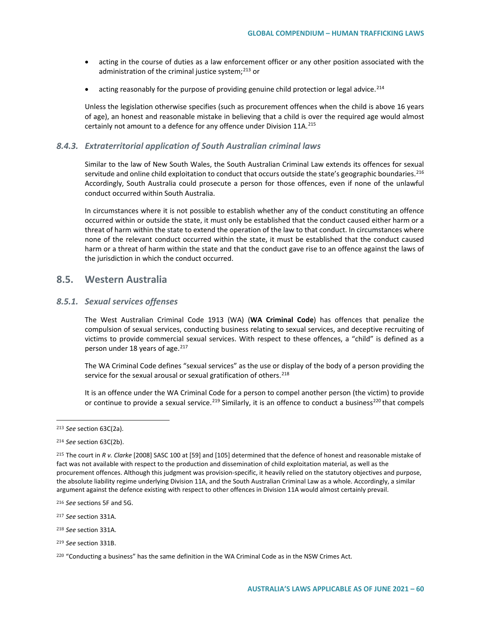- acting in the course of duties as a law enforcement officer or any other position associated with the administration of the criminal justice system; $^{213}$  $^{213}$  $^{213}$  or
- acting reasonably for the purpose of providing genuine child protection or legal advice.<sup>[214](#page-59-1)</sup>

Unless the legislation otherwise specifies (such as procurement offences when the child is above 16 years of age), an honest and reasonable mistake in believing that a child is over the required age would almost certainly not amount to a defence for any offence under Division 11A.<sup>[215](#page-59-2)</sup>

# *8.4.3. Extraterritorial application of South Australian criminal laws*

Similar to the law of New South Wales, the South Australian Criminal Law extends its offences for sexual servitude and online child exploitation to conduct that occurs outside the state's geographic boundaries.<sup>[216](#page-59-3)</sup> Accordingly, South Australia could prosecute a person for those offences, even if none of the unlawful conduct occurred within South Australia.

In circumstances where it is not possible to establish whether any of the conduct constituting an offence occurred within or outside the state, it must only be established that the conduct caused either harm or a threat of harm within the state to extend the operation of the law to that conduct. In circumstances where none of the relevant conduct occurred within the state, it must be established that the conduct caused harm or a threat of harm within the state and that the conduct gave rise to an offence against the laws of the jurisdiction in which the conduct occurred.

# **8.5. Western Australia**

# *8.5.1. Sexual services offenses*

The West Australian Criminal Code 1913 (WA) (**WA Criminal Code**) has offences that penalize the compulsion of sexual services, conducting business relating to sexual services, and deceptive recruiting of victims to provide commercial sexual services. With respect to these offences, a "child" is defined as a person under 18 years of age.<sup>[217](#page-59-4)</sup>

The WA Criminal Code defines "sexual services" as the use or display of the body of a person providing the service for the sexual arousal or sexual gratification of others.<sup>[218](#page-59-5)</sup>

It is an offence under the WA Criminal Code for a person to compel another person (the victim) to provide or continue to provide a sexual service.<sup>[219](#page-59-6)</sup> Similarly, it is an offence to conduct a business<sup>[220](#page-59-7)</sup> that compels

<span id="page-59-0"></span><sup>213</sup> *See* section 63C(2a).

<span id="page-59-1"></span><sup>214</sup> *See* section 63C(2b).

<span id="page-59-2"></span><sup>215</sup> The court in *R v. Clarke* [2008] SASC 100 at [59] and [105] determined that the defence of honest and reasonable mistake of fact was not available with respect to the production and dissemination of child exploitation material, as well as the procurement offences. Although this judgment was provision-specific, it heavily relied on the statutory objectives and purpose, the absolute liability regime underlying Division 11A, and the South Australian Criminal Law as a whole. Accordingly, a similar argument against the defence existing with respect to other offences in Division 11A would almost certainly prevail.

<span id="page-59-3"></span><sup>216</sup> *See* sections 5F and 5G.

<span id="page-59-4"></span><sup>217</sup> *See* section 331A.

<span id="page-59-5"></span><sup>218</sup> *See* section 331A.

<span id="page-59-6"></span><sup>219</sup> *See* section 331B.

<span id="page-59-7"></span><sup>&</sup>lt;sup>220</sup> "Conducting a business" has the same definition in the WA Criminal Code as in the NSW Crimes Act.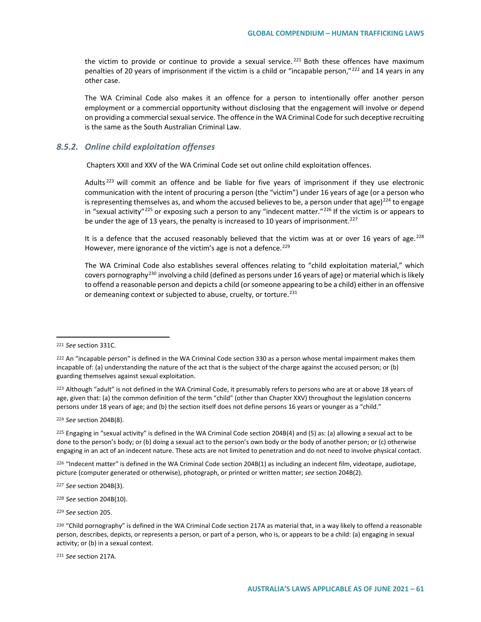the victim to provide or continue to provide a sexual service.<sup>[221](#page-60-0)</sup> Both these offences have maximum penalties of 20 years of imprisonment if the victim is a child or "incapable person,"[222](#page-60-1) and 14 years in any other case.

The WA Criminal Code also makes it an offence for a person to intentionally offer another person employment or a commercial opportunity without disclosing that the engagement will involve or depend on providing a commercial sexual service. The offence in the WA Criminal Code for such deceptive recruiting is the same as the South Australian Criminal Law.

### *8.5.2. Online child exploitation offenses*

Chapters XXII and XXV of the WA Criminal Code set out online child exploitation offences.

Adults<sup>[223](#page-60-2)</sup> will commit an offence and be liable for five years of imprisonment if they use electronic communication with the intent of procuring a person (the "victim") under 16 years of age (or a person who is representing themselves as, and whom the accused believes to be, a person under that age)<sup>[224](#page-60-3)</sup> to engage in "sexual activity"<sup>[225](#page-60-4)</sup> or exposing such a person to any "indecent matter."<sup>[226](#page-60-5)</sup> If the victim is or appears to be under the age of 13 years, the penalty is increased to 10 years of imprisonment.<sup>[227](#page-60-6)</sup>

It is a defence that the accused reasonably believed that the victim was at or over 16 years of age.<sup>[228](#page-60-7)</sup> However, mere ignorance of the victim's age is not a defence.<sup>[229](#page-60-8)</sup>

The WA Criminal Code also establishes several offences relating to "child exploitation material," which covers pornography[230](#page-60-9) involving a child (defined as persons under 16 years of age) or material which is likely to offend a reasonable person and depicts a child (or someone appearing to be a child) either in an offensive or demeaning context or subjected to abuse, cruelty, or torture.<sup>[231](#page-60-10)</sup>

 $\overline{a}$ 

<span id="page-60-2"></span>223 Although "adult" is not defined in the WA Criminal Code, it presumably refers to persons who are at or above 18 years of age, given that: (a) the common definition of the term "child" (other than Chapter XXV) throughout the legislation concerns persons under 18 years of age; and (b) the section itself does not define persons 16 years or younger as a "child."

<span id="page-60-3"></span><sup>224</sup> *See* section 204B(8).

<span id="page-60-4"></span> $225$  Engaging in "sexual activity" is defined in the WA Criminal Code section 204B(4) and (5) as: (a) allowing a sexual act to be done to the person's body; or (b) doing a sexual act to the person's own body or the body of another person; or (c) otherwise engaging in an act of an indecent nature. These acts are not limited to penetration and do not need to involve physical contact.

<span id="page-60-5"></span><sup>226</sup> "Indecent matter" is defined in the WA Criminal Code section 204B(1) as including an indecent film, videotape, audiotape, picture (computer generated or otherwise), photograph, or printed or written matter; *see* section 204B(2).

<span id="page-60-6"></span><sup>227</sup> *See* section 204B(3).

<span id="page-60-7"></span><sup>228</sup> *See* section 204B(10).

<span id="page-60-8"></span><sup>229</sup> *See* section 205.

<span id="page-60-10"></span><sup>231</sup> *See* section 217A.

<span id="page-60-0"></span><sup>221</sup> *See* section 331C.

<span id="page-60-1"></span><sup>222</sup> An "incapable person" is defined in the WA Criminal Code section 330 as a person whose mental impairment makes them incapable of: (a) understanding the nature of the act that is the subject of the charge against the accused person; or (b) guarding themselves against sexual exploitation.

<span id="page-60-9"></span><sup>&</sup>lt;sup>230</sup> "Child pornography" is defined in the WA Criminal Code section 217A as material that, in a way likely to offend a reasonable person, describes, depicts, or represents a person, or part of a person, who is, or appears to be a child: (a) engaging in sexual activity; or (b) in a sexual context.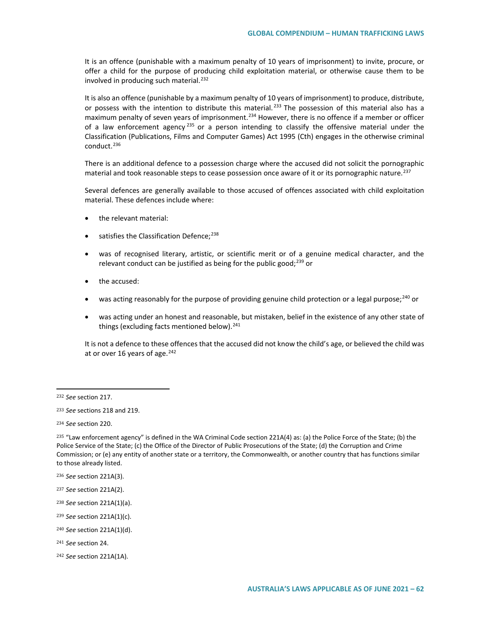It is an offence (punishable with a maximum penalty of 10 years of imprisonment) to invite, procure, or offer a child for the purpose of producing child exploitation material, or otherwise cause them to be involved in producing such material.<sup>[232](#page-61-0)</sup>

It is also an offence (punishable by a maximum penalty of 10 years of imprisonment) to produce, distribute, or possess with the intention to distribute this material.<sup>[233](#page-61-1)</sup> The possession of this material also has a maximum penalty of seven years of imprisonment.<sup>234</sup> However, there is no offence if a member or officer of a law enforcement agency<sup>[235](#page-61-3)</sup> or a person intending to classify the offensive material under the Classification (Publications, Films and Computer Games) Act 1995 (Cth) engages in the otherwise criminal conduct.<sup>[236](#page-61-4)</sup>

There is an additional defence to a possession charge where the accused did not solicit the pornographic material and took reasonable steps to cease possession once aware of it or its pornographic nature.<sup>[237](#page-61-5)</sup>

Several defences are generally available to those accused of offences associated with child exploitation material. These defences include where:

- the relevant material:
- satisfies the Classification Defence; $^{238}$  $^{238}$  $^{238}$
- was of recognised literary, artistic, or scientific merit or of a genuine medical character, and the relevant conduct can be justified as being for the public good; $^{239}$  $^{239}$  $^{239}$  or
- the accused:
- was acting reasonably for the purpose of providing genuine child protection or a legal purpose;<sup>[240](#page-61-8)</sup> or
- was acting under an honest and reasonable, but mistaken, belief in the existence of any other state of things (excluding facts mentioned below). $241$

It is not a defence to these offences that the accused did not know the child's age, or believed the child was at or over 16 years of age. $242$ 

- <span id="page-61-7"></span><sup>239</sup> *See* section 221A(1)(c).
- <span id="page-61-8"></span><sup>240</sup> *See* section 221A(1)(d).

<span id="page-61-0"></span><sup>232</sup> *See* section 217.

<span id="page-61-1"></span><sup>233</sup> *See* sections 218 and 219.

<span id="page-61-2"></span><sup>234</sup> *See* section 220.

<span id="page-61-3"></span><sup>&</sup>lt;sup>235</sup> "Law enforcement agency" is defined in the WA Criminal Code section 221A(4) as: (a) the Police Force of the State; (b) the Police Service of the State; (c) the Office of the Director of Public Prosecutions of the State; (d) the Corruption and Crime Commission; or (e) any entity of another state or a territory, the Commonwealth, or another country that has functions similar to those already listed.

<span id="page-61-4"></span><sup>236</sup> *See* section 221A(3).

<span id="page-61-5"></span><sup>237</sup> *See* section 221A(2).

<span id="page-61-6"></span><sup>238</sup> *See* section 221A(1)(a).

<span id="page-61-9"></span><sup>241</sup> *See* section 24.

<span id="page-61-10"></span><sup>242</sup> *See* section 221A(1A).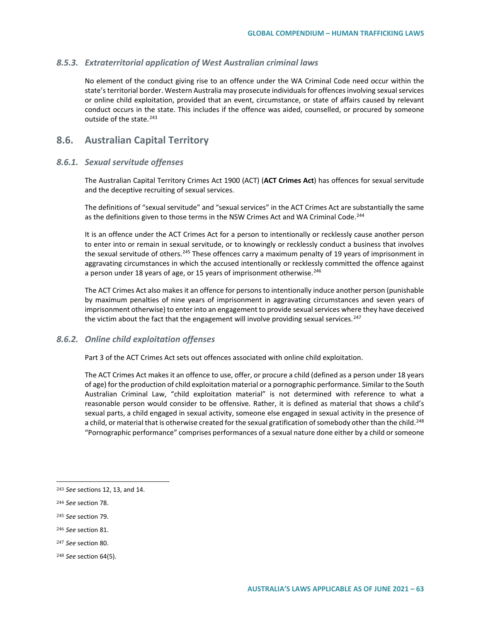### *8.5.3. Extraterritorial application of West Australian criminal laws*

No element of the conduct giving rise to an offence under the WA Criminal Code need occur within the state's territorial border. Western Australia may prosecute individuals for offences involving sexual services or online child exploitation, provided that an event, circumstance, or state of affairs caused by relevant conduct occurs in the state. This includes if the offence was aided, counselled, or procured by someone outside of the state.[243](#page-62-0)

# **8.6. Australian Capital Territory**

#### *8.6.1. Sexual servitude offenses*

The Australian Capital Territory Crimes Act 1900 (ACT) (**ACT Crimes Act**) has offences for sexual servitude and the deceptive recruiting of sexual services.

The definitions of "sexual servitude" and "sexual services" in the ACT Crimes Act are substantially the same as the definitions given to those terms in the NSW Crimes Act and WA Criminal Code.<sup>[244](#page-62-1)</sup>

It is an offence under the ACT Crimes Act for a person to intentionally or recklessly cause another person to enter into or remain in sexual servitude, or to knowingly or recklessly conduct a business that involves the sexual servitude of others.<sup>[245](#page-62-2)</sup> These offences carry a maximum penalty of 19 years of imprisonment in aggravating circumstances in which the accused intentionally or recklessly committed the offence against a person under 18 years of age, or 15 years of imprisonment otherwise.<sup>[246](#page-62-3)</sup>

The ACT Crimes Act also makes it an offence for persons to intentionally induce another person (punishable by maximum penalties of nine years of imprisonment in aggravating circumstances and seven years of imprisonment otherwise) to enter into an engagement to provide sexual services where they have deceived the victim about the fact that the engagement will involve providing sexual services.<sup>[247](#page-62-4)</sup>

### *8.6.2. Online child exploitation offenses*

Part 3 of the ACT Crimes Act sets out offences associated with online child exploitation.

The ACT Crimes Act makes it an offence to use, offer, or procure a child (defined as a person under 18 years of age) for the production of child exploitation material or a pornographic performance. Similar to the South Australian Criminal Law, "child exploitation material" is not determined with reference to what a reasonable person would consider to be offensive. Rather, it is defined as material that shows a child's sexual parts, a child engaged in sexual activity, someone else engaged in sexual activity in the presence of a child, or material that is otherwise created for the sexual gratification of somebody other than the child.<sup>[248](#page-62-5)</sup> "Pornographic performance" comprises performances of a sexual nature done either by a child or someone

 $\overline{a}$ 

<span id="page-62-2"></span><sup>245</sup> *See* section 79.

<span id="page-62-0"></span><sup>243</sup> *See* sections 12, 13, and 14.

<span id="page-62-1"></span><sup>244</sup> *See* section 78.

<span id="page-62-3"></span><sup>246</sup> *See* section 81.

<span id="page-62-4"></span><sup>247</sup> *See* section 80.

<span id="page-62-5"></span><sup>248</sup> *See* section 64(5).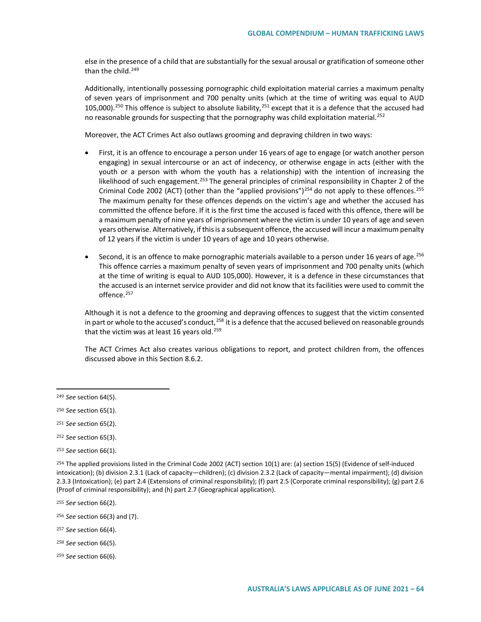else in the presence of a child that are substantially for the sexual arousal or gratification of someone other than the child. $249$ 

Additionally, intentionally possessing pornographic child exploitation material carries a maximum penalty of seven years of imprisonment and 700 penalty units (which at the time of writing was equal to AUD 105,000).<sup>[250](#page-63-1)</sup> This offence is subject to absolute liability,<sup>[251](#page-63-2)</sup> except that it is a defence that the accused had no reasonable grounds for suspecting that the pornography was child exploitation material.<sup>[252](#page-63-3)</sup>

Moreover, the ACT Crimes Act also outlaws grooming and depraving children in two ways:

- First, it is an offence to encourage a person under 16 years of age to engage (or watch another person engaging) in sexual intercourse or an act of indecency, or otherwise engage in acts (either with the youth or a person with whom the youth has a relationship) with the intention of increasing the likelihood of such engagement.<sup>[253](#page-63-4)</sup> The general principles of criminal responsibility in Chapter 2 of the Criminal Code 2002 (ACT) (other than the "applied provisions")<sup>[254](#page-63-5)</sup> do not apply to these offences.<sup>[255](#page-63-6)</sup> The maximum penalty for these offences depends on the victim's age and whether the accused has committed the offence before. If it is the first time the accused is faced with this offence, there will be a maximum penalty of nine years of imprisonment where the victim is under 10 years of age and seven years otherwise. Alternatively, if this is a subsequent offence, the accused will incur a maximum penalty of 12 years if the victim is under 10 years of age and 10 years otherwise.
- Second, it is an offence to make pornographic materials available to a person under 16 years of age.[256](#page-63-7) This offence carries a maximum penalty of seven years of imprisonment and 700 penalty units (which at the time of writing is equal to AUD 105,000). However, it is a defence in these circumstances that the accused is an internet service provider and did not know that its facilities were used to commit the offence.<sup>[257](#page-63-8)</sup>

Although it is not a defence to the grooming and depraving offences to suggest that the victim consented in part or whole to the accused's conduct,<sup>[258](#page-63-9)</sup> it is a defence that the accused believed on reasonable grounds that the victim was at least 16 years old.<sup>[259](#page-63-10)</sup>

The ACT Crimes Act also creates various obligations to report, and protect children from, the offences discussed above in this Section 8.6.2.

- <span id="page-63-8"></span><sup>257</sup> *See* section 66(4).
- <span id="page-63-9"></span><sup>258</sup> *See* section 66(5).
- <span id="page-63-10"></span><sup>259</sup> *See* section 66(6).

<span id="page-63-0"></span><sup>249</sup> *See* section 64(5).

<span id="page-63-1"></span><sup>250</sup> *See* section 65(1).

<span id="page-63-2"></span><sup>251</sup> *See* section 65(2).

<span id="page-63-3"></span><sup>252</sup> *See* section 65(3).

<span id="page-63-4"></span><sup>253</sup> *See* section 66(1).

<span id="page-63-5"></span><sup>254</sup> The applied provisions listed in the Criminal Code 2002 (ACT) section 10(1) are: (a) section 15(5) (Evidence of self-induced intoxication); (b) division 2.3.1 (Lack of capacity—children); (c) division 2.3.2 (Lack of capacity—mental impairment); (d) division 2.3.3 (Intoxication); (e) part 2.4 (Extensions of criminal responsibility); (f) part 2.5 (Corporate criminal responsibility); (g) part 2.6 (Proof of criminal responsibility); and (h) part 2.7 (Geographical application).

<span id="page-63-6"></span><sup>255</sup> *See* section 66(2).

<span id="page-63-7"></span><sup>256</sup> *See* section 66(3) and (7).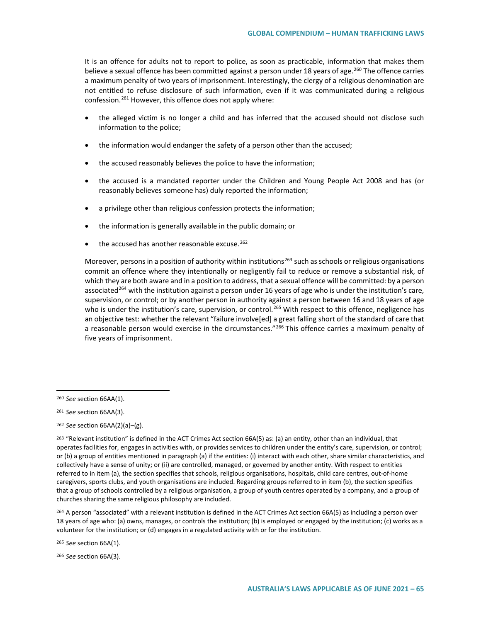It is an offence for adults not to report to police, as soon as practicable, information that makes them believe a sexual offence has been committed against a person under 18 years of age.<sup>[260](#page-64-0)</sup> The offence carries a maximum penalty of two years of imprisonment. Interestingly, the clergy of a religious denomination are not entitled to refuse disclosure of such information, even if it was communicated during a religious confession.<sup>261</sup> However, this offence does not apply where:

- the alleged victim is no longer a child and has inferred that the accused should not disclose such information to the police;
- the information would endanger the safety of a person other than the accused;
- the accused reasonably believes the police to have the information;
- the accused is a mandated reporter under the Children and Young People Act 2008 and has (or reasonably believes someone has) duly reported the information;
- a privilege other than religious confession protects the information;
- the information is generally available in the public domain; or
- the accused has another reasonable excuse.<sup>[262](#page-64-2)</sup>

Moreover, persons in a position of authority within institutions<sup>[263](#page-64-3)</sup> such as schools or religious organisations commit an offence where they intentionally or negligently fail to reduce or remove a substantial risk, of which they are both aware and in a position to address, that a sexual offence will be committed: by a person associated<sup>[264](#page-64-4)</sup> with the institution against a person under 16 years of age who is under the institution's care, supervision, or control; or by another person in authority against a person between 16 and 18 years of age who is under the institution's care, supervision, or control.<sup>[265](#page-64-5)</sup> With respect to this offence, negligence has an objective test: whether the relevant "failure involve[ed] a great falling short of the standard of care that a reasonable person would exercise in the circumstances."<sup>[266](#page-64-6)</sup> This offence carries a maximum penalty of five years of imprisonment.

 $\overline{a}$ 

<span id="page-64-2"></span><sup>262</sup> *See* section 66AA(2)(a)–(g).

<span id="page-64-4"></span><sup>264</sup> A person "associated" with a relevant institution is defined in the ACT Crimes Act section 66A(5) as including a person over 18 years of age who: (a) owns, manages, or controls the institution; (b) is employed or engaged by the institution; (c) works as a volunteer for the institution; or (d) engages in a regulated activity with or for the institution.

<span id="page-64-5"></span><sup>265</sup> *See* section 66A(1).

<span id="page-64-6"></span><sup>266</sup> *See* section 66A(3).

<span id="page-64-0"></span><sup>260</sup> *See* section 66AA(1).

<span id="page-64-1"></span><sup>261</sup> *See* section 66AA(3).

<span id="page-64-3"></span><sup>263</sup> "Relevant institution" is defined in the ACT Crimes Act section 66A(5) as: (a) an entity, other than an individual, that operates facilities for, engages in activities with, or provides services to children under the entity's care, supervision, or control; or (b) a group of entities mentioned in paragraph (a) if the entities: (i) interact with each other, share similar characteristics, and collectively have a sense of unity; or (ii) are controlled, managed, or governed by another entity. With respect to entities referred to in item (a), the section specifies that schools, religious organisations, hospitals, child care centres, out-of-home caregivers, sports clubs, and youth organisations are included. Regarding groups referred to in item (b), the section specifies that a group of schools controlled by a religious organisation, a group of youth centres operated by a company, and a group of churches sharing the same religious philosophy are included.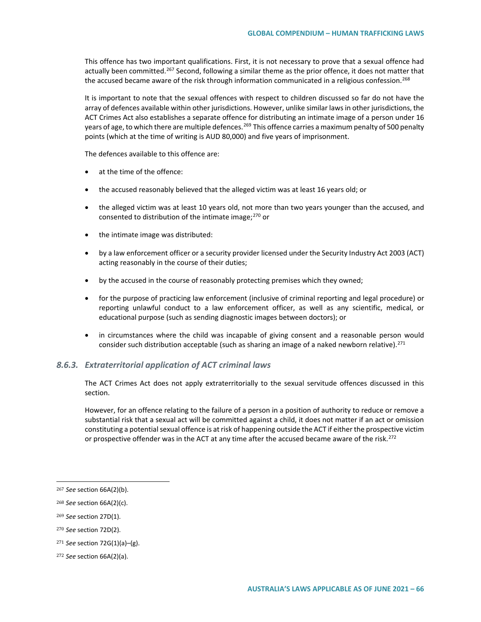This offence has two important qualifications. First, it is not necessary to prove that a sexual offence had actually been committed.<sup>[267](#page-65-0)</sup> Second, following a similar theme as the prior offence, it does not matter that the accused became aware of the risk through information communicated in a religious confession.<sup>[268](#page-65-1)</sup>

It is important to note that the sexual offences with respect to children discussed so far do not have the array of defences available within other jurisdictions. However, unlike similar laws in other jurisdictions, the ACT Crimes Act also establishes a separate offence for distributing an intimate image of a person under 16 years of age, to which there are multiple defences.<sup>[269](#page-65-2)</sup> This offence carries a maximum penalty of 500 penalty points (which at the time of writing is AUD 80,000) and five years of imprisonment.

The defences available to this offence are:

- at the time of the offence:
- the accused reasonably believed that the alleged victim was at least 16 years old; or
- the alleged victim was at least 10 years old, not more than two years younger than the accused, and consented to distribution of the intimate image;<sup>[270](#page-65-3)</sup> or
- the intimate image was distributed:
- by a law enforcement officer or a security provider licensed under the Security Industry Act 2003 (ACT) acting reasonably in the course of their duties;
- by the accused in the course of reasonably protecting premises which they owned;
- for the purpose of practicing law enforcement (inclusive of criminal reporting and legal procedure) or reporting unlawful conduct to a law enforcement officer, as well as any scientific, medical, or educational purpose (such as sending diagnostic images between doctors); or
- in circumstances where the child was incapable of giving consent and a reasonable person would consider such distribution acceptable (such as sharing an image of a naked newborn relative).<sup>[271](#page-65-4)</sup>

#### *8.6.3. Extraterritorial application of ACT criminal laws*

The ACT Crimes Act does not apply extraterritorially to the sexual servitude offences discussed in this section.

However, for an offence relating to the failure of a person in a position of authority to reduce or remove a substantial risk that a sexual act will be committed against a child, it does not matter if an act or omission constituting a potential sexual offence is at risk of happening outside the ACT if either the prospective victim or prospective offender was in the ACT at any time after the accused became aware of the risk.<sup>[272](#page-65-5)</sup>

<span id="page-65-0"></span><sup>267</sup> *See* section 66A(2)(b).

<span id="page-65-1"></span><sup>268</sup> *See* section 66A(2)(c).

<span id="page-65-2"></span><sup>269</sup> *See* section 27D(1).

<span id="page-65-3"></span><sup>270</sup> *See* section 72D(2).

<span id="page-65-4"></span><sup>271</sup> *See* section 72G(1)(a)–(g).

<span id="page-65-5"></span><sup>272</sup> *See* section 66A(2)(a).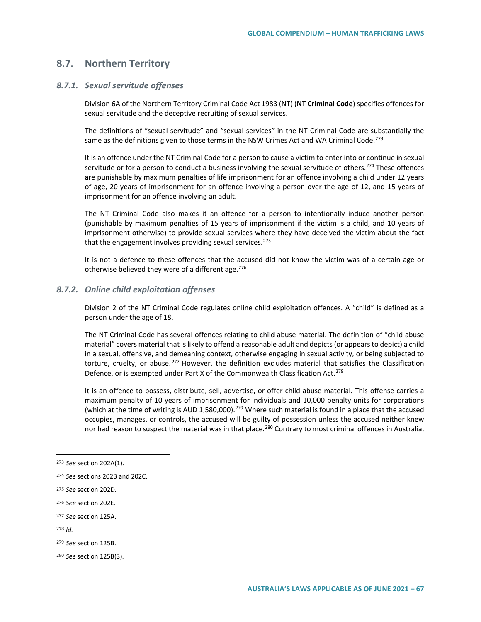# **8.7. Northern Territory**

### *8.7.1. Sexual servitude offenses*

Division 6A of the Northern Territory Criminal Code Act 1983 (NT) (**NT Criminal Code**) specifies offences for sexual servitude and the deceptive recruiting of sexual services.

The definitions of "sexual servitude" and "sexual services" in the NT Criminal Code are substantially the same as the definitions given to those terms in the NSW Crimes Act and WA Criminal Code.<sup>[273](#page-66-0)</sup>

It is an offence under the NT Criminal Code for a person to cause a victim to enter into or continue in sexual servitude or for a person to conduct a business involving the sexual servitude of others.<sup>[274](#page-66-1)</sup> These offences are punishable by maximum penalties of life imprisonment for an offence involving a child under 12 years of age, 20 years of imprisonment for an offence involving a person over the age of 12, and 15 years of imprisonment for an offence involving an adult.

The NT Criminal Code also makes it an offence for a person to intentionally induce another person (punishable by maximum penalties of 15 years of imprisonment if the victim is a child, and 10 years of imprisonment otherwise) to provide sexual services where they have deceived the victim about the fact that the engagement involves providing sexual services.<sup>[275](#page-66-2)</sup>

It is not a defence to these offences that the accused did not know the victim was of a certain age or otherwise believed they were of a different age.  $276$ 

#### *8.7.2. Online child exploitation offenses*

Division 2 of the NT Criminal Code regulates online child exploitation offences. A "child" is defined as a person under the age of 18.

The NT Criminal Code has several offences relating to child abuse material. The definition of "child abuse material" covers material that is likely to offend a reasonable adult and depicts (or appears to depict) a child in a sexual, offensive, and demeaning context, otherwise engaging in sexual activity, or being subjected to torture, cruelty, or abuse.<sup>[277](#page-66-4)</sup> However, the definition excludes material that satisfies the Classification Defence, or is exempted under Part X of the Commonwealth Classification Act.<sup>[278](#page-66-5)</sup>

It is an offence to possess, distribute, sell, advertise, or offer child abuse material. This offense carries a maximum penalty of 10 years of imprisonment for individuals and 10,000 penalty units for corporations (which at the time of writing is AUD 1,580,000).<sup>[279](#page-66-6)</sup> Where such material is found in a place that the accused occupies, manages, or controls, the accused will be guilty of possession unless the accused neither knew nor had reason to suspect the material was in that place.<sup>280</sup> Contrary to most criminal offences in Australia,

<span id="page-66-3"></span><sup>276</sup> *See* section 202E.

<span id="page-66-0"></span><sup>273</sup> *See* section 202A(1).

<span id="page-66-1"></span><sup>274</sup> *See* sections 202B and 202C.

<span id="page-66-2"></span><sup>275</sup> *See* section 202D.

<span id="page-66-4"></span><sup>277</sup> *See* section 125A.

<span id="page-66-5"></span><sup>278</sup> *Id.*

<span id="page-66-6"></span><sup>279</sup> *See* section 125B.

<span id="page-66-7"></span><sup>280</sup> *See* section 125B(3).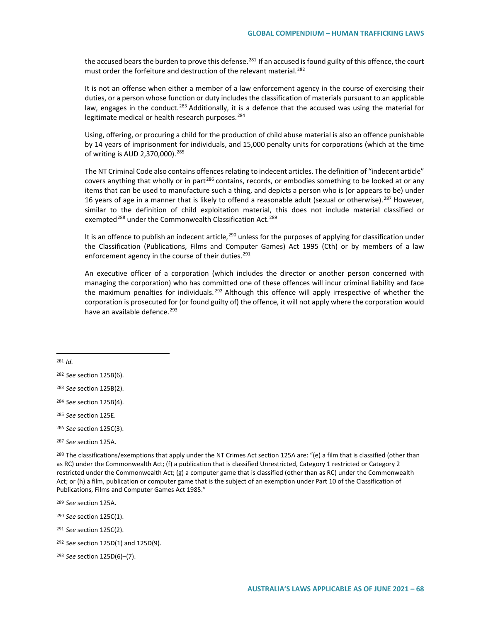the accused bears the burden to prove this defense.<sup>[281](#page-67-0)</sup> If an accused is found guilty of this offence, the court must order the forfeiture and destruction of the relevant material.<sup>[282](#page-67-1)</sup>

It is not an offense when either a member of a law enforcement agency in the course of exercising their duties, or a person whose function or duty includes the classification of materials pursuant to an applicable law, engages in the conduct.<sup>[283](#page-67-2)</sup> Additionally, it is a defence that the accused was using the material for legitimate medical or health research purposes.<sup>[284](#page-67-3)</sup>

Using, offering, or procuring a child for the production of child abuse material is also an offence punishable by 14 years of imprisonment for individuals, and 15,000 penalty units for corporations (which at the time of writing is AUD 2,370,000).<sup>[285](#page-67-4)</sup>

The NT Criminal Code also contains offences relating to indecent articles. The definition of "indecent article" covers anything that wholly or in part<sup>[286](#page-67-5)</sup> contains, records, or embodies something to be looked at or any items that can be used to manufacture such a thing, and depicts a person who is (or appears to be) under 16 years of age in a manner that is likely to offend a reasonable adult (sexual or otherwise).<sup>[287](#page-67-6)</sup> However, similar to the definition of child exploitation material, this does not include material classified or exempted<sup>[288](#page-67-7)</sup> under the Commonwealth Classification Act.<sup>[289](#page-67-8)</sup>

It is an offence to publish an indecent article,  $^{290}$  $^{290}$  $^{290}$  unless for the purposes of applying for classification under the Classification (Publications, Films and Computer Games) Act 1995 (Cth) or by members of a law enforcement agency in the course of their duties.<sup>[291](#page-67-10)</sup>

An executive officer of a corporation (which includes the director or another person concerned with managing the corporation) who has committed one of these offences will incur criminal liability and face the maximum penalties for individuals. <sup>[292](#page-67-11)</sup> Although this offence will apply irrespective of whether the corporation is prosecuted for (or found guilty of) the offence, it will not apply where the corporation would have an available defence.<sup>[293](#page-67-12)</sup>

<span id="page-67-0"></span><sup>281</sup> *Id.*

 $\overline{a}$ 

- <span id="page-67-2"></span><sup>283</sup> *See* section 125B(2).
- <span id="page-67-3"></span><sup>284</sup> *See* section 125B(4).
- <span id="page-67-4"></span><sup>285</sup> *See* section 125E.
- <span id="page-67-5"></span><sup>286</sup> *See* section 125C(3).
- <span id="page-67-6"></span><sup>287</sup> *See* section 125A.

<span id="page-67-7"></span><sup>288</sup> The classifications/exemptions that apply under the NT Crimes Act section 125A are: "(e) a film that is classified (other than as RC) under the Commonwealth Act; (f) a publication that is classified Unrestricted, Category 1 restricted or Category 2 restricted under the Commonwealth Act;  $(g)$  a computer game that is classified (other than as RC) under the Commonwealth Act; or (h) a film, publication or computer game that is the subject of an exemption under Part 10 of the Classification of Publications, Films and Computer Games Act 1985."

<span id="page-67-8"></span><sup>289</sup> *See* section 125A.

<span id="page-67-9"></span><sup>290</sup> *See* section 125C(1).

<span id="page-67-10"></span><sup>291</sup> *See* section 125C(2).

<span id="page-67-11"></span><sup>292</sup> *See* section 125D(1) and 125D(9).

<span id="page-67-12"></span><sup>293</sup> *See* section 125D(6)–(7).

<span id="page-67-1"></span><sup>282</sup> *See* section 125B(6).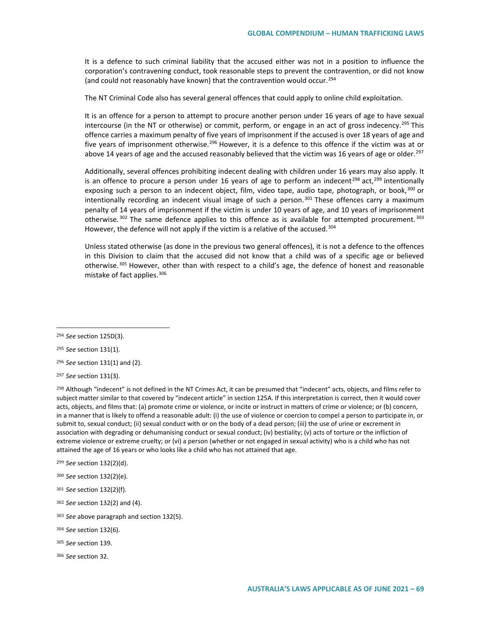It is a defence to such criminal liability that the accused either was not in a position to influence the corporation's contravening conduct, took reasonable steps to prevent the contravention, or did not know (and could not reasonably have known) that the contravention would occur.<sup>[294](#page-68-0)</sup>

The NT Criminal Code also has several general offences that could apply to online child exploitation.

It is an offence for a person to attempt to procure another person under 16 years of age to have sexual intercourse (in the NT or otherwise) or commit, perform, or engage in an act of gross indecency.<sup>[295](#page-68-1)</sup> This offence carries a maximum penalty of five years of imprisonment if the accused is over 18 years of age and five years of imprisonment otherwise.<sup>[296](#page-68-2)</sup> However, it is a defence to this offence if the victim was at or above 14 years of age and the accused reasonably believed that the victim was 16 years of age or older.<sup>[297](#page-68-3)</sup>

Additionally, several offences prohibiting indecent dealing with children under 16 years may also apply. It is an offence to procure a person under 16 years of age to perform an indecent<sup>[298](#page-68-4)</sup> act,<sup>[299](#page-68-5)</sup> intentionally exposing such a person to an indecent object, film, video tape, audio tape, photograph, or book,<sup>[300](#page-68-6)</sup> or intentionally recording an indecent visual image of such a person. $301$  These offences carry a maximum penalty of 14 years of imprisonment if the victim is under 10 years of age, and 10 years of imprisonment otherwise.  $302$  The same defence applies to this offence as is available for attempted procurement.  $303$ However, the defence will not apply if the victim is a relative of the accused.<sup>[304](#page-68-10)</sup>

Unless stated otherwise (as done in the previous two general offences), it is not a defence to the offences in this Division to claim that the accused did not know that a child was of a specific age or believed otherwise.<sup>[305](#page-68-11)</sup> However, other than with respect to a child's age, the defence of honest and reasonable mistake of fact applies.<sup>[306](#page-68-12)</sup>

 $\overline{a}$ 

<span id="page-68-1"></span><sup>295</sup> *See* section 131(1).

<span id="page-68-2"></span><sup>296</sup> *See* section 131(1) and (2).

<span id="page-68-4"></span><sup>298</sup> Although "indecent" is not defined in the NT Crimes Act, it can be presumed that "indecent" acts, objects, and films refer to subject matter similar to that covered by "indecent article" in section 125A. If this interpretation is correct, then it would cover acts, objects, and films that: (a) promote crime or violence, or incite or instruct in matters of crime or violence; or (b) concern, in a manner that is likely to offend a reasonable adult: (i) the use of violence or coercion to compel a person to participate in, or submit to, sexual conduct; (ii) sexual conduct with or on the body of a dead person; (iii) the use of urine or excrement in association with degrading or dehumanising conduct or sexual conduct; (iv) bestiality; (v) acts of torture or the infliction of extreme violence or extreme cruelty; or (vi) a person (whether or not engaged in sexual activity) who is a child who has not attained the age of 16 years or who looks like a child who has not attained that age.

- <span id="page-68-5"></span><sup>299</sup> *See* section 132(2)(d).
- <span id="page-68-6"></span><sup>300</sup> *See* section 132(2)(e).
- <span id="page-68-7"></span><sup>301</sup> *See* section 132(2)(f).
- <span id="page-68-8"></span><sup>302</sup> *See* section 132(2) and (4).
- <span id="page-68-9"></span><sup>303</sup> *See* above paragraph and section 132(5).

<span id="page-68-0"></span><sup>294</sup> *See* section 125D(3).

<span id="page-68-3"></span><sup>297</sup> *See* section 131(3).

<span id="page-68-10"></span><sup>304</sup> *See* section 132(6).

<span id="page-68-11"></span><sup>305</sup> *See* section 139.

<span id="page-68-12"></span><sup>306</sup> *See* section 32.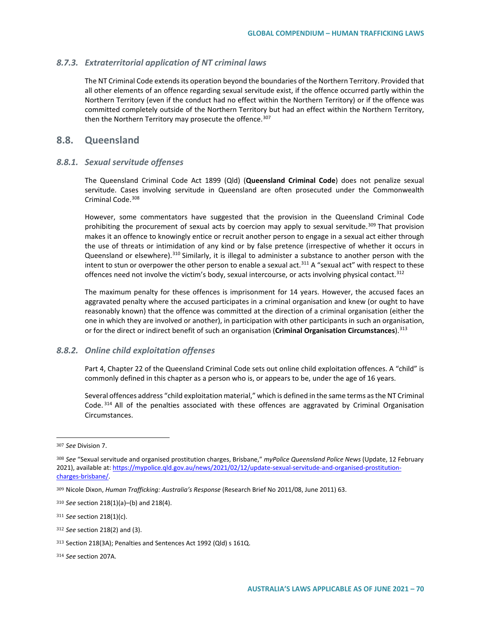# *8.7.3. Extraterritorial application of NT criminal laws*

The NT Criminal Code extends its operation beyond the boundaries of the Northern Territory. Provided that all other elements of an offence regarding sexual servitude exist, if the offence occurred partly within the Northern Territory (even if the conduct had no effect within the Northern Territory) or if the offence was committed completely outside of the Northern Territory but had an effect within the Northern Territory, then the Northern Territory may prosecute the offence.<sup>[307](#page-69-0)</sup>

# **8.8. Queensland**

# *8.8.1. Sexual servitude offenses*

The Queensland Criminal Code Act 1899 (Qld) (**Queensland Criminal Code**) does not penalize sexual servitude. Cases involving servitude in Queensland are often prosecuted under the Commonwealth Criminal Code.<sup>[308](#page-69-1)</sup>

However, some commentators have suggested that the provision in the Queensland Criminal Code prohibiting the procurement of sexual acts by coercion may apply to sexual servitude.<sup>[309](#page-69-2)</sup> That provision makes it an offence to knowingly entice or recruit another person to engage in a sexual act either through the use of threats or intimidation of any kind or by false pretence (irrespective of whether it occurs in Queensland or elsewhere).<sup>[310](#page-69-3)</sup> Similarly, it is illegal to administer a substance to another person with the intent to stun or overpower the other person to enable a sexual act.<sup>[311](#page-69-4)</sup> A "sexual act" with respect to these offences need not involve the victim's body, sexual intercourse, or acts involving physical contact.<sup>[312](#page-69-5)</sup>

The maximum penalty for these offences is imprisonment for 14 years. However, the accused faces an aggravated penalty where the accused participates in a criminal organisation and knew (or ought to have reasonably known) that the offence was committed at the direction of a criminal organisation (either the one in which they are involved or another), in participation with other participants in such an organisation, or for the direct or indirect benefit of such an organisation (**Criminal Organisation Circumstances**).<sup>[313](#page-69-6)</sup>

# *8.8.2. Online child exploitation offenses*

Part 4, Chapter 22 of the Queensland Criminal Code sets out online child exploitation offences. A "child" is commonly defined in this chapter as a person who is, or appears to be, under the age of 16 years.

Several offences address "child exploitation material," which is defined in the same terms as the NT Criminal Code. [314](#page-69-7) All of the penalties associated with these offences are aggravated by Criminal Organisation Circumstances.

<span id="page-69-0"></span><sup>307</sup> *See* Division 7.

<span id="page-69-1"></span><sup>308</sup> *See* "Sexual servitude and organised prostitution charges, Brisbane," *myPolice Queensland Police News* (Update, 12 February 2021), available at[: https://mypolice.qld.gov.au/news/2021/02/12/update-sexual-servitude-and-organised-prostitution](https://mypolice.qld.gov.au/news/2021/02/12/update-sexual-servitude-and-organised-prostitution-charges-brisbane/)[charges-brisbane/.](https://mypolice.qld.gov.au/news/2021/02/12/update-sexual-servitude-and-organised-prostitution-charges-brisbane/)

<span id="page-69-2"></span><sup>309</sup> Nicole Dixon, *Human Trafficking: Australia's Response* (Research Brief No 2011/08, June 2011) 63.

<span id="page-69-3"></span><sup>310</sup> *See* section 218(1)(a)–(b) and 218(4).

<span id="page-69-4"></span><sup>311</sup> *See* section 218(1)(c).

<span id="page-69-5"></span><sup>312</sup> *See* section 218(2) and (3).

<span id="page-69-6"></span><sup>313</sup> Section 218(3A); Penalties and Sentences Act 1992 (Qld) s 161Q.

<span id="page-69-7"></span><sup>314</sup> *See* section 207A.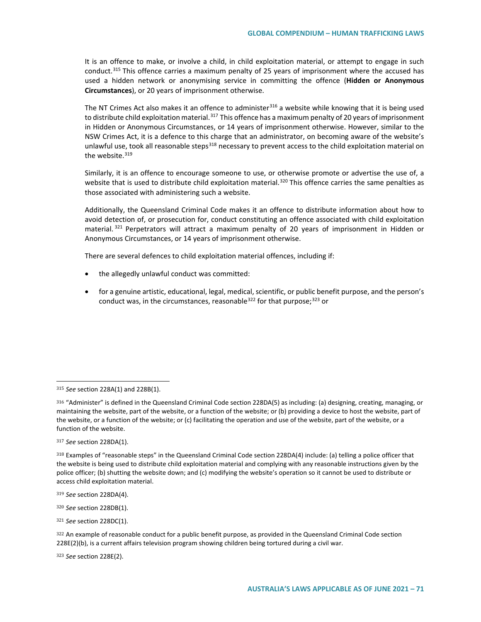It is an offence to make, or involve a child, in child exploitation material, or attempt to engage in such conduct.[315](#page-70-0) This offence carries a maximum penalty of 25 years of imprisonment where the accused has used a hidden network or anonymising service in committing the offence (**Hidden or Anonymous Circumstances**), or 20 years of imprisonment otherwise.

The NT Crimes Act also makes it an offence to administer<sup>[316](#page-70-1)</sup> a website while knowing that it is being used to distribute child exploitation material.<sup>[317](#page-70-2)</sup> This offence has a maximum penalty of 20 years of imprisonment in Hidden or Anonymous Circumstances, or 14 years of imprisonment otherwise. However, similar to the NSW Crimes Act, it is a defence to this charge that an administrator, on becoming aware of the website's unlawful use, took all reasonable steps<sup>[318](#page-70-3)</sup> necessary to prevent access to the child exploitation material on the website.<sup>[319](#page-70-4)</sup>

Similarly, it is an offence to encourage someone to use, or otherwise promote or advertise the use of, a website that is used to distribute child exploitation material.<sup>[320](#page-70-5)</sup> This offence carries the same penalties as those associated with administering such a website.

Additionally, the Queensland Criminal Code makes it an offence to distribute information about how to avoid detection of, or prosecution for, conduct constituting an offence associated with child exploitation material.<sup>[321](#page-70-6)</sup> Perpetrators will attract a maximum penalty of 20 years of imprisonment in Hidden or Anonymous Circumstances, or 14 years of imprisonment otherwise.

There are several defences to child exploitation material offences, including if:

- the allegedly unlawful conduct was committed:
- for a genuine artistic, educational, legal, medical, scientific, or public benefit purpose, and the person's conduct was, in the circumstances, reasonable  $322$  for that purpose;  $323$  or

 $\overline{a}$ 

<span id="page-70-5"></span><sup>320</sup> *See* section 228DB(1).

<span id="page-70-6"></span><sup>321</sup> *See* section 228DC(1).

<span id="page-70-8"></span><sup>323</sup> *See* section 228E(2).

<span id="page-70-0"></span><sup>315</sup> *See* section 228A(1) and 228B(1).

<span id="page-70-1"></span><sup>316</sup> "Administer" is defined in the Queensland Criminal Code section 228DA(5) as including: (a) designing, creating, managing, or maintaining the website, part of the website, or a function of the website; or (b) providing a device to host the website, part of the website, or a function of the website; or (c) facilitating the operation and use of the website, part of the website, or a function of the website.

<span id="page-70-2"></span><sup>317</sup> *See* section 228DA(1).

<span id="page-70-3"></span><sup>318</sup> Examples of "reasonable steps" in the Queensland Criminal Code section 228DA(4) include: (a) telling a police officer that the website is being used to distribute child exploitation material and complying with any reasonable instructions given by the police officer; (b) shutting the website down; and (c) modifying the website's operation so it cannot be used to distribute or access child exploitation material.

<span id="page-70-4"></span><sup>319</sup> *See* section 228DA(4).

<span id="page-70-7"></span><sup>322</sup> An example of reasonable conduct for a public benefit purpose, as provided in the Queensland Criminal Code section 228E(2)(b), is a current affairs television program showing children being tortured during a civil war.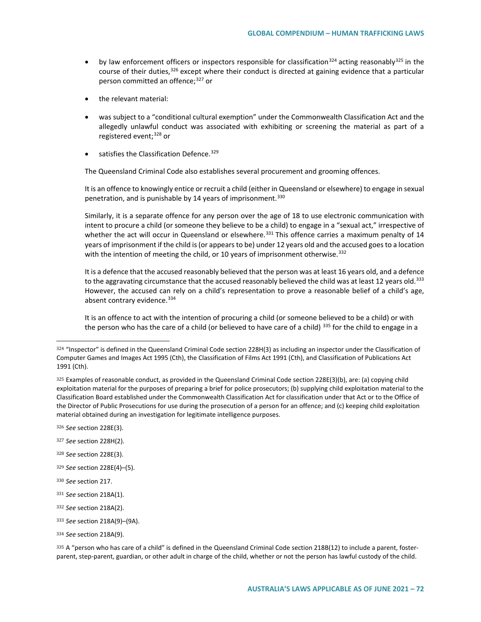- by law enforcement officers or inspectors responsible for classification<sup>[324](#page-71-0)</sup> acting reasonably<sup>[325](#page-71-1)</sup> in the course of their duties,  $326$  except where their conduct is directed at gaining evidence that a particular person committed an offence;<sup>[327](#page-71-3)</sup> or
- the relevant material:
- was subject to a "conditional cultural exemption" under the Commonwealth Classification Act and the allegedly unlawful conduct was associated with exhibiting or screening the material as part of a registered event;<sup>[328](#page-71-4)</sup> or
- satisfies the Classification Defence.<sup>[329](#page-71-5)</sup>

The Queensland Criminal Code also establishes several procurement and grooming offences.

It is an offence to knowingly entice or recruit a child (either in Queensland or elsewhere) to engage in sexual penetration, and is punishable by 14 years of imprisonment.<sup>[330](#page-71-6)</sup>

Similarly, it is a separate offence for any person over the age of 18 to use electronic communication with intent to procure a child (or someone they believe to be a child) to engage in a "sexual act," irrespective of whether the act will occur in Queensland or elsewhere.<sup>[331](#page-71-7)</sup> This offence carries a maximum penalty of 14 years of imprisonment if the child is (or appears to be) under 12 years old and the accused goes to a location with the intention of meeting the child, or 10 years of imprisonment otherwise.<sup>[332](#page-71-8)</sup>

It is a defence that the accused reasonably believed that the person was at least 16 years old, and a defence to the aggravating circumstance that the accused reasonably believed the child was at least 12 years old.<sup>[333](#page-71-9)</sup> However, the accused can rely on a child's representation to prove a reasonable belief of a child's age, absent contrary evidence.<sup>[334](#page-71-10)</sup>

It is an offence to act with the intention of procuring a child (or someone believed to be a child) or with the person who has the care of a child (or believed to have care of a child)  $335$  for the child to engage in a

<span id="page-71-2"></span><sup>326</sup> *See* section 228E(3).

 $\overline{a}$ 

- <span id="page-71-3"></span><sup>327</sup> *See* section 228H(2).
- <span id="page-71-4"></span><sup>328</sup> *See* section 228E(3).
- <span id="page-71-5"></span><sup>329</sup> *See* section 228E(4)–(5).
- <span id="page-71-6"></span><sup>330</sup> *See* section 217.
- <span id="page-71-7"></span><sup>331</sup> *See* section 218A(1).
- <span id="page-71-8"></span><sup>332</sup> *See* section 218A(2).
- <span id="page-71-9"></span><sup>333</sup> *See* section 218A(9)–(9A).

<span id="page-71-11"></span>335 A "person who has care of a child" is defined in the Queensland Criminal Code section 218B(12) to include a parent, fosterparent, step-parent, guardian, or other adult in charge of the child, whether or not the person has lawful custody of the child.

<span id="page-71-0"></span><sup>324 &</sup>quot;Inspector" is defined in the Queensland Criminal Code section 228H(3) as including an inspector under the Classification of Computer Games and Images Act 1995 (Cth), the Classification of Films Act 1991 (Cth), and Classification of Publications Act 1991 (Cth).

<span id="page-71-1"></span><sup>325</sup> Examples of reasonable conduct, as provided in the Queensland Criminal Code section 228E(3)(b), are: (a) copying child exploitation material for the purposes of preparing a brief for police prosecutors; (b) supplying child exploitation material to the Classification Board established under the Commonwealth Classification Act for classification under that Act or to the Office of the Director of Public Prosecutions for use during the prosecution of a person for an offence; and (c) keeping child exploitation material obtained during an investigation for legitimate intelligence purposes.

<span id="page-71-10"></span><sup>334</sup> *See* section 218A(9).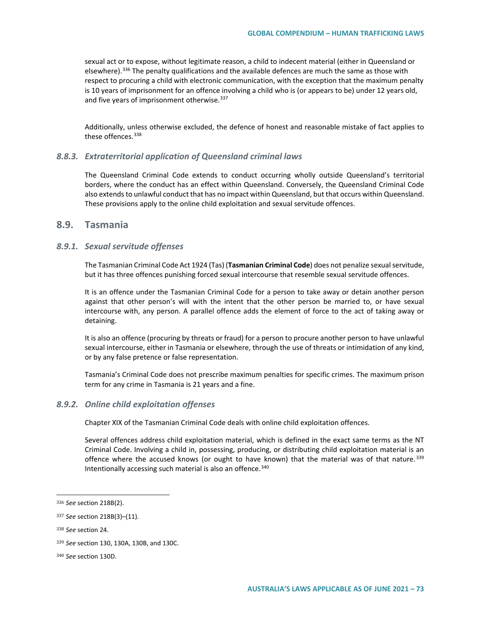sexual act or to expose, without legitimate reason, a child to indecent material (either in Queensland or elsewhere).<sup>[336](#page-72-0)</sup> The penalty qualifications and the available defences are much the same as those with respect to procuring a child with electronic communication, with the exception that the maximum penalty is 10 years of imprisonment for an offence involving a child who is (or appears to be) under 12 years old, and five years of imprisonment otherwise. [337](#page-72-1)

Additionally, unless otherwise excluded, the defence of honest and reasonable mistake of fact applies to these offences.<sup>[338](#page-72-2)</sup>

#### *8.8.3. Extraterritorial application of Queensland criminal laws*

The Queensland Criminal Code extends to conduct occurring wholly outside Queensland's territorial borders, where the conduct has an effect within Queensland. Conversely, the Queensland Criminal Code also extends to unlawful conduct that has no impact within Queensland, but that occurs within Queensland. These provisions apply to the online child exploitation and sexual servitude offences.

### **8.9. Tasmania**

#### *8.9.1. Sexual servitude offenses*

The Tasmanian Criminal Code Act 1924 (Tas) (**Tasmanian Criminal Code**) does not penalize sexual servitude, but it has three offences punishing forced sexual intercourse that resemble sexual servitude offences.

It is an offence under the Tasmanian Criminal Code for a person to take away or detain another person against that other person's will with the intent that the other person be married to, or have sexual intercourse with, any person. A parallel offence adds the element of force to the act of taking away or detaining.

It is also an offence (procuring by threats or fraud) for a person to procure another person to have unlawful sexual intercourse, either in Tasmania or elsewhere, through the use of threats or intimidation of any kind, or by any false pretence or false representation.

Tasmania's Criminal Code does not prescribe maximum penalties for specific crimes. The maximum prison term for any crime in Tasmania is 21 years and a fine.

#### *8.9.2. Online child exploitation offenses*

Chapter XIX of the Tasmanian Criminal Code deals with online child exploitation offences.

Several offences address child exploitation material, which is defined in the exact same terms as the NT Criminal Code. Involving a child in, possessing, producing, or distributing child exploitation material is an offence where the accused knows (or ought to have known) that the material was of that nature.<sup>[339](#page-72-3)</sup> Intentionally accessing such material is also an offence.<sup>[340](#page-72-4)</sup>

 $\overline{a}$ 

<span id="page-72-0"></span><sup>336</sup> *See* section 218B(2).

<span id="page-72-1"></span><sup>337</sup> *See* section 218B(3)–(11).

<span id="page-72-2"></span><sup>338</sup> *See* section 24.

<span id="page-72-3"></span><sup>339</sup> *See* section 130, 130A, 130B, and 130C.

<span id="page-72-4"></span><sup>340</sup> *See* section 130D.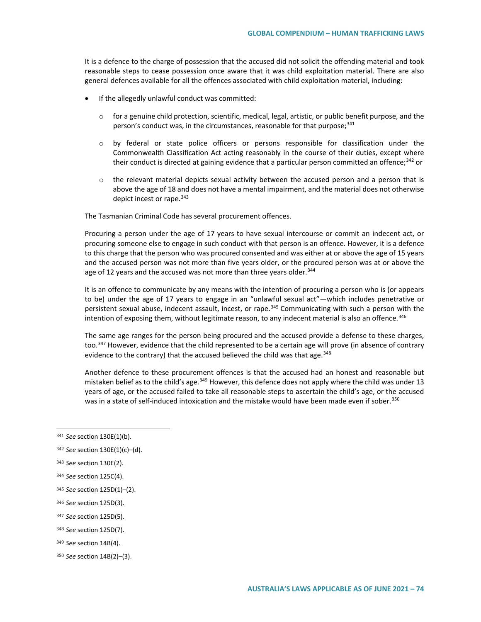It is a defence to the charge of possession that the accused did not solicit the offending material and took reasonable steps to cease possession once aware that it was child exploitation material. There are also general defences available for all the offences associated with child exploitation material, including:

- If the allegedly unlawful conduct was committed:
	- $\circ$  for a genuine child protection, scientific, medical, legal, artistic, or public benefit purpose, and the person's conduct was, in the circumstances, reasonable for that purpose;<sup>[341](#page-73-0)</sup>
	- o by federal or state police officers or persons responsible for classification under the Commonwealth Classification Act acting reasonably in the course of their duties, except where their conduct is directed at gaining evidence that a particular person committed an offence; $342$  or
	- $\circ$  the relevant material depicts sexual activity between the accused person and a person that is above the age of 18 and does not have a mental impairment, and the material does not otherwise depict incest or rape.<sup>[343](#page-73-2)</sup>

The Tasmanian Criminal Code has several procurement offences.

Procuring a person under the age of 17 years to have sexual intercourse or commit an indecent act, or procuring someone else to engage in such conduct with that person is an offence. However, it is a defence to this charge that the person who was procured consented and was either at or above the age of 15 years and the accused person was not more than five years older, or the procured person was at or above the age of 12 years and the accused was not more than three years older.<sup>[344](#page-73-3)</sup>

It is an offence to communicate by any means with the intention of procuring a person who is (or appears to be) under the age of 17 years to engage in an "unlawful sexual act"—which includes penetrative or persistent sexual abuse, indecent assault, incest, or rape.<sup>[345](#page-73-4)</sup> Communicating with such a person with the intention of exposing them, without legitimate reason, to any indecent material is also an offence.<sup>[346](#page-73-5)</sup>

The same age ranges for the person being procured and the accused provide a defense to these charges, too.<sup>[347](#page-73-6)</sup> However, evidence that the child represented to be a certain age will prove (in absence of contrary evidence to the contrary) that the accused believed the child was that age.  $348$ 

Another defence to these procurement offences is that the accused had an honest and reasonable but mistaken belief as to the child's age.<sup>[349](#page-73-8)</sup> However, this defence does not apply where the child was under 13 years of age, or the accused failed to take all reasonable steps to ascertain the child's age, or the accused was in a state of self-induced intoxication and the mistake would have been made even if sober.<sup>[350](#page-73-9)</sup>

 $\overline{a}$ 

<span id="page-73-2"></span><sup>343</sup> *See* section 130E(2).

<span id="page-73-6"></span><sup>347</sup> *See* section 125D(5).

<span id="page-73-8"></span><sup>349</sup> *See* section 14B(4).

<span id="page-73-0"></span><sup>341</sup> *See* section 130E(1)(b).

<span id="page-73-1"></span><sup>342</sup> *See* section 130E(1)(c)–(d).

<span id="page-73-3"></span><sup>344</sup> *See* section 125C(4).

<span id="page-73-4"></span><sup>345</sup> *See* section 125D(1)–(2).

<span id="page-73-5"></span><sup>346</sup> *See* section 125D(3).

<span id="page-73-7"></span><sup>348</sup> *See* section 125D(7).

<span id="page-73-9"></span><sup>350</sup> *See* section 14B(2)–(3).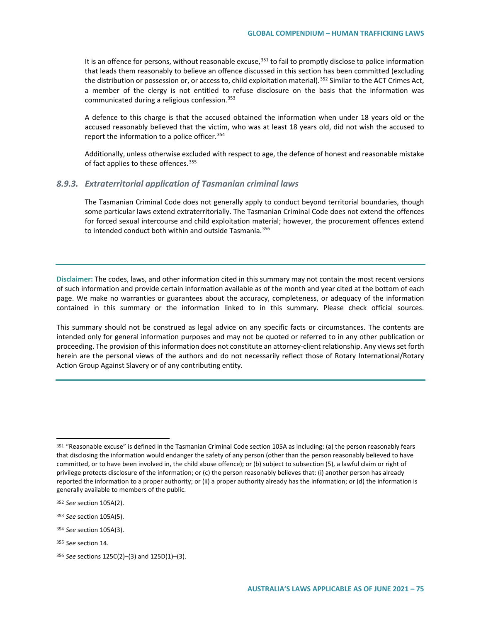It is an offence for persons, without reasonable excuse,<sup>[351](#page-74-0)</sup> to fail to promptly disclose to police information that leads them reasonably to believe an offence discussed in this section has been committed (excluding the distribution or possession or, or access to, child exploitation material).<sup>[352](#page-74-1)</sup> Similar to the ACT Crimes Act, a member of the clergy is not entitled to refuse disclosure on the basis that the information was communicated during a religious confession.<sup>[353](#page-74-2)</sup>

A defence to this charge is that the accused obtained the information when under 18 years old or the accused reasonably believed that the victim, who was at least 18 years old, did not wish the accused to report the information to a police officer.[354](#page-74-3)

Additionally, unless otherwise excluded with respect to age, the defence of honest and reasonable mistake of fact applies to these offences. [355](#page-74-4)

#### *8.9.3. Extraterritorial application of Tasmanian criminal laws*

The Tasmanian Criminal Code does not generally apply to conduct beyond territorial boundaries, though some particular laws extend extraterritorially. The Tasmanian Criminal Code does not extend the offences for forced sexual intercourse and child exploitation material; however, the procurement offences extend to intended conduct both within and outside Tasmania.<sup>[356](#page-74-5)</sup>

**Disclaimer:** The codes, laws, and other information cited in this summary may not contain the most recent versions of such information and provide certain information available as of the month and year cited at the bottom of each page. We make no warranties or guarantees about the accuracy, completeness, or adequacy of the information contained in this summary or the information linked to in this summary. Please check official sources.

This summary should not be construed as legal advice on any specific facts or circumstances. The contents are intended only for general information purposes and may not be quoted or referred to in any other publication or proceeding. The provision of this information does not constitute an attorney-client relationship. Any views set forth herein are the personal views of the authors and do not necessarily reflect those of Rotary International/Rotary Action Group Against Slavery or of any contributing entity.

 $\overline{a}$ 

<span id="page-74-0"></span><sup>351</sup> "Reasonable excuse" is defined in the Tasmanian Criminal Code section 105A as including: (a) the person reasonably fears that disclosing the information would endanger the safety of any person (other than the person reasonably believed to have committed, or to have been involved in, the child abuse offence); or (b) subject to [subsection \(5\),](https://www.legislation.tas.gov.au/view/whole/html/inforce/current/act-1924-069#GS105A@Gs5@EN) a lawful claim or right of privilege protects disclosure of the information; or (c) the person reasonably believes that: (i) another person has already reported the information to a proper authority; or (ii) a proper authority already has the information; or (d) the information is generally available to members of the public.

<span id="page-74-1"></span><sup>352</sup> *See* section 105A(2).

<span id="page-74-2"></span><sup>353</sup> *See* section 105A(5).

<span id="page-74-3"></span><sup>354</sup> *See* section 105A(3).

<span id="page-74-4"></span><sup>355</sup> *See* section 14.

<span id="page-74-5"></span><sup>356</sup> *See* sections 125C(2)–(3) and 125D(1)–(3).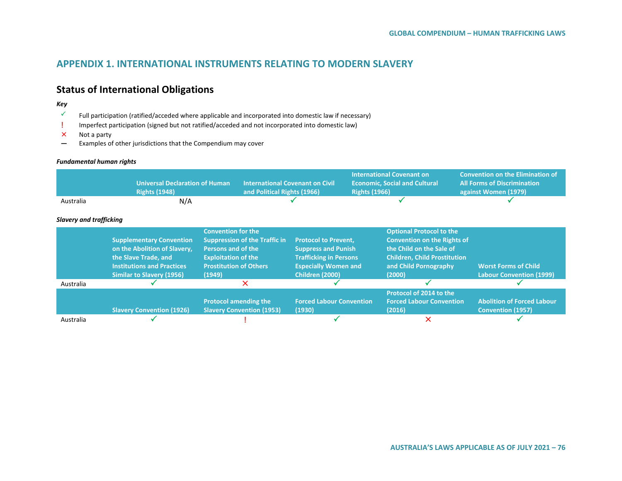## **APPENDIX 1. INTERNATIONAL INSTRUMENTS RELATING TO MODERN SLAVERY**

## **Status of International Obligations**

#### *Key*

- Full participation (ratified/acceded where applicable and incorporated into domestic law if necessary)
- **!** Imperfect participation (signed but not ratified/acceded and not incorporated into domestic law)<br>
X Not a party
- Not a party
- **—** Examples of other jurisdictions that the Compendium may cover

#### *Fundamental human rights*

|                                | <b>Universal Declaration of Human</b><br><b>Rights (1948)</b>                                                                                                    | <b>International Covenant on Civil</b><br>and Political Rights (1966)                                                                                            |                                                                                                                                                     | <b>Rights (1966)</b> | <b>International Covenant on</b><br><b>Economic, Social and Cultural</b>                                                                                                    | <b>Convention on the Elimination of</b><br><b>All Forms of Discrimination</b><br>against Women (1979) |
|--------------------------------|------------------------------------------------------------------------------------------------------------------------------------------------------------------|------------------------------------------------------------------------------------------------------------------------------------------------------------------|-----------------------------------------------------------------------------------------------------------------------------------------------------|----------------------|-----------------------------------------------------------------------------------------------------------------------------------------------------------------------------|-------------------------------------------------------------------------------------------------------|
| Australia                      | N/A                                                                                                                                                              |                                                                                                                                                                  |                                                                                                                                                     |                      |                                                                                                                                                                             |                                                                                                       |
| <b>Slavery and trafficking</b> |                                                                                                                                                                  |                                                                                                                                                                  |                                                                                                                                                     |                      |                                                                                                                                                                             |                                                                                                       |
|                                | <b>Supplementary Convention</b><br>on the Abolition of Slavery,<br>the Slave Trade, and<br><b>Institutions and Practices</b><br><b>Similar to Slavery (1956)</b> | <b>Convention for the</b><br><b>Suppression of the Traffic in</b><br>Persons and of the<br><b>Exploitation of the</b><br><b>Prostitution of Others</b><br>(1949) | <b>Protocol to Prevent,</b><br><b>Suppress and Punish</b><br><b>Trafficking in Persons</b><br><b>Especially Women and</b><br><b>Children (2000)</b> |                      | <b>Optional Protocol to the</b><br><b>Convention on the Rights of</b><br>the Child on the Sale of<br><b>Children, Child Prostitution</b><br>and Child Pornography<br>(2000) | <b>Worst Forms of Child</b><br><b>Labour Convention (1999)</b>                                        |
| Australia                      |                                                                                                                                                                  | X                                                                                                                                                                |                                                                                                                                                     |                      |                                                                                                                                                                             |                                                                                                       |
|                                | <b>Slavery Convention (1926)</b>                                                                                                                                 | <b>Protocol amending the</b><br><b>Slavery Convention (1953)</b>                                                                                                 | <b>Forced Labour Convention</b><br>(1930)                                                                                                           |                      | Protocol of 2014 to the<br><b>Forced Labour Convention</b><br>(2016)                                                                                                        | <b>Abolition of Forced Labour</b><br><b>Convention (1957)</b>                                         |
| Australia                      |                                                                                                                                                                  |                                                                                                                                                                  |                                                                                                                                                     |                      | $\times$                                                                                                                                                                    |                                                                                                       |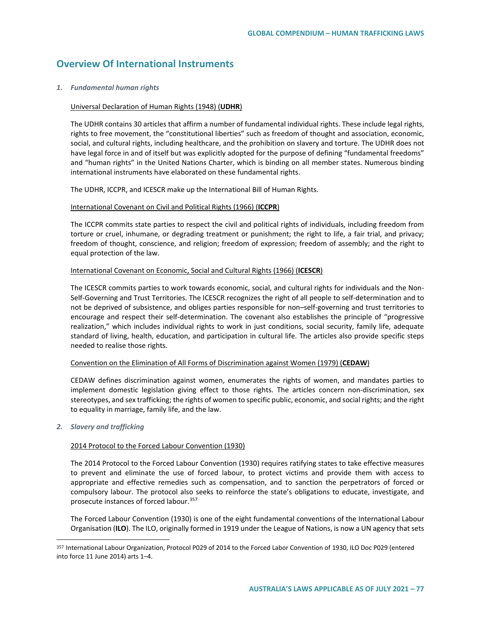## **Overview Of International Instruments**

#### *1. Fundamental human rights*

#### Universal Declaration of Human Rights (1948) (**UDHR**)

The UDHR contains 30 articles that affirm a number of fundamental individual rights. These include legal rights, rights to free movement, the "constitutional liberties" such as freedom of thought and association, economic, social, and cultural rights, including healthcare, and the prohibition on slavery and torture. The UDHR does not have legal force in and of itself but was explicitly adopted for the purpose of defining "fundamental freedoms" and "human rights" in the United Nations Charter, which is binding on all member states. Numerous binding international instruments have elaborated on these fundamental rights.

The UDHR, ICCPR, and ICESCR make up the International Bill of Human Rights.

#### International Covenant on Civil and Political Rights (1966) (**ICCPR**)

The ICCPR commits state parties to respect the civil and political rights of individuals, including freedom from torture or cruel, inhumane, or degrading treatment or punishment; the right to life, a fair trial, and privacy; freedom of thought, conscience, and religion; freedom of expression; freedom of assembly; and the right to equal protection of the law.

#### International Covenant on Economic, Social and Cultural Rights (1966) (**ICESCR**)

The ICESCR commits parties to work towards economic, social, and cultural rights for individuals and the Non-Self-Governing and Trust Territories. The ICESCR recognizes the right of all people to self-determination and to not be deprived of subsistence, and obliges parties responsible for non–self-governing and trust territories to encourage and respect their self-determination. The covenant also establishes the principle of "progressive realization," which includes individual rights to work in just conditions, social security, family life, adequate standard of living, health, education, and participation in cultural life. The articles also provide specific steps needed to realise those rights.

#### Convention on the Elimination of All Forms of Discrimination against Women (1979) (**CEDAW**)

CEDAW defines discrimination against women, enumerates the rights of women, and mandates parties to implement domestic legislation giving effect to those rights. The articles concern non-discrimination, sex stereotypes, and sex trafficking; the rights of women to specific public, economic, and social rights; and the right to equality in marriage, family life, and the law.

#### *2. Slavery and trafficking*

 $\overline{a}$ 

#### 2014 Protocol to the Forced Labour Convention (1930)

The 2014 Protocol to the Forced Labour Convention (1930) requires ratifying states to take effective measures to prevent and eliminate the use of forced labour, to protect victims and provide them with access to appropriate and effective remedies such as compensation, and to sanction the perpetrators of forced or compulsory labour. The protocol also seeks to reinforce the state's obligations to educate, investigate, and prosecute instances of forced labour.<sup>[357](#page-76-0)</sup>

The Forced Labour Convention (1930) is one of the eight fundamental conventions of the International Labour Organisation (**ILO**). The ILO, originally formed in 1919 under the League of Nations, is now a UN agency that sets

<span id="page-76-0"></span><sup>357</sup> International Labour Organization, Protocol P029 of 2014 to the Forced Labor Convention of 1930, ILO Doc P029 (entered into force 11 June 2014) arts 1–4.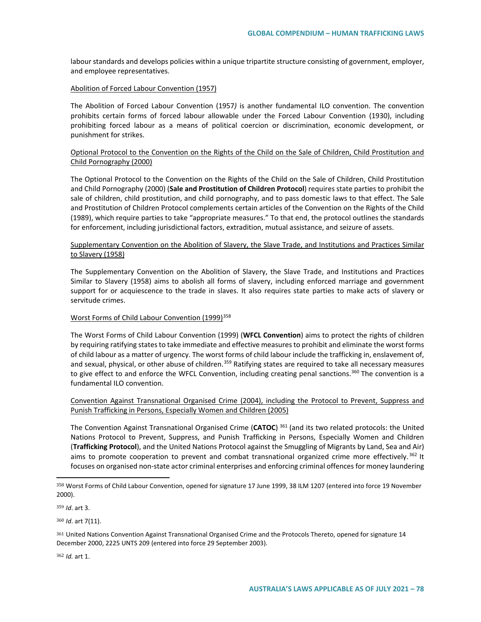labour standards and develops policies within a unique tripartite structure consisting of government, employer, and employee representatives.

#### Abolition of Forced Labour Convention (1957)

The Abolition of Forced Labour Convention (1957*)* is another fundamental ILO convention. The convention prohibits certain forms of forced labour allowable under the Forced Labour Convention (1930), including prohibiting forced labour as a means of political coercion or discrimination, economic development, or punishment for strikes.

#### Optional Protocol to the Convention on the Rights of the Child on the Sale of Children, Child Prostitution and Child Pornography (2000)

The Optional Protocol to the Convention on the Rights of the Child on the Sale of Children, Child Prostitution and Child Pornography (2000) (**Sale and Prostitution of Children Protocol**) requires state parties to prohibit the sale of children, child prostitution, and child pornography, and to pass domestic laws to that effect. The Sale and Prostitution of Children Protocol complements certain articles of the Convention on the Rights of the Child (1989), which require parties to take "appropriate measures." To that end, the protocol outlines the standards for enforcement, including jurisdictional factors, extradition, mutual assistance, and seizure of assets.

#### Supplementary Convention on the Abolition of Slavery, the Slave Trade, and Institutions and Practices Similar to Slavery (1958)

The Supplementary Convention on the Abolition of Slavery, the Slave Trade, and Institutions and Practices Similar to Slavery (1958) aims to abolish all forms of slavery, including enforced marriage and government support for or acquiescence to the trade in slaves. It also requires state parties to make acts of slavery or servitude crimes.

#### Worst Forms of Child Labour Convention (1999)<sup>[358](#page-77-0)</sup>

The Worst Forms of Child Labour Convention (1999) (**WFCL Convention**) aims to protect the rights of children by requiring ratifying states to take immediate and effective measures to prohibit and eliminate the worst forms of child labour as a matter of urgency. The worst forms of child labour include the trafficking in, enslavement of, and sexual, physical, or other abuse of children.<sup>[359](#page-77-1)</sup> Ratifying states are required to take all necessary measures to give effect to and enforce the WFCL Convention, including creating penal sanctions.<sup>[360](#page-77-2)</sup> The convention is a fundamental ILO convention.

#### Convention Against Transnational Organised Crime (2004), including the Protocol to Prevent, Suppress and Punish Trafficking in Persons, Especially Women and Children (2005)

The Convention Against Transnational Organised Crime (**CATOC**) [361](#page-77-3) (and its two related protocols: the United Nations Protocol to Prevent, Suppress, and Punish Trafficking in Persons, Especially Women and Children (**Trafficking Protocol**), and the United Nations Protocol against the Smuggling of Migrants by Land, Sea and Air) aims to promote cooperation to prevent and combat transnational organized crime more effectively.<sup>[362](#page-77-4)</sup> It focuses on organised non-state actor criminal enterprises and enforcing criminal offences for money laundering

 $\overline{a}$ 

<span id="page-77-2"></span><sup>360</sup> *Id*. art 7(11).

<span id="page-77-4"></span><sup>362</sup> *Id.* art 1.

<span id="page-77-0"></span><sup>358</sup> Worst Forms of Child Labour Convention, opened for signature 17 June 1999, 38 ILM 1207 (entered into force 19 November 2000).

<span id="page-77-1"></span><sup>359</sup> *Id*. art 3.

<span id="page-77-3"></span><sup>361</sup> United Nations Convention Against Transnational Organised Crime and the Protocols Thereto, opened for signature 14 December 2000, 2225 UNTS 209 (entered into force 29 September 2003).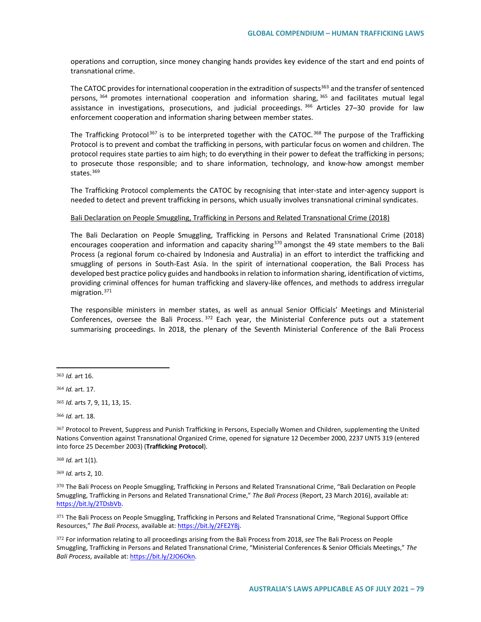operations and corruption, since money changing hands provides key evidence of the start and end points of transnational crime.

The CATOC provides for international cooperation in the extradition of suspects<sup>[363](#page-78-0)</sup> and the transfer of sentenced persons, <sup>[364](#page-78-1)</sup> promotes international cooperation and information sharing, <sup>[365](#page-78-2)</sup> and facilitates mutual legal assistance in investigations, prosecutions, and judicial proceedings. <sup>[366](#page-78-3)</sup> Articles 27-30 provide for law enforcement cooperation and information sharing between member states.

The Trafficking Protocol<sup>[367](#page-78-4)</sup> is to be interpreted together with the CATOC.<sup>[368](#page-78-5)</sup> The purpose of the Trafficking Protocol is to prevent and combat the trafficking in persons, with particular focus on women and children. The protocol requires state parties to aim high; to do everything in their power to defeat the trafficking in persons; to prosecute those responsible; and to share information, technology, and know-how amongst member states.<sup>[369](#page-78-6)</sup>

The Trafficking Protocol complements the CATOC by recognising that inter-state and inter-agency support is needed to detect and prevent trafficking in persons, which usually involves transnational criminal syndicates.

#### Bali Declaration on People Smuggling, Trafficking in Persons and Related Transnational Crime (2018)

The Bali Declaration on People Smuggling, Trafficking in Persons and Related Transnational Crime (2018) encourages cooperation and information and capacity sharing<sup>[370](#page-78-7)</sup> amongst the 49 state members to the Bali Process (a regional forum co-chaired by Indonesia and Australia) in an effort to interdict the trafficking and smuggling of persons in South-East Asia. In the spirit of international cooperation, the Bali Process has developed best practice policy guides and handbooks in relation to information sharing, identification of victims, providing criminal offences for human trafficking and slavery-like offences, and methods to address irregular migration.[371](#page-78-8)

The responsible ministers in member states, as well as annual Senior Officials' Meetings and Ministerial Conferences, oversee the Bali Process. [372](#page-78-9) Each year, the Ministerial Conference puts out a statement summarising proceedings. In 2018, the plenary of the Seventh Ministerial Conference of the Bali Process

 $\overline{a}$ 

<span id="page-78-2"></span><sup>365</sup> *Id.* arts 7, 9, 11, 13, 15.

<span id="page-78-3"></span><sup>366</sup> *Id.* art. 18.

<span id="page-78-4"></span><sup>367</sup> Protocol to Prevent, Suppress and Punish Trafficking in Persons, Especially Women and Children, supplementing the United Nations Convention against Transnational Organized Crime, opened for signature 12 December 2000, 2237 UNTS 319 (entered into force 25 December 2003) (**Trafficking Protocol**).

<span id="page-78-5"></span><sup>368</sup> *Id.* art 1(1).

<span id="page-78-6"></span><sup>369</sup> *Id.* arts 2, 10.

<span id="page-78-7"></span><sup>370</sup> The Bali Process on People Smuggling, Trafficking in Persons and Related Transnational Crime, "Bali Declaration on People Smuggling, Trafficking in Persons and Related Transnational Crime," *The Bali Process* (Report, 23 March 2016), available at: https://bit.ly/2TDsbVb.

<span id="page-78-8"></span>371 The Bali Process on People Smuggling, Trafficking in Persons and Related Transnational Crime, "Regional Support Office Resources," *The Bali Process*, available at: [https://bit.ly/2FE2Y8j.](https://bit.ly/2FE2Y8j)

<span id="page-78-9"></span><sup>372</sup> For information relating to all proceedings arising from the Bali Process from 2018, *see* The Bali Process on People Smuggling, Trafficking in Persons and Related Transnational Crime, "Ministerial Conferences & Senior Officials Meetings," *The Bali Process*, available at: [https://bit.ly/2JO6Okn.](https://bit.ly/2JO6Okn) 

<span id="page-78-0"></span><sup>363</sup> *Id.* art 16.

<span id="page-78-1"></span><sup>364</sup> *Id.* art. 17.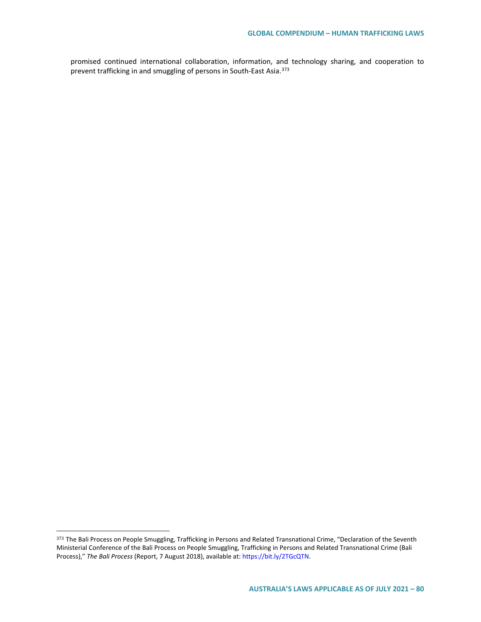promised continued international collaboration, information, and technology sharing, and cooperation to prevent trafficking in and smuggling of persons in South-East Asia.[373](#page-79-0)

 $\overline{a}$ 

<span id="page-79-0"></span><sup>373</sup> The Bali Process on People Smuggling, Trafficking in Persons and Related Transnational Crime, "Declaration of the Seventh Ministerial Conference of the Bali Process on People Smuggling, Trafficking in Persons and Related Transnational Crime (Bali Process)," *The Bali Process* (Report, 7 August 2018), available at: https://bit.ly/2TGcQTN.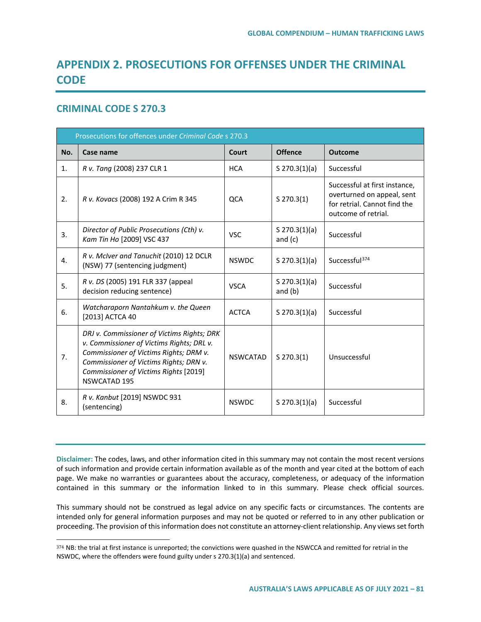# **APPENDIX 2. PROSECUTIONS FOR OFFENSES UNDER THE CRIMINAL CODE**

## **CRIMINAL CODE S 270.3**

 $\overline{a}$ 

| Prosecutions for offences under Criminal Code s 270.3 |                                                                                                                                                                                                                                             |                 |                              |                                                                                                                    |  |  |  |
|-------------------------------------------------------|---------------------------------------------------------------------------------------------------------------------------------------------------------------------------------------------------------------------------------------------|-----------------|------------------------------|--------------------------------------------------------------------------------------------------------------------|--|--|--|
| No.                                                   | Case name                                                                                                                                                                                                                                   | Court           | <b>Offence</b>               | <b>Outcome</b>                                                                                                     |  |  |  |
| 1.                                                    | R v. Tang (2008) 237 CLR 1                                                                                                                                                                                                                  | <b>HCA</b>      | $S$ 270.3(1)(a)              | Successful                                                                                                         |  |  |  |
| 2.                                                    | R v. Kovacs (2008) 192 A Crim R 345                                                                                                                                                                                                         | <b>QCA</b>      | $S$ 270.3(1)                 | Successful at first instance,<br>overturned on appeal, sent<br>for retrial. Cannot find the<br>outcome of retrial. |  |  |  |
| 3.                                                    | Director of Public Prosecutions (Cth) v.<br>Kam Tin Ho [2009] VSC 437                                                                                                                                                                       | <b>VSC</b>      | $S$ 270.3(1)(a)<br>and $(c)$ | Successful                                                                                                         |  |  |  |
| 4.                                                    | R v. McIver and Tanuchit (2010) 12 DCLR<br>(NSW) 77 (sentencing judgment)                                                                                                                                                                   | <b>NSWDC</b>    | $S$ 270.3(1)(a)              | Successful <sup>374</sup>                                                                                          |  |  |  |
| 5.                                                    | R v. DS (2005) 191 FLR 337 (appeal<br>decision reducing sentence)                                                                                                                                                                           | <b>VSCA</b>     | $S$ 270.3(1)(a)<br>and $(b)$ | Successful                                                                                                         |  |  |  |
| 6.                                                    | Watcharaporn Nantahkum v. the Queen<br>[2013] ACTCA 40                                                                                                                                                                                      | <b>ACTCA</b>    | $S$ 270.3(1)(a)              | Successful                                                                                                         |  |  |  |
| 7.                                                    | DRJ v. Commissioner of Victims Rights; DRK<br>v. Commissioner of Victims Rights; DRL v.<br>Commissioner of Victims Rights; DRM v.<br>Commissioner of Victims Rights; DRN v.<br>Commissioner of Victims Rights [2019]<br><b>NSWCATAD 195</b> | <b>NSWCATAD</b> | $S$ 270.3(1)                 | Unsuccessful                                                                                                       |  |  |  |
| 8.                                                    | R v. Kanbut [2019] NSWDC 931<br>(sentencing)                                                                                                                                                                                                | <b>NSWDC</b>    | $S$ 270.3(1)(a)              | Successful                                                                                                         |  |  |  |

**Disclaimer:** The codes, laws, and other information cited in this summary may not contain the most recent versions of such information and provide certain information available as of the month and year cited at the bottom of each page. We make no warranties or guarantees about the accuracy, completeness, or adequacy of the information contained in this summary or the information linked to in this summary. Please check official sources.

This summary should not be construed as legal advice on any specific facts or circumstances. The contents are intended only for general information purposes and may not be quoted or referred to in any other publication or proceeding. The provision of this information does not constitute an attorney-client relationship. Any views set forth

<span id="page-80-0"></span><sup>374</sup> NB: the trial at first instance is unreported; the convictions were quashed in the NSWCCA and remitted for retrial in the NSWDC, where the offenders were found guilty under s 270.3(1)(a) and sentenced.